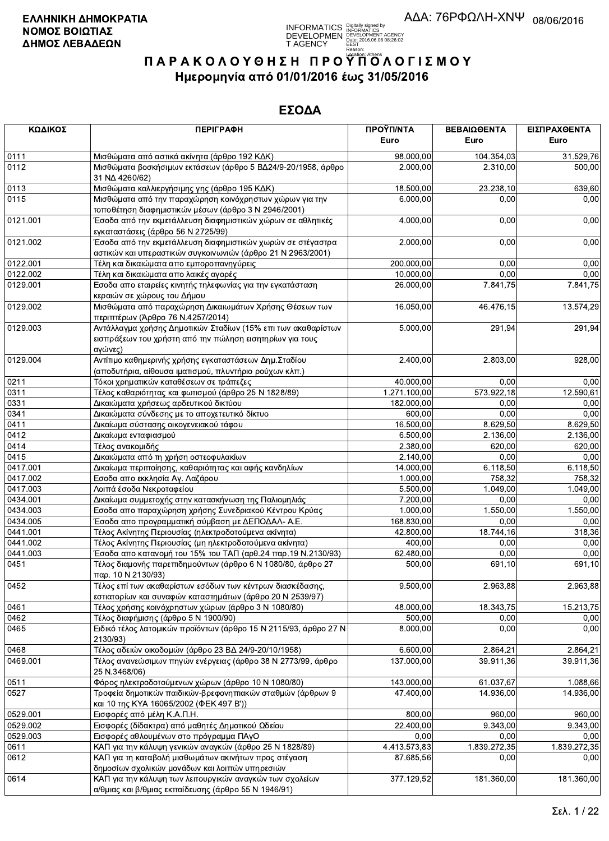

| ΚΩΔΙΚΟΣ  | <b>ПЕРІГРАФН</b>                                                                                                                             | ΠΡΟΫΠ/ΝΤΑ<br>Euro | ΒΕΒΑΙΩΘΕΝΤΑ<br>Euro | ΕΙΣΠΡΑΧΘΕΝΤΑ<br>Euro |
|----------|----------------------------------------------------------------------------------------------------------------------------------------------|-------------------|---------------------|----------------------|
| 0111     | Μισθώματα από αστικά ακίνητα (άρθρο 192 ΚΔΚ)                                                                                                 | 98.000,00         | 104.354,03          | 31.529,76            |
| 0112     | Μισθώματα βοσκήσιμων εκτάσεων (άρθρο 5 ΒΔ24/9-20/1958, άρθρο<br>31 NA 4260/62)                                                               | 2.000,00          | 2.310,00            | 500,00               |
| 0113     | Μισθώματα καλλιεργήσιμης γης (άρθρο 195 ΚΔΚ)                                                                                                 | 18 500,00         | 23.238,10           | 639,60               |
| 0115     | Μισθώματα από την παραχώρηση κοινόχρηστων χώρων για την<br>τοποθέτηση διαφημιστικών μέσων (άρθρο 3 Ν 2946/2001)                              | 6.000,00          | 0.00                | 0,00                 |
| 0121.001 | Έσοδα από την εκμετάλλευση διαφημιστικών χώρων σε αθλητικές<br>εγκαταστάσεις (άρθρο 56 Ν 2725/99)                                            | 4.000,00          | 0,00                | 0,00                 |
| 0121.002 | Έσοδα από την εκμετάλλευση διαφημιστικών χωρών σε στέγαστρα<br>αστικών και υπεραστικών συγκοινωνιών (άρθρο 21 Ν 2963/2001)                   | 2.000,00          | 0,00                | 0,00                 |
| 0122.001 | Τέλη και δικαιώματα απο εμποροπανηγύρεις                                                                                                     | 200.000,00        | 0,00                | 0,00                 |
| 0122.002 | Τέλη και δικαιώματα απο λαικές αγορές                                                                                                        | 10.000,00         | 0,00                | 0,00                 |
| 0129.001 | Εσοδα απο εταιρείες κινητής τηλεφωνίας για την εγκατάσταση<br>κεραιών σε χώρους του Δήμου                                                    | 26.000,00         | 7.841,75            | 7.841,75             |
| 0129.002 | Μισθώματα από παραχώρηση Δικαιωμάτων Χρήσης Θέσεων των<br>περιπτέρων (Άρθρο 76 Ν.4257/2014)                                                  | 16.050,00         | 46.476,15           | 13.574,29            |
| 0129.003 | Αντάλλαγμα χρήσης Δημοτικών Σταδίων (15% επι των ακαθαρίστων<br>εισπράξεων του χρήστη από την πώληση εισητηρίων για τους<br>αγώνες)          | 5.000,00          | 291,94              | 291,94               |
| 0129.004 | Αντίτιμο καθημερινής χρήσης εγκαταστάσεων Δημ. Σταδίου<br>(αποδυτήρια, αίθουσα ιματισμού, πλυντήριο ρούχων κλπ.)                             | 2.400,00          | 2.803,00            | 928,00               |
| 0211     | Τόκοι χρηματικών καταθέσεων σε τράπεζες                                                                                                      | 40.000,00         | 0,00                | 0,00                 |
| 0311     | Τέλος καθαριότητας και φωτισμού (άρθρο 25 Ν 1828/89)                                                                                         | 1.271.100,00      | 573.922,18          | 12.590,61            |
| 0331     | Δικαιώματα χρήσεως αρδευτικού δικτύου                                                                                                        | 182.000,00        | 0,00                | 0,00                 |
| 0341     | Δικαιώματα σύνδεσης με το αποχετευτικό δίκτυο                                                                                                | 600,00            | 0,00                | 0,00                 |
| 0411     | Δικαίωμα σύστασης οικογενειακού τάφου                                                                                                        | 16.500,00         | 8.629,50            | 8.629,50             |
| 0412     | Δικαίωμα ενταφιασμού                                                                                                                         | 6.500,00          | 2.136,00            | 2.136,00             |
| 0414     | Τέλος ανακομιδής                                                                                                                             | 2.380,00          | 620,00              | 620,00               |
| 0415     | Δικαιώματα από τη χρήση οστεοφυλακίων                                                                                                        | 2.140,00          | 0,00                | 0,00                 |
| 0417.001 | Δικαίωμα περιποίησης, καθαριότητας και αφής κανδηλίων                                                                                        | 14.000,00         | 6.118,50            | 6.118,50             |
| 0417.002 | Εσοδα απο εκκλησία Αγ. Λαζάρου                                                                                                               | 1.000,00          | 758,32              | 758,32               |
| 0417.003 | Λοιπά έσοδα Νεκροταφείου                                                                                                                     | 5.500,00          | 1.049,00            | 1.049,00             |
| 0434.001 | Δικαίωμα συμμετοχής στην κατασκήνωση της Παλιομηλιάς                                                                                         | 7.200,00          | 0,00                | 0,00                 |
| 0434.003 | Εσοδα απο παραχώρηση χρήσης Συνεδριακού Κέντρου Κρύας                                                                                        | 1.000,00          | 1.550,00            | 1.550,00             |
| 0434.005 | Έσοδα απο προγραμματική σύμβαση με ΔΕΠΟΔΑΛ- Α.Ε.                                                                                             | 168.830,00        | 0,00                | 0,00                 |
| 0441.001 | Τέλος Ακίνητης Περιουσίας (ηλεκτροδοτούμενα ακίνητα)                                                                                         | 42.800,00         | 18.744,16           | 318,36               |
| 0441.002 | Τέλος Ακίνητης Περιουσίας (μη ηλεκτροδοτούμενα ακίνητα)                                                                                      | 400,00            | 0,00                | 0,00                 |
| 0441.003 | Έσοδα απο κατανομή του 15% του ΤΑΠ (αρθ.24 παρ.19 Ν.2130/93)                                                                                 | 62.480,00         | 0,00                | 0,00                 |
| 0451     | Τέλος διαμονής παρεπιδημούντων (άρθρο 6 Ν 1080/80, άρθρο 27                                                                                  | 500,00            | 691,10              | 691,10               |
| 0452     | παρ. 10 Ν 2130/93)<br>Τέλος επί των ακαθαρίστων εσόδων των κέντρων διασκέδασης,<br>εστιατορίων και συναφών καταστημάτων (άρθρο 20 Ν 2539/97) | 9.500,00          | 2.963,88            | 2.963,88             |
| 0461     | Τέλος χρήσης κοινόχρηστων χώρων (άρθρο 3 Ν 1080/80)                                                                                          | 48.000,00         | 18.343,75           | 15.213,75            |
| 0462     | Τέλος διαφήμισης (άρθρο 5 Ν 1900/90)                                                                                                         | 500,00            | 0,00                | 0,00                 |
| 0465     | Ειδικό τέλος λατομικών προϊόντων (άρθρο 15 Ν 2115/93, άρθρο 27 Ν<br>2130/93)                                                                 | 8.000,00          | 0,00                | 0,00                 |
| 0468     | Τέλος αδειών οικοδομών (άρθρο 23 ΒΔ 24/9-20/10/1958)                                                                                         | 6.600,00          | 2.864,21            | 2.864,21             |
| 0469.001 | Τέλος ανανεώσιμων πηγών ενέργειας (άρθρο 38 Ν 2773/99, άρθρο                                                                                 | 137.000,00        | 39.911,36           | 39.911.36            |
|          | 25 N.3468/06)<br>Φόρος ηλεκτροδοτούμενων χώρων (άρθρο 10 Ν 1080/80)                                                                          |                   |                     |                      |
| 0511     |                                                                                                                                              | 143.000,00        | 61.037,67           | 1.088,66             |
| 0527     | Τροφεία δημοτικών παιδικών-βρεφονηπιακών σταθμών (άρθρων 9<br>και 10 της ΚΥΑ 16065/2002 (ΦΕΚ 497 Β'))                                        | 47.400,00         | 14.936,00           | 14.936,00            |
| 0529.001 | Εισφορές από μέλη Κ.Α.Π.Η.                                                                                                                   | 800,00            | 960,00              | 960,00               |
| 0529.002 | Εισφορές (δίδακτρα) από μαθητές Δημοτικού Ωδείου                                                                                             | 22.400,00         | 9.343,00            | 9.343,00             |
| 0529.003 | Εισφορές αθλουμένων στο πρόγραμμα ΠΑγΟ                                                                                                       | 0,00              | 0,00                | 0,00                 |
| 0611     | ΚΑΠ για την κάλυψη γενικών αναγκών (άρθρο 25 Ν 1828/89)                                                                                      | 4.413.573,83      | 1.839.272,35        | 1.839.272,35         |
| 0612     | ΚΑΠ για τη καταβολή μισθωμάτων ακινήτων προς στέγαση<br>δημοσίων σχολικών μονάδων και λοιπών υπηρεσιών                                       | 87.685,56         | 0.00                | 0,00                 |
| 0614     | ΚΑΠ για την κάλυψη των λειτουργικών αναγκών των σχολείων<br>α/θμιας και β/θμιας εκπαίδευσης (άρθρο 55 Ν 1946/91)                             | 377.129,52        | 181.360,00          | 181.360,00           |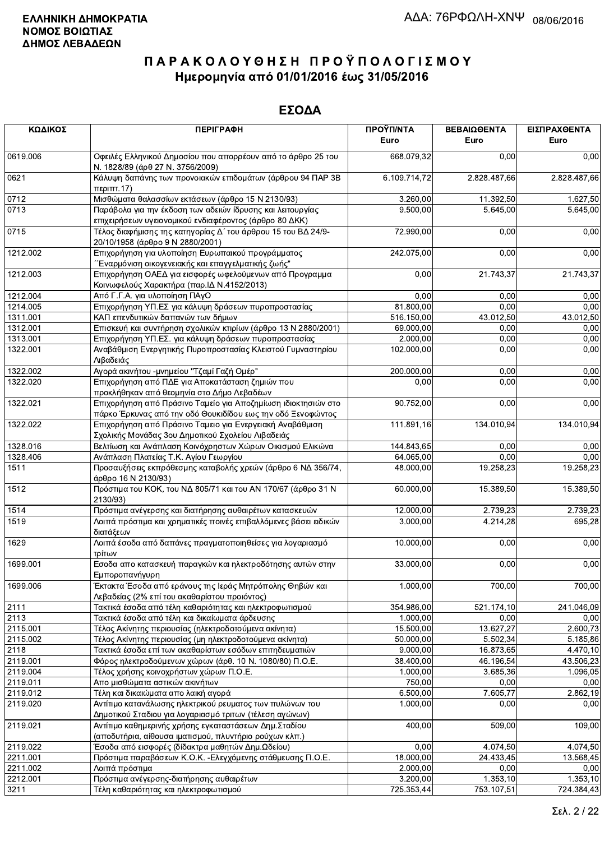| ΚΩΔΙΚΟΣ  | <b>ПЕРІГРАФН</b>                                                                                                             | ΠΡΟΫΠ/ΝΤΑ<br>Euro | ΒΕΒΑΙΩΘΕΝΤΑ<br>Euro | ΕΙΣΠΡΑΧΘΕΝΤΑ<br>Euro |
|----------|------------------------------------------------------------------------------------------------------------------------------|-------------------|---------------------|----------------------|
| 0619.006 | Οφειλές Ελληνικού Δημοσίου που απορρέουν από το άρθρο 25 του<br>Ν. 1828/89 (άρθ 27 Ν. 3756/2009)                             | 668.079,32        | 0,00                | 0,00                 |
| 0621     | Κάλυψη δαπάνης των προνοιακών επιδομάτων (άρθρου 94 ΠΑΡ 3Β<br>περιπτ.17)                                                     | 6.109.714,72      | 2.828.487,66        | 2.828.487,66         |
| 0712     | Μισθώματα θαλασσίων εκτάσεων (άρθρο 15 Ν 2130/93)                                                                            | 3.260,00          | 11.392,50           | 1.627,50             |
| 0713     | Παράβολα για την έκδοση των αδειών ίδρυσης και λειτουργίας<br>επιχειρήσεων υγειονομικού ενδιαφέροντος (άρθρο 80 ΔΚΚ)         | 9.500,00          | 5.645,00            | 5.645,00             |
| 0715     | Τέλος διαφήμισης της κατηγορίας Δ΄ του άρθρου 15 του ΒΔ 24/9-<br>20/10/1958 (άρθρο 9 Ν 2880/2001)                            | 72.990,00         | 0,00                | 0,00                 |
| 1212.002 | Επιχορήγηση για υλοποίηση Ευρωπαικού προγράμματος<br>΄΄Εναρμόνιση οικογενειακής και επαγγελματικής ζωής"                     | 242.075,00        | 0,00                | 0,00                 |
| 1212.003 | Επιχορήγηση ΟΑΕΔ για εισφορές ωφελούμενων από Προγραμμα<br>Κοινωφελούς Χαρακτήρα (παρ. ΙΔ Ν.4152/2013)                       | 0,00              | 21.743,37           | 21.743,37            |
| 1212.004 | Από Γ.Γ.Α. για υλοποίηση ΠΑγΟ                                                                                                | 0,00              | 0,00                | 0,00                 |
| 1214.005 | Επιχορήγηση ΥΠ.ΕΣ για κάλυψη δράσεων πυροπροστασίας                                                                          | 81.800,00         | 0,00                | 0,00                 |
| 1311.001 | ΚΑΠ επενδυτικών δαπανών των δήμων                                                                                            | 516.150,00        | 43.012,50           | 43.012,50            |
| 1312.001 | Επισκευή και συντήρηση σχολικών κτιρίων (άρθρο 13 Ν 2880/2001)                                                               | 69.000,00         | 0,00                | 0,00                 |
| 1313.001 | Επιχορήγηση ΥΠ.ΕΣ. για κάλυψη δράσεων πυροπροστασίας                                                                         | 2.000,00          | 0,00                | 0,00                 |
| 1322.001 | Αναβάθμιση Ενεργητικής Πυροπροστασίας Κλειστού Γυμναστηρίου<br>Λιβαδειάς                                                     | 102.000,00        | 0,00                | 0,00                 |
| 1322.002 | Αγορά ακινήτου -μνημείου "Τζαμί Γαζή Ομέρ"                                                                                   | 200.000,00        | 0,00                | 0,00                 |
| 1322.020 | Επιχορήγηση από ΠΔΕ για Αποκατάσταση ζημιών που<br>προκλήθηκαν από θεομηνία στο Δήμο Λεβαδέων                                | 0,00              | 0,00                | 0,00                 |
| 1322.021 | Επιχορήγηση από Πράσινο Ταμείο για Αποζημίωση ιδιοκτησιών στο<br>πάρκο Έρκυνας από την οδό Θουκιδίδου εως την οδό Ξενοφώντος | 90.752,00         | 0,00                | 0,00                 |
| 1322.022 | Επιχορήγηση από Πράσινο Ταμειο για Ενεργειακή Αναβάθμιση<br>Σχολικής Μονάδας 3ου Δημοτικού Σχολείου Λιβαδειάς                | 111.891,16        | 134.010,94          | 134.010,94           |
| 1328.016 | Βελτίωση και Ανάπλαση Κοινόχρηστων Χώρων Οικισμού Ελικώνα                                                                    | 144.843,65        | 0,00                | 0,00                 |
| 1328.406 | Ανάπλαση Πλατείας Τ.Κ. Αγίου Γεωργίου                                                                                        | 64.065,00         | 0,00                | 0,00                 |
| 1511     | Προσαυξήσεις εκπρόθεσμης καταβολής χρεών (άρθρο 6 ΝΔ 356/74,<br>άρθρο 16 Ν 2130/93)                                          | 48.000,00         | 19.258,23           | 19.258,23            |
| 1512     | Πρόστιμα του ΚΟΚ, του ΝΔ 805/71 και του ΑΝ 170/67 (άρθρο 31 Ν<br>2130/93)                                                    | 60.000,00         | 15.389,50           | 15.389,50            |
| 1514     | Πρόστιμα ανέγερσης και διατήρησης αυθαιρέτων κατασκευών                                                                      | 12.000,00         | 2.739,23            | 2.739,23             |
| 1519     | Λοιπά πρόστιμα και χρηματικές ποινές επιβαλλόμενες βάσει ειδικών<br>διατάξεων                                                | 3.000,00          | 4.214,28            | 695,28               |
| 1629     | Λοιπά έσοδα από δαπάνες πραγματοποιηθείσες για λογαριασμό<br>τρίτων                                                          | 10.000,00         | 0,00                | 0,00                 |
| 1699.001 | Εσοδα απο κατασκευή παραγκών και ηλεκτροδότησης αυτών στην<br>Εμποροπανήγυρη                                                 | 33.000,00         | 0,00                | 0,00                 |
| 1699.006 | Έκτακτα Έσοδα από εράνους της Ιεράς Μητρόπολης Θηβών και<br>Λεβαδείας (2% επί του ακαθαρίστου προιόντος)                     | 1.000,00          | 700,00              | 700,00               |
| 2111     | Τακτικά έσοδα από τέλη καθαριότητας και ηλεκτροφωτισμού                                                                      | 354.986,00        | 521.174,10          | 241.046,09           |
| 2113     | Τακτικά έσοδα από τέλη και δικαίωματα άρδευσης                                                                               | 1.000,00          | 0,00                | 0,00                 |
| 2115.001 | Τέλος Ακίνητης περιουσίας (ηλεκτροδοτούμενα ακίνητα)                                                                         | 15.500,00         | 13.627,27           | 2.600,73             |
| 2115.002 | Τέλος Ακίνητης περιουσίας (μη ηλεκτροδοτούμενα ακίνητα)                                                                      | 50.000,00         | 5.502.34            | 5.185,86             |
| 2118     | Τακτικά έσοδα επί των ακαθαρίστων εσόδων επιτηδευματιών                                                                      | 9.000.00          | 16.873,65           | 4.470,10             |
| 2119.001 | Φόρος ηλεκτροδούμενων χώρων (άρθ. 10 Ν. 1080/80) Π.Ο.Ε.                                                                      | 38.400,00         | 46.196,54           | 43.506,23            |
| 2119.004 | Τέλος χρήσης κοινοχρήστων χώρων Π.Ο.Ε.                                                                                       | 1.000.00          | 3.685,36            | 1.096,05             |
| 2119.011 | Απο μισθώματα αστικών ακινήτων                                                                                               | 750,00            | 0,00                | 0,00                 |
| 2119.012 | Τέλη και δικαιώματα απο λαική αγορά                                                                                          | 6.500,00          | 7.605,77            | 2.862,19             |
| 2119.020 | Αντίτιμο κατανάλωσης ηλεκτρικού ρευματος των πυλώνων του<br>Δημοτικού Σταδιου για λογαριασμό τριτων (τέλεση αγώνων)          | 1.000,00          | 0,00                | 0,00                 |
| 2119.021 | Αντίτιμο καθημερινής χρήσης εγκαταστάσεων Δημ. Σταδίου<br>(αποδυτήρια, αίθουσα ιματισμού, πλυντήριο ρούχων κλπ.)             | 400,00            | 509,00              | 109,00               |
| 2119.022 | Έσοδα από εισφορές (δίδακτρα μαθητών Δημ.Ωδείου)                                                                             | 0,00              | 4.074,50            | 4.074,50             |
| 2211.001 | Πρόστιμα παραβάσεων Κ.Ο.Κ. - Ελεγχόμενης στάθμευσης Π.Ο.Ε.                                                                   | 18.000,00         | 24.433,45           | 13.568,45            |
| 2211.002 | Λοιπά πρόστιμα                                                                                                               | 2.000,00          | 0.00                | 0,00                 |
| 2212.001 | Πρόστιμα ανέγερσης-διατήρησης αυθαιρέτων                                                                                     | 3.200,00          | 1.353, 10           | 1.353,10             |
| 3211     | Τέλη καθαριότητας και ηλεκτροφωτισμού                                                                                        | 725.353,44        | 753.107.51          | 724.384,43           |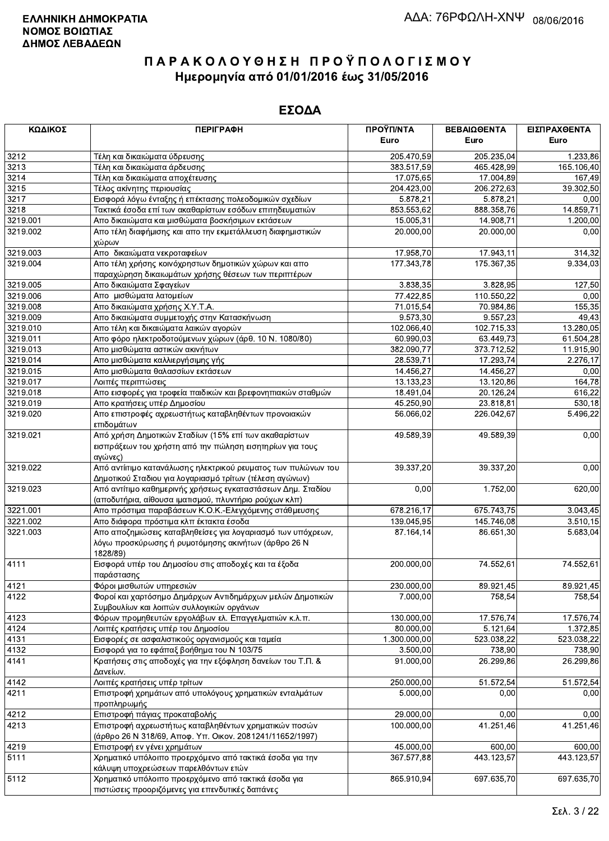| ΚΩΔΙΚΟΣ      | <b>ПЕРІГРАФН</b>                                                                        | ΠΡΟΫΠ/ΝΤΑ               | ΒΕΒΑΙΩΘΕΝΤΑ          | ΕΙΣΠΡΑΧΘΕΝΤΑ         |
|--------------|-----------------------------------------------------------------------------------------|-------------------------|----------------------|----------------------|
|              |                                                                                         | Euro                    | Euro                 | Euro                 |
| 3212         | Τέλη και δικαιώματα ύδρευσης                                                            | 205.470,59              | 205.235,04           | 1.233,86             |
| 3213         | Τέλη και δικαιώματα άρδευσης                                                            | 383.517,59              | 465.428,99           | 165.106,40           |
| 3214         | Τέλη και δικαιώματα αποχέτευσης                                                         | 17.075,65               | 17.004,89            | 167,49               |
| 3215         | Τέλος ακίνητης περιουσίας                                                               | 204.423,00              | 206 272,63           | 39.302,50            |
| 3217         | Εισφορά λόγω ένταξης ή επέκτασης πολεοδομικών σχεδίων                                   | $\overline{5.878,21}$   | 5.878,21             | 0,00                 |
| 3218         | Τακτικά έσοδα επί των ακαθαρίστων εσόδων επιτηδευματιών                                 | 853.553,62              | 888.358,76           | 14.859,71            |
| 3219.001     | Απο δικαιώματα και μισθώματα βοσκήσιμων εκτάσεων                                        | 15.005,31               | 14.908,71            | 1.200,00             |
| 3219.002     | Απο τέλη διαφήμισης και απο την εκμετάλλευση διαφημιστικών                              | 20.000,00               | 20.000,00            | 0,00                 |
|              | χώρων                                                                                   |                         |                      |                      |
| 3219.003     | Απο δικαιώματα νεκροταφείων                                                             | 17.958,70               | 17.943,11            | 314,32               |
| 3219.004     | Απο τέλη χρήσης κοινόχρηστων δημοτικών χώρων και απο                                    | 177.343,78              | 175.367,35           | 9.334,03             |
|              | παραχώρηση δικαιωμάτων χρήσης θέσεων των περιπτέρων                                     |                         |                      |                      |
| 3219.005     | Απο δικαιώματα Σφαγείων                                                                 | 3.838,35                | 3.828,95             | 127,50               |
| 3219.006     | Απο μισθώματα λατομείων                                                                 | 77.422,85               | 110.550,22           | 0,00                 |
| 3219.008     | Απο δικαιώματα χρήσης Χ.Υ.Τ.Α.                                                          | 71.015,54               | 70.984,86            | 155,35               |
| 3219.009     | Απο δικαιώματα συμμετοχής στην Κατασκήνωση                                              | 9.573,30                | 9.557,23             | 49,43                |
| 3219.010     | Απο τέλη και δικαιώματα λαικών αγορών                                                   | 102.066,40              | 102.715,33           | 13.280,05            |
| 3219.011     | Απο φόρο ηλεκτροδοτούμενων χώρων (άρθ. 10 Ν. 1080/80)                                   | 60.990,03               | 63.449,73            | 61.504,28            |
| 3219.013     | Απο μισθώματα αστικών ακινήτων                                                          | 382.090,77              | 373.712,52           | 11.915,90            |
| 3219.014     | Απο μισθώματα καλλιεργήσιμης γής                                                        | 28.539,71               | 17.293,74            | 2.276,17             |
| 3219.015     | Απο μισθώματα θαλασσίων εκτάσεων                                                        | 14.456,27               | 14.456,27            | 0,00                 |
| 3219.017     | Λοιπές περιπτώσεις                                                                      | 13.133,23               | 13.120,86            | 164,78               |
| 3219.018     | Απο εισφορές για τροφεία παιδικών και βρεφονηπιακών σταθμών                             | 18.491,04               | 20.126,24            | 616,22               |
| 3219.019     | Απο κρατήσεις υπέρ Δημοσίου                                                             | 45.250,90               | 23.818,81            | 530,18               |
| 3219.020     | Απο επιστροφές αχρεωστήτως καταβληθέντων προνοιακών                                     | 56.066,02               | 226.042,67           | 5.496,22             |
|              | επιδομάτων                                                                              |                         |                      |                      |
| 3219.021     | Από χρήση Δημοτικών Σταδίων (15% επί των ακαθαρίστων                                    | 49.589,39               | 49.589,39            | 0,00                 |
|              | εισπράξεων του χρήστη από την πώληση εισητηρίων για τους                                |                         |                      |                      |
|              | αγώνες)                                                                                 |                         |                      |                      |
| 3219.022     | Από αντίιτιμο κατανάλωσης ηλεκτρικού ρευματος των πυλώνων του                           | 39.337,20               | 39.337,20            | 0,00                 |
|              | Δημοτικού Σταδιου για λογαριασμό τρίτων (τέλεση αγώνων)                                 |                         |                      |                      |
| 3219.023     | Από αντίτιμο καθημερινής χρήσεως εγκαταστάσεων Δημ. Σταδίου                             | 0,00                    | 1.752,00             | 620,00               |
|              | (αποδυτήρια, αίθουσα ιματισμού, πλυντήριο ρούχων κλπ)                                   |                         |                      |                      |
| 3221.001     | Απο πρόστιμα παραβάσεων Κ.Ο.Κ.-Ελεγχόμενης στάθμευσης                                   | 678.216,17              | 675.743,75           | 3.043,45             |
| 3221.002     | Απο διάφορα πρόστιμα κλπ έκτακτα έσοδα                                                  | 139.045,95              | 145.746,08           | 3.510,15             |
| 3221.003     | Απο αποζημιώσεις καταβληθείσες για λογαριασμό των υπόχρεων,                             | 87.164,14               | 86.651,30            | 5.683,04             |
|              | λόγω προσκύρωσης ή ρυμοτόμησης ακινήτων (άρθρο 26 Ν                                     |                         |                      |                      |
|              | 1828/89)                                                                                |                         |                      |                      |
| 4111         | Εισφορά υπέρ του Δημοσίου στις αποδοχές και τα έξοδα                                    | 200.000,00              | 74.552,61            | 74.552,61            |
|              | παράστασης                                                                              |                         |                      |                      |
| 4121         | Φόροι μισθωτών υπηρεσιών                                                                | 230.000,00              | 89.921,45            | 89.921,45            |
| 4122         | Φοροί και χαρτόσημο Δημάρχων Αντιδημάρχων μελών Δημοτικών                               | 7.000.00                | 758,54               | 758,54               |
|              | Συμβουλίων και λοιπών συλλογικών οργάνων                                                |                         |                      |                      |
| 4123         | Φόρων προμηθευτών εργολάβων ελ. Επαγγελματιών κ.λ.π.                                    | 130.000,00              | 17.576,74            | 17.576,74            |
| 4124         | Λοιπές κρατήσεις υπέρ του Δημοσίου                                                      | 80.000,00               | 5.121,64             | 1.372,85             |
| 4131         | Εισφορές σε ασφαλιστικούς οργανισμούς και ταμεία                                        | 1.300.000,00            | 523.038,22           | 523.038,22           |
| 4132         | Εισφορά για το εφάπαξ βοήθημα του Ν 103/75                                              | 3.500,00                | 738,90               | 738,90               |
| 4141         | Κρατήσεις στις αποδοχές για την εξόφληση δανείων του Τ.Π. &                             | 91.000,00               | 26.299,86            | 26.299,86            |
|              | Δανείων.                                                                                |                         |                      |                      |
| 4142         | Λοιπές κρατήσεις υπέρ τρίτων                                                            | 250.000,00              | 51.572,54            | 51.572,54            |
| 4211         | Επιστροφή χρημάτων από υπολόγους χρηματικών ενταλμάτων                                  | 5.000,00                | 0,00                 | 0,00                 |
|              | προπληρωμής                                                                             |                         |                      |                      |
| 4212         | Επιστροφή πάγιας προκαταβολής                                                           | 29.000,00               | 0,00                 | 0,00                 |
| 4213         | Επιστροφή αχρεωστήτως καταβληθέντων χρηματικών ποσών                                    | 100.000,00              | 41.251,46            | 41.251,46            |
|              | (άρθρο 26 Ν 318/69, Αποφ. Υπ. Οικον. 2081241/11652/1997)                                |                         |                      |                      |
| 4219<br>5111 | Επιστροφή εν γένει χρημάτων<br>Χρηματικό υπόλοιπο προερχόμενο από τακτικά έσοδα για την | 45.000,00<br>367.577,88 | 600,00<br>443.123,57 | 600,00<br>443.123,57 |
|              | κάλυψη υποχρεώσεων παρελθόντων ετών                                                     |                         |                      |                      |
| 5112         | Χρηματικό υπόλοιπο προερχόμενο από τακτικά έσοδα για                                    | 865.910,94              | 697.635,70           | 697.635,70           |
|              | πιστώσεις προρριζόμενες νια επενδυτικές δαπάνες                                         |                         |                      |                      |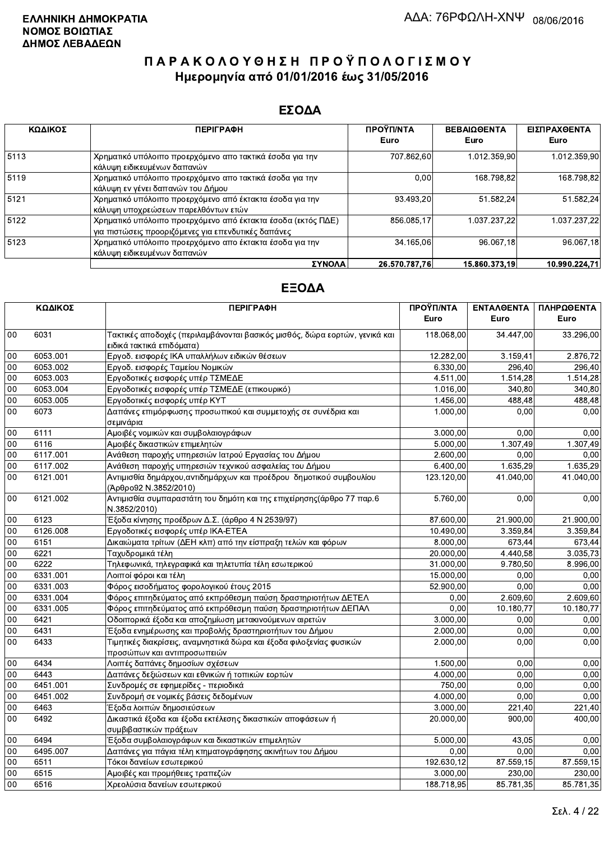### ΕΣΟΔΑ

| ΚΩΔΙΚΟΣ | <b>ПЕРІГРАФН</b>                                                                                                    | ΠΡΟΫΠ/ΝΤΑ<br>Euro | <b>ΒΕΒΑΙΩΘΕΝΤΑ</b><br>Euro | ΕΙΣΠΡΑΧΘΕΝΤΑ<br>Euro |
|---------|---------------------------------------------------------------------------------------------------------------------|-------------------|----------------------------|----------------------|
| 5113    | Χρηματικό υπόλοιπο προερχόμενο απο τακτικά έσοδα για την<br>κάλυψη ειδικευμένων δαπανών                             | 707.862,60        | 1.012.359.90               | 1.012.359,90         |
| 5119    | Χρηματικό υπόλοιπο προερχόμενο απο τακτικά έσοδα για την<br>κάλυψη εν γένει δαπανών του Δήμου                       | 0,00              | 168.798.82                 | 168.798,82           |
| 5121    | Χρηματικό υπόλοιπο προερχόμενο από έκτακτα έσοδα για την<br>κάλυψη υποχρεώσεων παρελθόντων ετών                     | 93.493.20         | 51.582.24                  | 51.582.24            |
| 5122    | Χρηματικό υπόλοιπο προερχόμενο από έκτακτα έσοδα (εκτός ΠΔΕ)<br>για πιστώσεις προοριζόμενες για επενδυτικές δαπάνες | 856.085.17        | 1.037.237.22               | 1.037.237.22         |
| 5123    | Χρηματικό υπόλοιπο προερχόμενο απο έκτακτα έσοδα για την<br>κάλυψη ειδικευμένων δαπανών                             | 34.165.06         | 96.067.18                  | 96.067,18            |
|         | ΣΥΝΟΛΑ                                                                                                              | 26.570.787.76     | 15.860.373.19              | 10.990.224.71        |

|                 | ΚΩΔΙΚΟΣ  | <b>ПЕРІГРАФН</b>                                                                                        | ΠΡΟΫΠ/ΝΤΑ<br>Euro | <b>ENTAAGENTA</b><br>Euro | ΠΛΗΡΩΘΕΝΤΑ<br>Euro |
|-----------------|----------|---------------------------------------------------------------------------------------------------------|-------------------|---------------------------|--------------------|
| 00              | 6031     | Τακτικές αποδοχές (περιλαμβάνονται βασικός μισθός, δώρα εορτών, γενικά και<br>ειδικά τακτικά επιδόματα) | 118.068,00        | 34.447,00                 | 33.296,00          |
| $00\,$          | 6053.001 | Εργοδ. εισφορές ΙΚΑ υπαλλήλων ειδικών θέσεων                                                            | 12.282,00         | 3.159,41                  | 2.876,72           |
| 00              | 6053.002 | Εργοδ. εισφορές Ταμείου Νομικών                                                                         | 6.330.00          | 296,40                    | 296.40             |
| 00              | 6053.003 | Εργοδοτικές εισφορές υπέρ ΤΣΜΕΔΕ                                                                        | 4.511,00          | 1.514.28                  | 1.514,28           |
| 00              | 6053.004 | Εργοδοτικές εισφορές υπέρ ΤΣΜΕΔΕ (επικουρικό)                                                           | 1.016,00          | 340,80                    | 340,80             |
| 00              | 6053.005 | Εργοδοτικές εισφορές υπέρ ΚΥΤ                                                                           | 1.456,00          | 488,48                    | 488,48             |
| 00              | 6073     | Δαπάνες επιμόρφωσης προσωπικού και συμμετοχής σε συνέδρια και<br>σεμινάρια                              | 1.000,00          | 0.00                      | 0,00               |
| 00              | 6111     | Αμοιβές νομικών και συμβολαιογράφων                                                                     | 3.000,00          | 0.00                      | 0,00               |
| $00\,$          | 6116     | Αμοιβές δικαστικών επιμελητών                                                                           | 5.000,00          | 1.307,49                  | 1.307,49           |
| 00              | 6117.001 | Ανάθεση παροχής υπηρεσιών Ιατρού Εργασίας του Δήμου                                                     | 2.600,00          | 0,00                      | 0.00               |
| 00              | 6117.002 | Ανάθεση παροχής υπηρεσιών τεχνικού ασφαλείας του Δήμου                                                  | 6.400,00          | 1.635,29                  | 1.635,29           |
| 00              | 6121.001 | Αντιμισθία δημάρχου, αντιδημάρχων και προέδρου δημοτικού συμβουλίου<br>(Άρθρο92 Ν.3852/2010)            | 123.120,00        | 41.040,00                 | 41.040,00          |
| $00\,$          | 6121.002 | Αντιμισθία συμπαραστάτη του δημότη και της επιχείρησης(άρθρο 77 παρ.6<br>N.3852/2010)                   | 5.760,00          | 0,00                      | 0,00               |
| $00\,$          | 6123     | Έξοδα κίνησης προέδρων Δ.Σ. (άρθρο 4 Ν 2539/97)                                                         | 87.600,00         | 21.900,00                 | 21.900,00          |
| 00              | 6126.008 | Εργοδοτικές εισφορές υπέρ ΙΚΑ-ΕΤΕΑ                                                                      | 10.490,00         | 3.359,84                  | 3.359,84           |
| 00              | 6151     | Δικαιώματα τρίτων (ΔΕΗ κλπ) από την είσπραξη τελών και φόρων                                            | 8.000,00          | 673,44                    | 673,44             |
| 00              | 6221     | Ταχυδρομικά τέλη                                                                                        | 20.000,00         | 4.440,58                  | 3.035,73           |
| 00              | 6222     | Τηλεφωνικά, τηλεγραφικά και τηλετυπία τέλη εσωτερικού                                                   | 31.000,00         | 9.780,50                  | 8.996,00           |
| 00              | 6331.001 | Λοιποί φόροι και τέλη                                                                                   | 15.000,00         | 0,00                      | 0,00               |
| 00              | 6331.003 | Φόρος εισοδήματος φορολογικού έτους 2015                                                                | 52.900,00         | 0,00                      | 0.00               |
| $00\,$          | 6331.004 | Φόρος επιτηδεύματος από εκπρόθεσμη παύση δραστηριοτήτων ΔΕΤΕΛ                                           | 0,00              | 2.609,60                  | 2.609,60           |
| $00\,$          | 6331.005 | Φόρος επιτηδεύματος από εκπρόθεσμη παύση δραστηριοτήτων ΔΕΠΑΛ                                           | 0,00              | 10.180,77                 | 10.180,77          |
| $\overline{00}$ | 6421     | Οδοιπορικά έξοδα και αποζημίωση μετακινούμενων αιρετών                                                  | 3.000,00          | 0.00                      | 0,00               |
| 00              | 6431     | Έξοδα ενημέρωσης και προβολής δραστηριοτήτων του Δήμου                                                  | 2.000,00          | 0.00                      | 0,00               |
| 00              | 6433     | Τιμητικές διακρίσεις, αναμνηστικά δώρα και έξοδα φιλοξενίας φυσικών<br>προσώπων και αντιπροσωπειών      | 2.000,00          | 0,00                      | 0,00               |
| 00              | 6434     | Λοιπές δαπάνες δημοσίων σχέσεων                                                                         | 1.500,00          | 0,00                      | 0,00               |
| $00\,$          | 6443     | Δαπάνες δεξιώσεων και εθνικών ή τοπικών εορτών                                                          | 4.000,00          | 0,00                      | 0,00               |
| 00              | 6451.001 | Συνδρομές σε εφημερίδες - περιοδικά                                                                     | 750,00            | 0,00                      | 0,00               |
| 00              | 6451.002 | Συνδρομή σε νομικές βάσεις δεδομένων                                                                    | 4.000,00          | 0,00                      | 0.00               |
| 00              | 6463     | Έξοδα λοιπών δημοσιεύσεων                                                                               | 3.000,00          | 221,40                    | 221,40             |
| 00              | 6492     | Δικαστικά έξοδα και έξοδα εκτέλεσης δικαστικών αποφάσεων ή<br>συμβιβαστικών πράξεων                     | 20.000,00         | 900,00                    | 400,00             |
| $00\,$          | 6494     | Έξοδα συμβολαιογράφων και δικαστικών επιμελητών                                                         | 5.000,00          | 43,05                     | 0,00               |
| 00              | 6495.007 | Δαπάνες για πάγια τέλη κτηματογράφησης ακινήτων του Δήμου                                               | 0,00              | 0,00                      | 0,00               |
| 00              | 6511     | Τόκοι δανείων εσωτερικού                                                                                | 192.630,12        | 87.559,15                 | 87.559,15          |
| 00              | 6515     | Αμοιβές και προμήθειες τραπεζών                                                                         | 3.000,00          | 230,00                    | 230,00             |
| 00              | 6516     | Χρεολύσια δανείων εσωτερικού                                                                            | 188.718,95        | 85.781,35                 | 85.781,35          |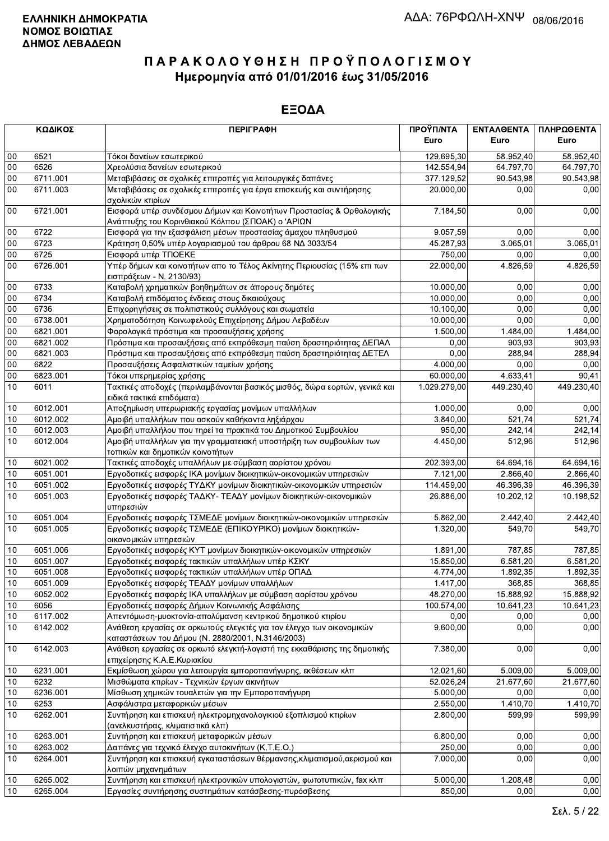|        | ΚΩΔΙΚΟΣ  | <b>ПЕРІГРАФН</b>                                                                                                          | ΠΡΟΫΠ/ΝΤΑ<br>Euro | ΕΝΤΑΛΘΕΝΤΑ<br>Euro | ΠΛΗΡΩΘΕΝΤΑ<br>Euro |
|--------|----------|---------------------------------------------------------------------------------------------------------------------------|-------------------|--------------------|--------------------|
| 00     | 6521     | Τόκοι δανείων εσωτερικού                                                                                                  | 129.695,30        | 58.952,40          | 58.952,40          |
| 00     | 6526     | Χρεολύσια δανείων εσωτερικού                                                                                              | 142.554,94        | 64.797,70          | 64.797,70          |
| 00     | 6711.001 | Μεταβιβάσεις σε σχολικές επιτροπές για λειτουργικές δαπάνες                                                               | 377.129,52        | 90.543,98          | 90.543,98          |
| 00     | 6711.003 | Μεταβιβάσεις σε σχολικές επιτροπές για έργα επισκευής και συντήρησης<br>σχολικών κτιρίων                                  | 20.000,00         | 0,00               | 0,00               |
| $00\,$ | 6721.001 | Εισφορά υπέρ συνδέσμου Δήμων και Κοινοτήτων Προστασίας & Ορθολογικής<br>Ανάπτυξης του Κορινθιακού Κόλπου (ΣΠΟΑΚ) ο 'ΑΡΙΩΝ | 7.184,50          | 0,00               | 0,00               |
| 00     | 6722     | Εισφορά για την εξασφάλιση μέσων προστασίας άμαχου πληθυσμού                                                              | 9.057,59          | 0,00               | 0,00               |
| 00     | 6723     | Κράτηση 0,50% υπέρ λογαριασμού του άρθρου 68 ΝΔ 3033/54                                                                   | 45.287,93         | 3.065,01           | 3.065,01           |
| $00\,$ | 6725     | Εισφορά υπέρ ΤΠΟΕΚΕ                                                                                                       | 750,00            | 0.00               | 0,00               |
| 00     | 6726.001 | Υπέρ δήμων και κοινοτήτων απο το Τέλος Ακίνητης Περιουσίας (15% επι των<br>εισπράξεων - Ν. 2130/93)                       | 22.000,00         | 4.826,59           | 4.826,59           |
| $00\,$ | 6733     | Καταβολή χρηματικών βοηθημάτων σε άπορους δημότες                                                                         | 10.000,00         | 0,00               | 0,00               |
| 00     | 6734     | Καταβολή επιδόματος ένδειας στους δικαιούχους                                                                             | 10.000,00         | 0,00               | 0,00               |
| 00     | 6736     | Επιχορηγήσεις σε πολιτιστικούς συλλόγους και σωματεία                                                                     | 10.100,00         | 0,00               | 0,00               |
| 00     | 6738.001 | Χρηματοδότηση Κοινωφελούς Επιχείρησης Δήμου Λεβαδέων                                                                      | 10.000,00         | 0,00               | 0,00               |
| 00     | 6821.001 | Φορολογικά πρόστιμα και προσαυξήσεις χρήσης                                                                               | 1.500,00          | 1.484,00           | 1.484,00           |
| 00     | 6821.002 | Πρόστιμα και προσαυξήσεις από εκπρόθεσμη παύση δραστηριότητας ΔΕΠΑΛ                                                       | 0,00              | 903,93             | 903,93             |
| $00\,$ | 6821.003 | Πρόστιμα και προσαυξήσεις από εκπρόθεσμη παύση δραστηριότητας ΔΕΤΕΛ                                                       | 0,00              | 288,94             | 288,94             |
| 00     | 6822     | Προσαυξήσεις Ασφαλιστικών ταμείων χρήσης                                                                                  | 4.000,00          | 0,00               | 0,00               |
| $00\,$ | 6823.001 | Τόκοι υπερημερίας χρήσης                                                                                                  | 60.000,00         | 4.633,41           | 90,41              |
| 10     | 6011     | Τακτικές αποδοχές (περιλαμβάνονται βασικός μισθός, δώρα εορτών, γενικά και<br>ειδικά τακτικά επιδόματα)                   | 1.029.279,00      | 449.230,40         | 449.230,40         |
| 10     | 6012.001 | Αποζημίωση υπερωριακής εργασίας μονίμων υπαλλήλων                                                                         | 1.000.00          | 0,00               | 0,00               |
| $10$   | 6012.002 | Αμοιβή υπαλλήλων που ασκούν καθήκοντα ληξιάρχου                                                                           | 3.840,00          | 521,74             | 521,74             |
| $10$   | 6012.003 | Αμοιβή υπαλλήλου που τηρεί τα πρακτικά του Δημοτικού Συμβουλίου                                                           | 950,00            | 242,14             | 242,14             |
| 10     | 6012.004 | Αμοιβή υπαλλήλων για την γραμματειακή υποστήριξη των συμβουλίων των<br>τοπικών και δημοτικών κοινοτήτων                   | 4.450,00          | 512,96             | 512,96             |
| $10$   | 6021.002 | Τακτικές αποδοχές υπαλλήλων με σύμβαση αορίστου χρόνου                                                                    | 202.393,00        | 64.694,16          | 64.694,16          |
| 10     | 6051.001 | Εργοδοτικές εισφορές ΙΚΑ μονίμων διοικητικών-οικονομικών υπηρεσιών                                                        | 7.121,00          | 2.866,40           | 2.866,40           |
| 10     | 6051.002 | Εργοδοτικές εισφορές ΤΥΔΚΥ μονίμων διοικητικών-οικονομικών υπηρεσιών                                                      | 114.459,00        | 46.396,39          | 46.396,39          |
| 10     | 6051.003 | Εργοδοτικές εισφορές ΤΑΔΚΥ- ΤΕΑΔΥ μονίμων διοικητικών-οικονομικών<br>υπηρεσιών                                            | 26.886,00         | 10.202,12          | 10.198,52          |
| 10     | 6051.004 | Εργοδοτικές εισφορές ΤΣΜΕΔΕ μονίμων διοικητικών-οικονομικών υπηρεσιών                                                     | 5.862,00          | 2.442,40           | 2.442,40           |
| 10     | 6051.005 | Εργοδοτικές εισφορές ΤΣΜΕΔΕ (ΕΠΙΚΟΥΡΙΚΟ) μονίμων διοικητικών-<br>οικονομικών υπηρεσιών                                    | 1.320,00          | 549,70             | 549,70             |
| 10     | 6051.006 | Εργοδοτικές εισφορές ΚΥΤ μονίμων διοικητικών-οικονομικών υπηρεσιών                                                        | 1.891,00          | 787,85             | 787,85             |
| $10$   | 6051.007 | Εργοδοτικές εισφορές τακτικών υπαλλήλων υπέρ ΚΣΚΥ                                                                         | 15.850,00         | 6.581,20           | 6.581,20           |
| 10     | 6051.008 | Εργοδοτικές εισφορές τακτικών υπαλλήλων υπέρ ΟΠΑΔ                                                                         | 4.774,00          | 1.892,35           | 1.892,35           |
| 10     | 6051.009 | Εργοδοτικές εισφορές ΤΕΑΔΥ μονίμων υπαλλήλων                                                                              | 1.417,00          | 368,85             | 368,85             |
| 10     | 6052.002 | Εργοδοτικές εισφορές ΙΚΑ υπαλλήλων με σύμβαση αορίστου χρόνου                                                             | 48.270,00         | 15.888,92          | 15.888,92          |
| 10     | 6056     | Εργοδοτικές εισφορές Δήμων Κοινωνικής Ασφάλισης                                                                           | 100.574,00        | 10.641,23          | 10.641,23          |
| 10     | 6117.002 | Απεντόμωση-μυοκτονία-απολύμανση κεντρικού δημοτικού κτιρίου                                                               | 0,00              | 0,00               | 0,00               |
| 10     | 6142.002 | Ανάθεση εργασίας σε ορκωτούς ελεγκτές για τον έλεγχο των οικονομικών<br>καταστάσεων του Δήμου (Ν. 2880/2001, Ν.3146/2003) | 9.600,00          | 0,00               | 0,00               |
| 10     | 6142.003 | Ανάθεση εργασίας σε ορκωτό ελεγκτή-λογιστή της εκκαθάρισης της δημοτικής<br>επιχείρησης Κ.Α.Ε.Κυριακίου                   | 7.380,00          | 0,00               | 0,00               |
| 10     | 6231.001 | Εκμίσθωση χώρου για λειτουργία εμποροπανήγυρης, εκθέσεων κλπ                                                              | 12.021,60         | 5.009,00           | 5.009,00           |
| 10     | 6232     | Μισθώματα κτιρίων - Τεχνικών έργων ακινήτων                                                                               | 52.026,24         | 21.677,60          | 21.677,60          |
| $10$   | 6236.001 | Μίσθωση χημικών τουαλετών για την Εμποροπανήγυρη                                                                          | 5.000,00          | 0,00               | 0,00               |
| 10     | 6253     | Ασφάλιστρα μεταφορικών μέσων                                                                                              | 2.550,00          | 1.410,70           | 1.410,70           |
| $10$   | 6262.001 | Συντήρηση και επισκευή ηλεκτρομηχανολογικιού εξοπλισμού κτιρίων<br>(ανελκυστήρας, κλιματιστικά κλπ)                       | 2.800,00          | 599,99             | 599,99             |
| $10$   | 6263.001 | Συντήρηση και επισκευή μεταφορικών μέσων                                                                                  | 6.800,00          | 0,00               | 0,00               |
| 10     | 6263.002 | Δαπάνες για τεχνικό έλεγχο αυτοκινήτων (Κ.Τ.Ε.Ο.)                                                                         | 250,00            | 0,00               | 0,00               |
| 10     | 6264.001 | Συντήρηση και επισκευή εγκαταστάσεων θέρμανσης, κλιματισμού, αερισμού και<br>λοιπών μηχανημάτων                           | 7.000,00          | 0,00               | 0,00               |
| 10     | 6265.002 | Συντήρηση και επισκευή ηλεκτρονικών υπολογιστών, φωτοτυπικών, fax κλπ                                                     | 5.000,00          | 1.208,48           | 0,00               |
| 10     | 6265.004 | Εργασίες συντήρησης συστημάτων κατάσβεσης-πυρόσβεσης                                                                      | 850,00            | 0,00               | 0,00               |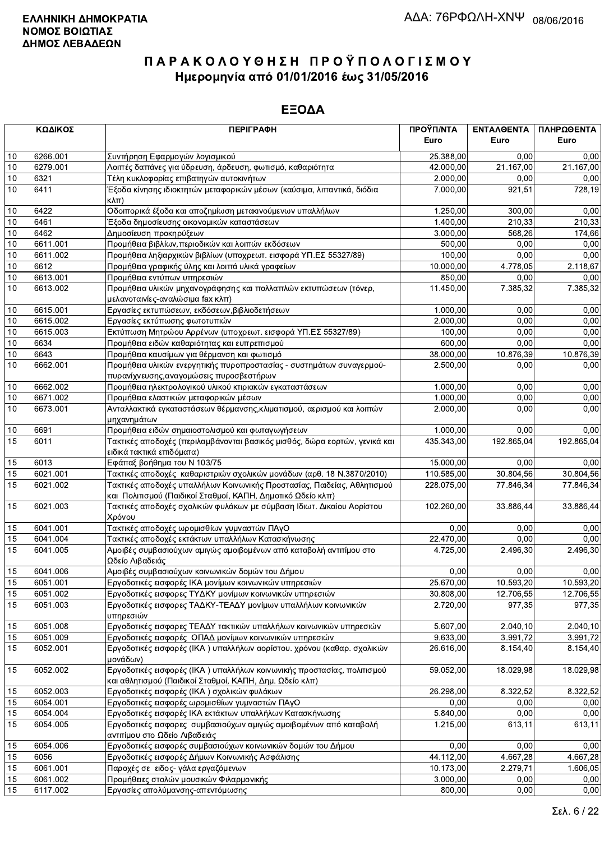|          | ΚΩΔΙΚΟΣ          | <b>ПЕРІГРАФН</b>                                                                                                                       | ΠΡΟΫΠ/ΝΤΑ        | ΕΝΤΑΛΘΕΝΤΑ   | ΠΛΗΡΩΘΕΝΤΑ   |
|----------|------------------|----------------------------------------------------------------------------------------------------------------------------------------|------------------|--------------|--------------|
|          |                  |                                                                                                                                        | Euro             | Euro         | Euro         |
| 10       | 6266.001         | Συντήρηση Εφαρμογών λογισμικού                                                                                                         | 25.388,00        | 0.00         | 0,00         |
| 10       | 6279.001         | Λοιπές δαπάνες για ύδρευση, άρδευση, φωτισμό, καθαριότητα                                                                              | 42.000,00        | 21.167,00    | 21.167,00    |
| 10       | 6321             | Τέλη κυκλοφορίας επιβατηγών αυτοκινήτων                                                                                                | 2.000,00         | 0,00         | 0,00         |
| 10       | 6411             | Έξοδα κίνησης ιδιοκτητών μεταφορικών μέσων (καύσιμα, λιπαντικά, διόδια<br>$\kappa\lambda\pi$ )                                         | 7.000,00         | 921,51       | 728,19       |
| 10       | 6422             | Οδοιπορικά έξοδα και αποζημίωση μετακινούμενων υπαλλήλων                                                                               | 1.250,00         | 300,00       | 0,00         |
| 10       | 6461             | Έξοδα δημοσίευσης οικονομικών καταστάσεων                                                                                              | 1.400,00         | 210,33       | 210,33       |
| 10       | 6462             | Δημοσίευση προκηρύξεων                                                                                                                 | 3.000,00         | 568,26       | 174,66       |
| 10       | 6611.001         | Προμήθεια βιβλίων, περιοδικών και λοιπών εκδόσεων                                                                                      | 500,00           | 0,00         | 0,00         |
| 10       | 6611.002         | Προμήθεια ληξιαρχικών βιβλίων (υποχρεωτ. εισφορά ΥΠ.ΕΣ 55327/89)                                                                       | 100,00           | 0,00         | 0,00         |
| $10$     | 6612             | Προμήθεια γραφικής ύλης και λοιπά υλικά γραφείων                                                                                       | 10.000,00        | 4.778,05     | 2.118,67     |
| 10       | 6613.001         | Προμήθεια εντύπων υπηρεσιών                                                                                                            | 850,00           | 0,00         | 0,00         |
| 10       | 6613.002         | Προμήθεια υλικών μηχανογράφησης και πολλαπλών εκτυπώσεων (τόνερ,                                                                       | 11.450,00        | 7.385,32     | 7.385,32     |
|          |                  | μελανοταινίες-αναλώσιμα fax κλπ)                                                                                                       |                  |              |              |
| 10       | 6615.001         | Εργασίες εκτυπώσεων, εκδόσεων, βιβλιοδετήσεων                                                                                          | 1.000,00         | 0,00         | 0,00         |
| $10$     | 6615.002         | Εργασίες εκτύπωσης φωτοτυπιών                                                                                                          | 2.000,00         | 0,00         | 0,00         |
| 10<br>10 | 6615.003<br>6634 | Εκτύπωση Μητρώου Αρρένων (υποχρεωτ. εισφορά ΥΠ.ΕΣ 55327/89)                                                                            | 100,00<br>600,00 | 0,00<br>0,00 | 0,00<br>0,00 |
| 10       | 6643             | Προμήθεια ειδών καθαριότητας και ευπρεπισμού<br>Προμήθεια καυσίμων για θέρμανση και φωτισμό                                            | 38.000,00        | 10.876,39    | 10.876,39    |
| 10       | 6662.001         | Προμήθεια υλικών ενεργητικής πυροπροστασίας - συστημάτων συναγερμού-                                                                   | 2.500,00         | 0,00         | 0,00         |
|          |                  | πυρανίχνευσης, αναγομώσεις πυροσβεστήρων                                                                                               |                  |              |              |
| 10       | 6662.002         | Προμήθεια ηλεκτρολογικού υλικού κτιριακών εγκαταστάσεων                                                                                | 1.000,00         | 0,00         | 0,00         |
| 10       | 6671.002         | Προμήθεια ελαστικών μεταφορικών μέσων                                                                                                  | 1.000,00         | 0,00         | 0,00         |
| 10       | 6673.001         | Ανταλλακτικά εγκαταστάσεων θέρμανσης, κλιματισμού, αερισμού και λοιπών<br>μηχανημάτων                                                  | 2.000,00         | 0,00         | 0,00         |
| 10       | 6691             | Προμήθεια ειδών σημαιοστολισμού και φωταγωγήσεων                                                                                       | 1.000,00         | 0,00         | 0,00         |
| 15       | 6011             | Τακτικές αποδοχές (περιλαμβάνονται βασικός μισθός, δώρα εορτών, γενικά και<br>ειδικά τακτικά επιδόματα)                                | 435.343,00       | 192.865,04   | 192.865,04   |
| 15       | 6013             | Εφάπαξ βοήθημα του Ν 103/75                                                                                                            | 15.000,00        | 0,00         | 0.00         |
| 15       | 6021.001         | Τακτικές αποδοχές καθαριστριών σχολικών μονάδων (αρθ. 18 Ν.3870/2010)                                                                  | 110.585,00       | 30.804,56    | 30.804,56    |
| 15       | 6021.002         | Τακτικές αποδοχές υπαλλήλων Κοινωνικής Προστασίας, Παιδείας, Αθλητισμού<br>και Πολιτισμού (Παιδικοί Σταθμοί, ΚΑΠΗ, Δημοτικό Ωδείο κλπ) | 228.075,00       | 77.846,34    | 77.846,34    |
| 15       | 6021.003         | Τακτικές αποδοχές σχολικών φυλάκων με σύμβαση Ιδιωτ. Δικαίου Αορίστου                                                                  | 102.260,00       | 33.886,44    | 33.886,44    |
| 15       | 6041.001         | Χρόνου<br>Τακτικές αποδοχές ωρομισθίων γυμναστών ΠΑγΟ                                                                                  | 0,00             | 0,00         | 0,00         |
| 15       | 6041.004         | Τακτικές αποδοχές εκτάκτων υπαλλήλων Κατασκήνωσης                                                                                      | 22.470,00        | 0,00         | 0,00         |
| 15       | 6041.005         | Αμοιβές συμβασιούχων αμιγώς αμοιβομένων από καταβολή αντιτίμου στο                                                                     | 4.725,00         | 2.496,30     | 2.496,30     |
|          |                  | Ωδείο Λιβαδειάς                                                                                                                        |                  |              |              |
| 15       | 6041.006         | Αμοιβές συμβασιούχων κοινωνικών δομών του Δήμου                                                                                        | 0,00             | 0,00         | 0,00         |
| 15       | 6051.001         | Εργοδοτικές εισφορές ΙΚΑ μονίμων κοινωνικών υπηρεσιών                                                                                  | 25.670,00        | 10.593,20    | 10.593,20    |
| 15       | 6051.002         | Εργοδοτικές εισφορες ΤΥΔΚΥ μονίμων κοινωνικών υπηρεσιών                                                                                | 30.808,00        | 12.706,55    | 12.706,55    |
| 15       | 6051.003         | Εργοδοτικές εισφορες ΤΑΔΚΥ-ΤΕΑΔΥ μονίμων υπαλλήλων κοινωνικών<br>υπηρεσιών                                                             | 2.720,00         | 977,35       | 977,35       |
| 15       | 6051.008         | Εργοδοτικές εισφορες ΤΕΑΔΥ τακτικών υπαλλήλων κοινωνικών υπηρεσιών                                                                     | 5.607,00         | 2.040,10     | 2.040,10     |
| 15       | 6051.009         | Εργοδοτικές εισφορές ΟΠΑΔ μονίμων κοινωνικών υπηρεσιών                                                                                 | 9.633,00         | 3.991,72     | 3.991,72     |
| 15       | 6052.001         | Εργοδοτικές εισφορές (ΙΚΑ) υπαλλήλων αορίστου. χρόνου (καθαρ. σχολικών<br>μονάδων)                                                     | 26.616,00        | 8.154,40     | 8.154,40     |
| 15       | 6052.002         | Εργοδοτικές εισφορές (ΙΚΑ) υπαλλήλων κοινωνικής προστασίας, πολιτισμού<br>και αθλητισμού (Παιδικοί Σταθμοί, ΚΑΠΗ, Δημ. Ωδείο κλπ)      | 59.052,00        | 18.029,98    | 18.029,98    |
| 15       | 6052.003         | Εργοδοτικές εισφορές (ΙΚΑ) σχολικών φυλάκων                                                                                            | 26.298,00        | 8.322,52     | 8.322,52     |
| 15       | 6054.001         | Εργοδοτικές εισφορές ωρομισθίων γυμναστών ΠΑγΟ                                                                                         | 0,00             | 0,00         | 0,00         |
| 15       | 6054.004         | Εργοδοτικές εισφορές ΙΚΑ εκτάκτων υπαλλήλων Κατασκήνωσης                                                                               | 5.840,00         | 0,00         | 0,00         |
| 15       | 6054.005         | Εργοδοτικές εισφορες συμβασιούχων αμιγώς αμοιβομένων από καταβολή                                                                      | 1.215,00         | 613,11       | 613,11       |
|          |                  | αντιτίμου στο Ωδείο Λιβαδειάς                                                                                                          |                  |              |              |
| 15       | 6054.006         | Εργοδοτικές εισφορές συμβασιούχων κοινωνικών δομών του Δήμου                                                                           | 0,00             | 0,00         | 0,00         |
| 15       | 6056             | Εργοδοτικές εισφορές Δήμων Κοινωνικής Ασφάλισης                                                                                        | 44.112,00        | 4.667,28     | 4.667,28     |
| 15       | 6061.001         | Παροχές σε ειδος- γάλα εργαζόμενων                                                                                                     | 10.173,00        | 2.279,71     | 1.606,05     |
| 15       | 6061.002         | Προμήθειες στολών μουσικών Φιλαρμονικής                                                                                                | 3.000,00         | 0,00         | 0,00         |
| 15       | 6117.002         | Εργασίες απολύμανσης-απεντόμωσης                                                                                                       | 800,00           | 0,00         | 0,00         |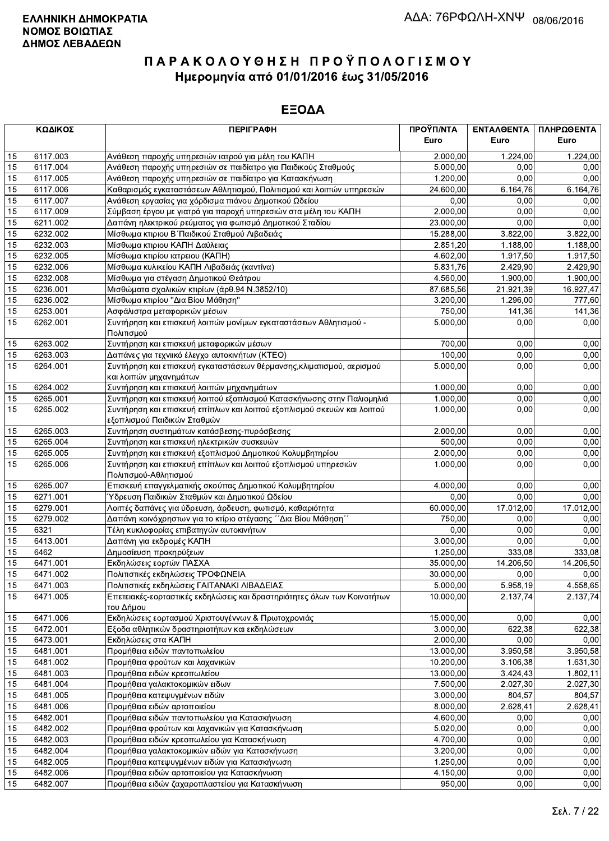|    | ΚΩΔΙΚΟΣ  | <b>ПЕРІГРАФН</b>                                                                      | ΠΡΟΫΠ/ΝΤΑ | ΕΝΤΑΛΘΕΝΤΑ | ΠΛΗΡΩΘΕΝΤΑ |
|----|----------|---------------------------------------------------------------------------------------|-----------|------------|------------|
|    |          |                                                                                       | Euro      | Euro       | Euro       |
| 15 | 6117.003 | Ανάθεση παροχής υπηρεσιών ιατρού για μέλη του ΚΑΠΗ                                    | 2.000,00  | 1.224,00   | 1.224,00   |
| 15 | 6117.004 | Ανάθεση παροχής υπηρεσιών σε παιδίατρο για Παιδικούς Σταθμούς                         | 5.000,00  | 0.00       | 0,00       |
| 15 | 6117.005 | Ανάθεση παροχής υπηρεσιών σε παιδίατρο για Κατασκήνωση                                | 1.200,00  | 0,00       | 0,00       |
| 15 | 6117.006 | Καθαρισμός εγκαταστάσεων Αθλητισμού, Πολιτισμού και λοιπών υπηρεσιών                  | 24.600,00 | 6.164,76   | 6.164,76   |
| 15 | 6117.007 | Ανάθεση εργασίας για χόρδισμα πιάνου Δημοτικού Ωδείου                                 | 0,00      | 0,00       | 0,00       |
| 15 | 6117.009 | Σύμβαση έργου με γιατρό για παροχή υπηρεσιών στα μέλη του ΚΑΠΗ                        | 2.000,00  | 0,00       | 0,00       |
| 15 | 6211.002 | Δαπάνη ηλεκτρικού ρεύματος για φωτισμό Δημοτικού Σταδίου                              | 23.000,00 | 0,00       | 0,00       |
| 15 | 6232.002 | Μίσθωμα κτιριου Β΄ Παιδικού Σταθμού Λιβαδειάς                                         | 15.288,00 | 3.822,00   | 3.822,00   |
| 15 | 6232.003 | Μίσθωμα κτιριου ΚΑΠΗ Δαύλειας                                                         | 2.851,20  | 1.188,00   | 1.188,00   |
| 15 | 6232.005 | Μίσθωμα κτιρίου ιατρειου (ΚΑΠΗ)                                                       | 4.602,00  | 1.917,50   | 1.917,50   |
| 15 | 6232.006 | Μίσθωμα κυλικείου ΚΑΠΗ Λιβαδειάς (καντίνα)                                            | 5.831,76  | 2.429,90   | 2.429,90   |
| 15 | 6232.008 | Μίσθωμα για στέγαση Δημοτικού Θεάτρου                                                 | 4.560,00  | 1.900,00   | 1.900,00   |
| 15 | 6236.001 | Μισθώματα σχολικών κτιρίων (άρθ.94 Ν.3852/10)                                         | 87.685,56 | 21.921,39  | 16.927,47  |
| 15 | 6236.002 | Μίσθωμα κτιρίου "Δια Βίου Μάθηση"                                                     | 3.200,00  | 1.296,00   | 777,60     |
| 15 | 6253.001 | Ασφάλιστρα μεταφορικών μέσων                                                          | 750,00    | 141,36     | 141,36     |
| 15 | 6262.001 | Συντήρηση και επισκευή λοιπών μονίμων εγκαταστάσεων Αθλητισμού -<br>Πολιτισμού        | 5.000,00  | 0,00       | 0,00       |
| 15 | 6263.002 | Συντήρηση και επισκευή μεταφορικών μέσων                                              | 700,00    | 0,00       | 0,00       |
| 15 | 6263.003 | Δαπάνες για τεχνιικό έλεγχο αυτοκινήτων (ΚΤΕΟ)                                        | 100,00    | 0,00       | 0,00       |
| 15 | 6264.001 | Συντήρηση και επισκευή εγκαταστάσεων θέρμανσης, κλιματισμού, αερισμού                 | 5.000.00  | 0,00       | 0,00       |
|    |          | και λοιπών μηχανημάτων                                                                |           |            |            |
| 15 | 6264.002 | Συντήρηση και επισκευή λοιπών μηχανημάτων                                             | 1.000,00  | 0,00       | 0,00       |
| 15 | 6265.001 | Συντήρηση και επισκευή λοιπού εξοπλισμού Κατασκήνωσης στην Παλιομηλιά                 | 1.000,00  | 0,00       | 0,00       |
| 15 | 6265.002 | Συντήρηση και επισκευή επίπλων και λοιπού εξοπλισμού σκευών και λοιπού                | 1.000,00  | 0,00       | 0,00       |
|    |          | εξοπλισμού Παιδικών Σταθμών                                                           |           |            |            |
| 15 | 6265.003 | Συντήρηση συστημάτων κατάσβεσης-πυρόσβεσης                                            | 2.000,00  | 0,00       | 0,00       |
| 15 | 6265.004 | Συντήρηση και επισκευή ηλεκτρικών συσκευών                                            | 500,00    | 0,00       | 0,00       |
| 15 | 6265.005 | Συντήρηση και επισκευή εξοπλισμού Δημοτικού Κολυμβητηρίου                             | 2.000,00  | 0,00       | 0,00       |
| 15 | 6265.006 | Συντήρηση και επισκευή επίπλων και λοιπού εξοπλισμού υπηρεσιών                        | 1.000,00  | 0,00       | 0,00       |
|    |          | Πολιτισμού-Αθλητισμού                                                                 |           |            |            |
| 15 | 6265.007 | Επισκευή επαγγελματικής σκούπας Δημοτικού Κολυμβητηρίου                               | 4.000,00  | 0,00       | 0,00       |
| 15 | 6271.001 | Ύδρευση Παιδικών Σταθμών και Δημοτικού Ωδείου                                         | 0,00      | 0,00       | 0,00       |
| 15 | 6279.001 | Λοιπές δαπάνες για ύδρευση, άρδευση, φωτισμό, καθαριότητα                             | 60.000,00 | 17.012,00  | 17.012,00  |
| 15 | 6279.002 | Δαπάνη κοινόχρηστων για το κτίριο στέγασης ΄΄Δια Βίου Μάθηση΄΄                        | 750,00    | 0.00       | 0,00       |
| 15 | 6321     | Τέλη κυκλοφορίας επιβατηγών αυτοκινήτων                                               | 0,00      | 0,00       | 0,00       |
| 15 | 6413.001 | Δαπάνη για εκδρομές ΚΑΠΗ                                                              | 3.000,00  | 0,00       | 0,00       |
| 15 | 6462     | Δημοσίευση προκηρύξεων                                                                | 1.250,00  | 333,08     | 333,08     |
| 15 | 6471.001 | Εκδηλώσεις εορτών ΠΑΣΧΑ                                                               | 35.000,00 | 14.206,50  | 14.206,50  |
| 15 | 6471.002 | Πολιτιστικές εκδηλώσεις ΤΡΟΦΩΝΕΙΑ                                                     | 30.000,00 | 0,00       | 0,00       |
| 15 | 6471.003 | Πολιτιστικές εκδηλώσεις ΓΑΙΤΑΝΑΚΙ ΛΙΒΑΔΕΙΑΣ                                           | 5.000,00  | 5.958,19   | 4.558,65   |
| 15 | 6471.005 | Επετειακές-εορταστικές εκδηλώσεις και δραστηριότητες όλων των Κοινοτήτων<br>του Δήμου | 10.000,00 | 2.137,74   | 2.137,74   |
| 15 | 6471.006 | Εκδηλώσεις εορτασμού Χριστουγέννων & Πρωτοχρονιάς                                     | 15.000,00 | 0,00       | 0,00       |
| 15 | 6472.001 | Εξοδα αθλητικών δραστηριοτήτων και εκδηλώσεων                                         | 3.000,00  | 622,38     | 622,38     |
| 15 | 6473.001 | Εκδηλώσεις στα ΚΑΠΗ                                                                   | 2.000,00  | 0,00       | 0,00       |
| 15 | 6481.001 | Προμήθεια ειδών παντοπωλείου                                                          | 13.000,00 | 3.950,58   | 3.950,58   |
| 15 | 6481.002 | Προμήθεια φρούτων και λαχανικών                                                       | 10.200,00 | 3.106,38   | 1.631,30   |
| 15 | 6481.003 | Προμήθεια ειδών κρεοπωλείου                                                           | 13.000,00 | 3.424,43   | 1.802,11   |
| 15 | 6481.004 | Προμήθεια γαλακτοκομικών ειδων                                                        | 7.500,00  | 2.027,30   | 2.027,30   |
| 15 | 6481.005 | Προμήθεια κατεψυγμένων ειδών                                                          | 3.000,00  | 804,57     | 804,57     |
| 15 | 6481.006 | Προμήθεια ειδών αρτοποιείου                                                           | 8.000,00  | 2.628,41   | 2.628,41   |
| 15 | 6482.001 | Προμήθεια ειδών παντοπωλείου για Κατασκήνωση                                          | 4.600,00  | 0,00       | 0,00       |
| 15 | 6482.002 | Προμήθεια φρούτων και λαχανικών για Κατασκήνωση                                       | 5.020,00  | 0,00       | 0,00       |
| 15 | 6482.003 | Προμήθεια ειδών κρεοπωλείου για Κατασκήνωση                                           | 4.700,00  | 0,00       | 0,00       |
| 15 | 6482.004 | Προμήθεια γαλακτοκομικών ειδών για Κατασκήνωση                                        | 3.200,00  | 0,00       | 0,00       |
| 15 | 6482.005 | Προμήθεια κατεψυγμένων ειδών για Κατασκήνωση                                          | 1.250,00  | 0,00       | 0,00       |
| 15 | 6482.006 | Προμήθεια ειδών αρτοποιείου για Κατασκήνωση                                           | 4.150,00  | 0,00       | 0,00       |
| 15 | 6482.007 | Προμήθεια ειδών ζαχαροπλαστείου για Κατασκήνωση                                       | 950,00    | 0,00       | 0,00       |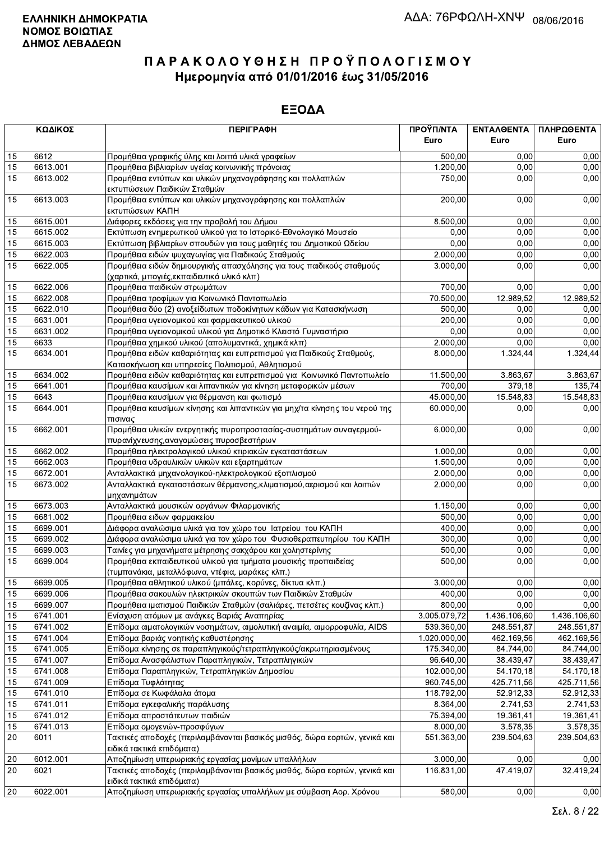|            | ΚΩΔΙΚΟΣ  | <b>ПЕРІГРАФН</b>                                                                                                         | ΠΡΟΫΠ/ΝΤΑ    | ΕΝΤΑΛΘΕΝΤΑ   | ΠΛΗΡΩΘΕΝΤΑ   |
|------------|----------|--------------------------------------------------------------------------------------------------------------------------|--------------|--------------|--------------|
|            |          |                                                                                                                          | Euro         | Euro         | Euro         |
| 15         | 6612     | Προμήθεια γραφικής ύλης και λοιπά υλικά γραφείων                                                                         | 500,00       | 0,00         | 0,00         |
| 15         | 6613.001 | Προμήθεια βιβλιαρίων υγείας κοινωνικής πρόνοιας                                                                          | 1.200,00     | 0.00         | 0,00         |
| 15         | 6613.002 | Προμήθεια εντύπων και υλικών μηχανογράφησης και πολλαπλών<br>εκτυπώσεων Παιδικών Σταθμών                                 | 750,00       | 0,00         | 0,00         |
| 15         | 6613.003 | Προμήθεια εντύπων και υλικών μηχανογράφησης και πολλαπλών<br>εκτυπώσεων ΚΑΠΗ                                             | 200,00       | 0,00         | 0,00         |
| 15         | 6615.001 | Διάφορες εκδόσεις για την προβολή του Δήμου                                                                              | 8.500,00     | 0,00         | 0,00         |
| 15         | 6615.002 | Εκτύπωση ενημερωτικού υλικού για το Ιστορικό-Εθνολογικό Μουσείο                                                          | 0,00         | 0,00         | 0,00         |
| 15         | 6615.003 | Εκτύπωση βιβλιαρίων σπουδών για τους μαθητές του Δημοτικού Ωδείου                                                        | 0,00         | 0,00         | 0,00         |
| 15         | 6622.003 | Προμήθεια ειδών ψυχαγωγίας για Παιδικούς Σταθμούς                                                                        | 2.000,00     | 0,00         | 0,00         |
| 15         | 6622.005 | Προμήθεια ειδών δημιουργικής απασχόλησης για τους παιδικούς σταθμούς<br>(χαρτικά, μπογιές, εκπαιδευτικό υλικό κλπ)       | 3.000,00     | 0,00         | 0,00         |
| 15         | 6622.006 | Προμήθεια παιδικών στρωμάτων                                                                                             | 700,00       | 0,00         | 0,00         |
| 15         | 6622.008 | Προμήθεια τροφίμων για Κοινωνικό Παντοπωλείο                                                                             | 70.500,00    | 12.989,52    | 12.989,52    |
| 15         | 6622.010 | Προμήθεια δύο (2) ανοξείδωτων ποδοκίνητων κάδων για Κατασκήνωση                                                          | 500,00       | 0,00         | 0,00         |
| 15         | 6631.001 | Προμήθεια υγειονομικού και φαρμακευτικού υλικού                                                                          | 200,00       | 0,00         | 0,00         |
| 15         | 6631.002 | Προμήθεια υγειονομικού υλικού για Δημοτικό Κλειστό Γυμναστήριο                                                           | 0.00         | 0,00         | 0,00         |
| 15         | 6633     | Προμήθεια χημικού υλικού (απολυμαντικά, χημικά κλπ)                                                                      | 2.000,00     | 0,00         | 0,00         |
| 15         | 6634.001 | Προμήθεια ειδών καθαριότητας και ευπρεπισμού για Παιδικούς Σταθμούς,<br>Κατασκήνωση και υπηρεσίες Πολιτισμού, Αθλητισμού | 8.000,00     | 1.324,44     | 1.324,44     |
| 15         | 6634.002 | Προμήθεια ειδών καθαριότητας και ευπρεπισμού για Κοινωνικό Παντοπωλείο                                                   | 11.500,00    | 3.863,67     | 3.863,67     |
| 15         | 6641.001 | Προμήθεια καυσίμων και λιπαντικών για κίνηση μεταφορικών μέσων                                                           | 700,00       | 379,18       | 135,74       |
| 15         | 6643     | Προμήθεια καυσίμων για θέρμανση και φωτισμό                                                                              | 45.000,00    | 15.548,83    | 15.548,83    |
| 15         | 6644.001 | Προμήθεια καυσίμων κίνησης και λιπαντικών για μηχ/τα κίνησης του νερού της<br>πισινας                                    | 60.000,00    | 0,00         | 0,00         |
| 15         | 6662.001 | Προμήθεια υλικών ενεργητικής πυροπροστασίας-συστημάτων συναγερμού-<br>πυρανίχνευσης, αναγομώσεις πυροσβεστήρων           | 6.000,00     | 0,00         | 0,00         |
| 15         | 6662.002 | Προμήθεια ηλεκτρολογικού υλικού κτιριακών εγκαταστάσεων                                                                  | 1.000,00     | 0,00         | 0,00         |
| 15         | 6662.003 | Προμήθεια υδραυλικών υλικών και εξαρτημάτων                                                                              | 1.500,00     | 0,00         | 0,00         |
| 15         | 6672.001 | Ανταλλακτικά μηχανολογικού-ηλεκτρολογικού εξοπλισμού                                                                     | 2.000,00     | 0,00         | 0,00         |
| 15         | 6673.002 | Ανταλλακτικά εγκαταστάσεων θέρμανσης, κλιματισμού, αερισμού και λοιπών<br>μηχανημάτων                                    | 2.000,00     | 0,00         | 0,00         |
| 15         | 6673.003 | Ανταλλακτικά μουσικών οργάνων Φιλαρμονικής                                                                               | 1.150,00     | 0,00         | 0,00         |
| 15         | 6681.002 | Προμήθεια ειδων φαρμακείου                                                                                               | 500,00       | 0,00         | 0,00         |
| 15         | 6699.001 | Διάφορα αναλώσιμα υλικά για τον χώρο του Ιατρείου του ΚΑΠΗ                                                               | 400,00       | 0,00         | 0,00         |
| 15         | 6699.002 | Διάφορα αναλώσιμα υλικά για τον χώρο του Φυσιοθεραπευτηρίου του ΚΑΠΗ                                                     | 300,00       | 0,00         | 0,00         |
| 15         | 6699.003 | Ταινίες για μηχανήματα μέτρησης σακχάρου και χοληστερίνης                                                                | 500,00       | 0,00         | 0,00         |
| 15         | 6699.004 | Προμήθεια εκπαιδευτικού υλικού για τμήματα μουσικής προπαιδείας<br>(τυμπανάκια, μεταλλόφωνα, ντέφια, μαράκες κλπ.)       | 500,00       | 0,00         | 0,00         |
| 15         | 6699.005 | Προμήθεια αθλητικού υλικού (μπάλες, κορύνες, δίκτυα κλπ.)                                                                | 3.000,00     | 0,00         | 0,00         |
| 15         | 6699.006 | Προμήθεια σακουλών ηλεκτρικών σκουπών των Παιδικών Σταθμών                                                               | 400,00       | 0,00         | 0,00         |
| 15         | 6699.007 | Προμήθεια ιματισμού Παιδικών Σταθμών (σαλιάρες, πετσέτες κουζίνας κλπ.)                                                  | 800,00       | 0,00         | 0,00         |
| 15         | 6741.001 | Ενίσχυση ατόμων με ανάγκες Βαριάς Αναπηρίας                                                                              | 3.005.079,72 | 1.436.106,60 | 1.436.106,60 |
| 15         | 6741.002 | Επίδομα αιματολογικών νοσημάτων, αιμολυτική αναιμία, αιμορροφυλία, AIDS                                                  | 539.360,00   | 248.551,87   | 248.551,87   |
| 15         | 6741.004 | Επίδομα βαριάς νοητικής καθυστέρησης                                                                                     | 1.020.000,00 | 462.169,56   | 462.169,56   |
| 15         | 6741.005 | Επίδομα κίνησης σε παραπληγικούς/τετραπληγικούς/ακρωτηριασμένους                                                         | 175.340,00   | 84.744,00    | 84.744,00    |
| 15         | 6741.007 | Επίδομα Ανασφάλιστων Παραπληγικών, Τετραπληγικών                                                                         | 96.640,00    | 38.439,47    | 38.439,47    |
| 15         | 6741.008 | Επίδομα Παραπληγικών, Τετραπληγικών Δημοσίου                                                                             | 102.000,00   | 54.170.18    | 54.170,18    |
| 15         | 6741.009 | Επίδομα Τυφλότητας                                                                                                       | 960.745,00   | 425.711,56   | 425.711,56   |
| 15         | 6741.010 | Επίδομα σε Κωφάλαλα άτομα                                                                                                | 118.792,00   | 52.912,33    | 52.912,33    |
| 15         | 6741.011 | Επίδομα εγκεφαλικής παράλυσης                                                                                            | 8.364,00     | 2.741,53     | 2.741,53     |
| 15         | 6741.012 | Επίδομα απροστάτευτων παιδιών                                                                                            | 75.394,00    | 19.361,41    | 19.361,41    |
| 15         | 6741.013 | Επίδομα ομογενών-προσφύγων                                                                                               | 8.000,00     | 3.578,35     | 3.578,35     |
| 20         | 6011     | Τακτικές αποδοχές (περιλαμβάνονται βασικός μισθός, δώρα εορτών, γενικά και<br>ειδικά τακτικά επιδόματα)                  | 551.363,00   | 239.504,63   | 239.504,63   |
| 20         | 6012.001 | Αποζημίωση υπερωριακής εργασίας μονίμων υπαλλήλων                                                                        | 3.000,00     | 0,00         | 0,00         |
| 20         | 6021     | Τακτικές αποδοχές (περιλαμβάνονται βασικός μισθός, δώρα εορτών, γενικά και<br>ειδικά τακτικά επιδόματα)                  | 116.831,00   | 47.419,07    | 32.419,24    |
| $\vert$ 20 | 6022.001 | Αποζημίωση υπερωριακής εργασίας υπαλλήλων με σύμβαση Αορ. Χρόνου                                                         | 580,00       | 0,00         | 0,00         |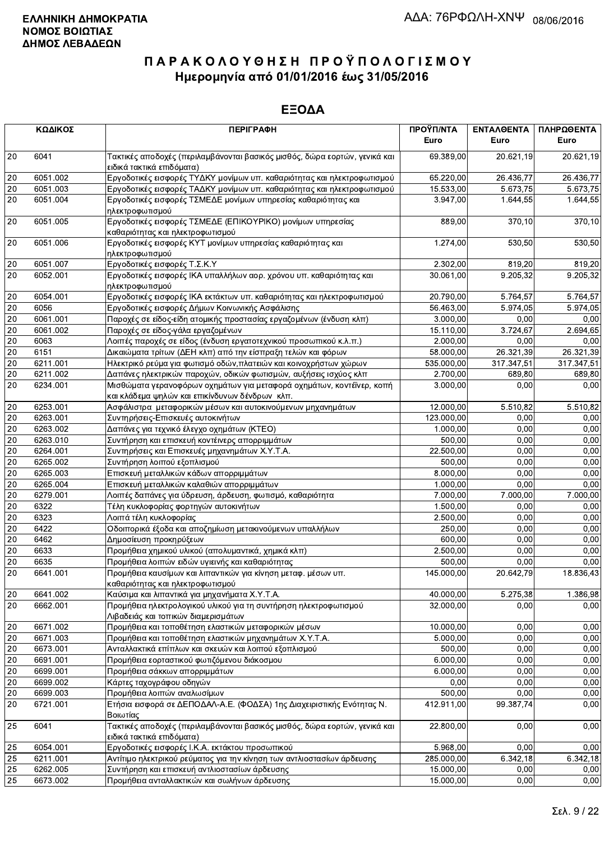|                 | ΚΩΔΙΚΟΣ  | <b>ПЕРІГРАФН</b>                                                                                                        | ΠΡΟΫΠ/ΝΤΑ<br>Euro | ΕΝΤΑΛΘΕΝΤΑ<br>Euro | ΠΛΗΡΩΘΕΝΤΑ<br>Euro |
|-----------------|----------|-------------------------------------------------------------------------------------------------------------------------|-------------------|--------------------|--------------------|
| 20              | 6041     | Τακτικές αποδοχές (περιλαμβάνονται βασικός μισθός, δώρα εορτών, γενικά και<br>ειδικά τακτικά επιδόματα)                 | 69.389,00         | 20.621,19          | 20.621,19          |
| 20              | 6051.002 | Εργοδοτικές εισφορές ΤΥΔΚΥ μονίμων υπ. καθαριότητας και ηλεκτροφωτισμού                                                 | 65.220,00         | 26.436,77          | 26.436,77          |
| 20              | 6051.003 | Εργοδοτικές εισφορές ΤΑΔΚΥ μονίμων υπ. καθαριότητας και ηλεκτροφωτισμού                                                 | 15.533,00         | 5.673,75           | 5.673,75           |
| 20              | 6051.004 | Εργοδοτικές εισφορές ΤΣΜΕΔΕ μονίμων υπηρεσίας καθαριότητας και<br>ηλεκτροφωτισμού                                       | 3.947,00          | 1.644,55           | 1.644,55           |
| 20              | 6051.005 | Εργοδοτικές εισφορές ΤΣΜΕΔΕ (ΕΠΙΚΟΥΡΙΚΟ) μονίμων υπηρεσίας<br>καθαριότητας και ηλεκτροφωτισμού                          | 889,00            | 370,10             | 370,10             |
| 20              | 6051.006 | Εργοδοτικές εισφορές ΚΥΤ μονίμων υπηρεσίας καθαριότητας και<br>ηλεκτροφωτισμού                                          | 1.274,00          | 530,50             | 530,50             |
| 20              | 6051.007 | Εργοδοτικές εισφορές Τ.Σ.Κ.Υ                                                                                            | 2.302,00          | 819,20             | 819,20             |
| 20              | 6052.001 | Εργοδοτικές εισφορές ΙΚΑ υπαλλήλων αορ. χρόνου υπ. καθαριότητας και<br>ηλεκτροφωτισμού                                  | 30.061,00         | 9.205,32           | 9.205,32           |
| 20              | 6054.001 | Εργοδοτικές εισφορές ΙΚΑ εκτάκτων υπ. καθαριότητας και ηλεκτροφωτισμού                                                  | 20.790,00         | 5.764,57           | 5.764,57           |
| 20              | 6056     | Εργοδοτικές εισφορές Δήμων Κοινωνικής Ασφάλισης                                                                         | 56.463,00         | 5.974,05           | 5.974,05           |
| $20\,$          | 6061.001 | Παροχές σε είδος-είδη ατομικής προστασίας εργαζομένων (ένδυση κλπ)                                                      | 3.000,00          | 0,00               | 0,00               |
| $\overline{20}$ | 6061.002 | Παροχές σε είδος-γάλα εργαζομένων                                                                                       | 15.110,00         | 3.724,67           | 2.694,65           |
| 20              | 6063     | Λοιπές παροχές σε είδος (ένδυση εργατοτεχνικού προσωπικού κ.λ.π.)                                                       | 2.000,00          | 0,00               | 0,00               |
| 20              | 6151     | Δικαιώματα τρίτων (ΔΕΗ κλπ) από την είσπραξη τελών και φόρων                                                            | 58.000,00         | 26.321,39          | 26.321,39          |
| 20              | 6211.001 | Ηλεκτρικό ρεύμα για φωτισμό οδών, πλατειών και κοινοχρήστων χώρων                                                       | 535.000,00        | 317.347,51         | 317.347,51         |
| $20\,$          | 6211.002 | Δαπάνες ηλεκτρικών παροχών, οδικών φωτισμών, αυξήσεις ισχύος κλπ                                                        | 2.700,00          | 689,80             | 689,80             |
| 20              | 6234.001 | Μισθώματα γερανοφόρων οχημάτων για μεταφορά οχημάτων, κοντέϊνερ, κοπή<br>και κλάδεμα ψηλών και επικίνδυνων δένδρων κλπ. | 3.000,00          | 0,00               | 0,00               |
| $20\,$          | 6253.001 | Ασφάλιστρα μεταφορικών μέσων και αυτοκινούμενων μηχανημάτων                                                             | 12.000,00         | 5.510,82           | 5.510,82           |
| $20\,$          | 6263.001 | Συντηρήσεις-Επισκευές αυτοκινήτων                                                                                       | 123.000,00        | 0,00               | 0,00               |
| 20              | 6263.002 | Δαπάνες για τεχνικό έλεγχο οχημάτων (ΚΤΕΟ)                                                                              | 1.000,00          | 0,00               | 0,00               |
| $\overline{20}$ | 6263.010 | Συντήρηση και επισκευή κοντέινερς απορριμμάτων                                                                          | 500,00            | 0,00               | 0,00               |
| 20              | 6264.001 | Συντηρήσεις και Επισκευές μηχανημάτων Χ.Υ.Τ.Α.                                                                          | 22.500,00         | 0,00               | 0,00               |
| 20              | 6265.002 | Συντήρηση λοιπού εξοπλισμού                                                                                             | 500,00            | 0,00               | 0,00               |
| $20\,$          | 6265.003 | Επισκευή μεταλλικών κάδων απορριμμάτων                                                                                  | 8.000,00          | 0,00               | 0,00               |
| $20\,$          | 6265.004 | Επισκευή μεταλλικών καλαθιών απορριμμάτων                                                                               | 1.000,00          | 0,00               | 0,00               |
| 20              | 6279.001 | Λοιπές δαπάνες για ύδρευση, άρδευση, φωτισμό, καθαριότητα                                                               | 7.000,00          | 7.000,00           | 7.000,00           |
| 20              | 6322     | Τέλη κυκλοφορίας φορτηγών αυτοκινήτων                                                                                   | 1.500,00          | 0,00               | 0,00               |
| $20\,$          | 6323     | Λοιπά τέλη κυκλοφορίας                                                                                                  | 2.500,00          | 0,00               | 0,00               |
| $20\,$          | 6422     | Οδοιπορικά έξοδα και αποζημίωση μετακινούμενων υπαλλήλων                                                                | 250,00            | 0,00               | 0,00               |
| 20              | 6462     | Δημοσίευση προκηρύξεων                                                                                                  | 600,00            | 0,00               | 0,00               |
| 20              | 6633     | Προμήθεια χημικού υλικού (απολυμαντικά, χημικά κλπ)                                                                     | 2.500,00          | 0,00               | 0,00               |
| $20\,$          | 6635     | Προμήθεια λοιπών ειδών υγιεινής και καθαριότητας                                                                        | 500,00            | 0,00               | 0,00               |
| 20              | 6641.001 | Προμήθεια καυσίμων και λιπαντικών για κίνηση μεταφ. μέσων υπ.<br>καθαριότητας και ηλεκτροφωτισμού                       | 145.000,00        | 20.642,79          | 18.836,43          |
| $20\,$          | 6641.002 | Καύσιμα και λιπαντικά για μηχανήματα Χ.Υ.Τ.Α.                                                                           | 40.000,00         | 5.275,38           | 1.386,98           |
| 20              | 6662.001 | Προμήθεια ηλεκτρολογικού υλικού για τη συντήρηση ηλεκτροφωτισμού<br>Λιβαδειάς και τοπικών διαμερισμάτων                 | 32.000,00         | 0,00               | 0,00               |
| $20\,$          | 6671.002 | Προμήθεια και τοποθέτηση ελαστικών μεταφορικών μέσων                                                                    | 10.000,00         | 0,00               | 0,00               |
| 20              | 6671.003 | Προμήθεια και τοποθέτηση ελαστικών μηχανημάτων Χ.Υ.Τ.Α.                                                                 | 5.000,00          | 0,00               | 0,00               |
| 20              | 6673.001 | Ανταλλακτικά επίπλων και σκευών και λοιπού εξοπλισμού                                                                   | 500,00            | 0,00               | 0,00               |
| $20\,$          | 6691.001 | Προμήθεια εορταστικού φωτιζόμενου διάκοσμου                                                                             | 6.000,00          | 0,00               | 0,00               |
| $20\,$          | 6699.001 | Προμήθεια σάκκων απορριμμάτων                                                                                           | 6.000,00          | 0,00               | 0,00               |
| 20              | 6699.002 | Κάρτες ταχογράφου οδηγών                                                                                                | 0,00              | 0,00               | 0,00               |
| $20\,$          | 6699.003 | Προμήθεια λοιπών αναλωσίμων                                                                                             | 500,00            | 0,00               | 0,00               |
| $\overline{20}$ | 6721.001 | Ετήσια εισφορά σε ΔΕΠΟΔΑΛ-Α.Ε. (ΦΟΔΣΑ) 1ης Διαχειριστικής Ενότητας Ν.<br>Βοιωτίας                                       | 412.911,00        | 99.387,74          | 0,00               |
| 25              | 6041     | Τακτικές αποδοχές (περιλαμβάνονται βασικός μισθός, δώρα εορτών, γενικά και<br>ειδικά τακτικά επιδόματα)                 | 22.800,00         | 0,00               | 0,00               |
| 25              | 6054.001 | Εργοδοτικές εισφορές Ι.Κ.Α. εκτάκτου προσωπικού                                                                         | 5.968,00          | 0,00               | 0,00               |
| 25              | 6211.001 | Αντίτιμο ηλεκτρικού ρεύματος για την κίνηση των αντλιοστασίων άρδευσης                                                  | 285.000,00        | 6.342,18           | 6.342,18           |
| 25              | 6262.005 | Συντήρηση και επισκευή αντλιοστασίων άρδευσης                                                                           | 15.000,00         | 0,00               | 0.00               |
| 25              | 6673.002 | Προμήθεια ανταλλακτικών και σωλήνων άρδευσης                                                                            | 15.000,00         | 0,00               | 0,00               |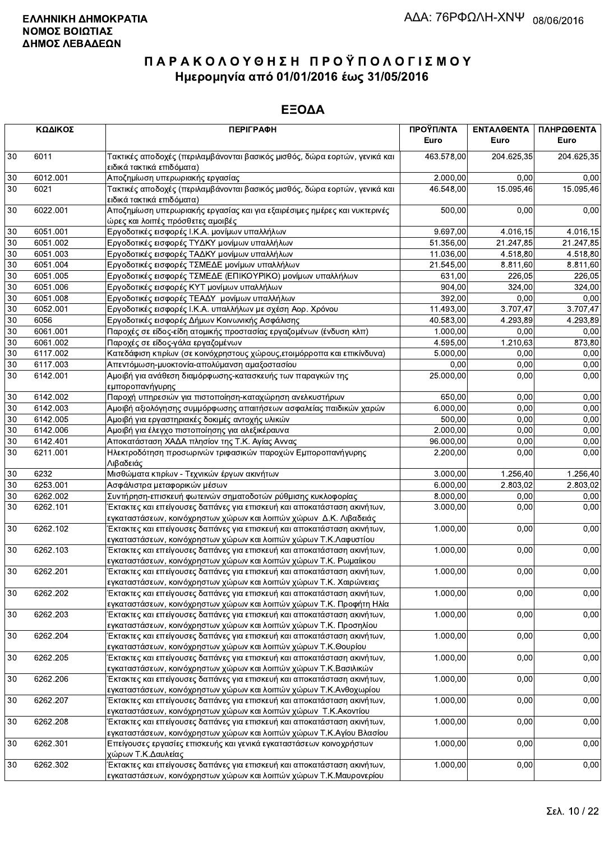|        | ΚΩΔΙΚΟΣ  | <b>ПЕРІГРАФН</b>                                                                                                                                | ΠΡΟΫΠ/ΝΤΑ<br>Euro | ΕΝΤΑΛΘΕΝΤΑ<br>Euro | ΠΛΗΡΩΘΕΝΤΑ<br>Euro |
|--------|----------|-------------------------------------------------------------------------------------------------------------------------------------------------|-------------------|--------------------|--------------------|
| 30     | 6011     | Τακτικές αποδοχές (περιλαμβάνονται βασικός μισθός, δώρα εορτών, γενικά και                                                                      | 463.578,00        | 204.625,35         | 204.625,35         |
| 30     | 6012.001 | ειδικά τακτικά επιδόματα)<br>Αποζημίωση υπερωριακής εργασίας                                                                                    | 2.000,00          | 0.00               | 0,00               |
| 30     | 6021     | Τακτικές αποδοχές (περιλαμβάνονται βασικός μισθός, δώρα εορτών, γενικά και<br>ειδικά τακτικά επιδόματα)                                         | 46.548,00         | 15.095,46          | 15.095,46          |
| 30     | 6022.001 | Αποζημίωση υπερωριακής εργασίας και για εξαιρέσιμες ημέρες και νυκτερινές<br>ώρες και λοιπές πρόσθετες αμοιβές                                  | 500,00            | 0,00               | 0,00               |
| 30     | 6051.001 | Εργοδοτικές εισφορές Ι.Κ.Α. μονίμων υπαλλήλων                                                                                                   | 9.697,00          | 4.016,15           | 4.016,15           |
| 30     | 6051.002 | Εργοδοτικές εισφορές ΤΥΔΚΥ μονίμων υπαλλήλων                                                                                                    | 51.356,00         | 21.247,85          | 21.247,85          |
| 30     | 6051.003 | Εργοδοτικές εισφορές ΤΑΔΚΥ μονίμων υπαλλήλων                                                                                                    | 11.036,00         | 4.518,80           | 4.518,80           |
| 30     | 6051.004 | Εργοδοτικές εισφορές ΤΣΜΕΔΕ μονίμων υπαλλήλων                                                                                                   | 21.545,00         | 8.811,60           | 8.811,60           |
| 30     | 6051.005 | Εργοδοτικές εισφορές ΤΣΜΕΔΕ (ΕΠΙΚΟΥΡΙΚΟ) μονίμων υπαλλήλων                                                                                      | 631,00            | 226,05             | 226,05             |
| 30     | 6051.006 | Εργοδοτικές εισφορές ΚΥΤ μονίμων υπαλλήλων                                                                                                      | 904,00            | 324,00             | 324,00             |
| 30     | 6051.008 | Εργοδοτικές εισφορές ΤΕΑΔΥ μονίμων υπαλλήλων                                                                                                    | 392,00            | 0.00               | 0,00               |
| $30\,$ | 6052.001 | Εργοδοτικές εισφορές Ι.Κ.Α. υπαλλήλων με σχέση Αορ. Χρόνου                                                                                      | 11.493,00         | 3.707,47           | 3.707,47           |
| 30     | 6056     | Εργοδοτικές εισφορές Δήμων Κοινωνικής Ασφάλισης                                                                                                 | 40.583,00         | 4.293,89           | 4.293,89           |
| $30\,$ | 6061.001 | Παροχές σε είδος-είδη ατομικής προστασίας εργαζομένων (ένδυση κλπ)                                                                              | 1.000,00          | 0,00               | 0,00               |
| 30     | 6061.002 | Παροχές σε είδος-γάλα εργαζομένων                                                                                                               | 4.595,00          | 1.210,63           | 873,80             |
| 30     | 6117.002 | Κατεδάφιση κτιρίων (σε κοινόχρηστους χώρους, ετοιμόρροπα και επικίνδυνα)                                                                        | 5.000,00          | 0,00               | 0,00               |
| 30     | 6117.003 | Απεντόμωση-μυοκτονία-απολύμανση αμαξοστασίου                                                                                                    | 0,00              | 0.00               | 0,00               |
| 30     | 6142.001 | Αμοιβή για ανάθεση διαμόρφωσης-κατασκευής των παραγκών της<br>εμποροπανήγυρης                                                                   | 25.000,00         | 0,00               | 0,00               |
| 30     | 6142.002 | Παροχή υπηρεσιών για πιστοποίηση-καταχώρηση ανελκυστήρων                                                                                        | 650,00            | 0,00               | 0,00               |
| 30     | 6142.003 | Αμοιβή αξιολόγησης συμμόρφωσης απαιτήσεων ασφαλείας παιδικών χαρών                                                                              | 6.000,00          | 0,00               | 0,00               |
| 30     | 6142.005 | Αμοιβή για εργαστηριακές δοκιμές αντοχής υλικών                                                                                                 | 500,00            | 0,00               | 0,00               |
| 30     | 6142.006 | Αμοιβή για έλεγχο πιστοποίησης για αλεξικέραυνα                                                                                                 | 2.000,00          | 0,00               | 0,00               |
| 30     | 6142.401 | Αποκατάσταση ΧΑΔΑ πλησίον της Τ.Κ. Αγίας Αννας                                                                                                  | 96.000,00         | 0.00               | 0,00               |
| 30     | 6211.001 | Ηλεκτροδότηση προσωρινών τριφασικών παροχών Εμποροπανήγυρης<br>Λιβαδειάς                                                                        | 2.200,00          | 0,00               | 0,00               |
| 30     | 6232     | Μισθώματα κτιρίων - Τεχνικών έργων ακινήτων                                                                                                     | 3.000,00          | 1.256,40           | 1.256,40           |
| 30     | 6253.001 | Ασφάλιστρα μεταφορικών μέσων                                                                                                                    | 6.000,00          | 2.803,02           | 2.803,02           |
| 30     | 6262.002 | Συντήρηση-επισκευή φωτεινών σηματοδοτών ρύθμισης κυκλοφορίας                                                                                    | 8.000,00          | 0,00               | 0,00               |
| 30     | 6262.101 | Έκτακτες και επείγουσες δαπάνες για επισκευή και αποκατάσταση ακινήτων,<br>εγκαταστάσεων, κοινόχρηστων χώρων και λοιπών χώρων Δ.Κ. Λιβαδειάς    | 3.000,00          | 0,00               | 0,00               |
| 30     | 6262.102 | Έκτακτες και επείγουσες δαπάνες για επισκευή και αποκατάσταση ακινήτων,<br>εγκαταστάσεων, κοινόχρηστων χώρων και λοιπών χώρων Τ.Κ.Λαφυστίου     | 1.000,00          | 0,00               | 0,00               |
| 30     | 6262.103 | Έκτακτες και επείγουσες δαπάνες για επισκευή και αποκατάσταση ακινήτων,<br>εγκαταστάσεων, κοινόχρηστων χώρων και λοιπών χώρων Τ.Κ. Ρωμαίικου    | 1.000,00          | 0,00               | 0,00               |
| 30     | 6262.201 | Έκτακτες και επείγουσες δαπάνες για επισκευή και αποκατάσταση ακινήτων,<br>εγκαταστάσεων, κοινόχρηστων χώρων και λοιπών χώρων Τ.Κ. Χαιρώνειας   | 1.000,00          | 0,00               | 0,00               |
| 30     | 6262.202 | Έκτακτες και επείγουσες δαπάνες για επισκευή και αποκατάσταση ακινήτων,<br>εγκαταστάσεων, κοινόχρηστων χώρων και λοιπών χώρων Τ.Κ. Προφήτη Ηλία | 1.000,00          | 0,00               | 0,00               |
| 30     | 6262.203 | Έκτακτες και επείγουσες δαπάνες για επισκευή και αποκατάσταση ακινήτων,<br>εγκαταστάσεων, κοινόχρηστων χώρων και λοιπών χώρων Τ.Κ. Προσηλίου    | 1.000,00          | 0,00               | 0,00               |
| 30     | 6262.204 | Έκτακτες και επείγουσες δαπάνες για επισκευή και αποκατάσταση ακινήτων,<br>εγκαταστάσεων, κοινόχρηστων χώρων και λοιπών χώρων Τ.Κ.Θουρίου       | 1.000,00          | 0,00               | 0,00               |
| 30     | 6262.205 | Έκτακτες και επείγουσες δαπάνες για επισκευή και αποκατάσταση ακινήτων,<br>εγκαταστάσεων, κοινόχρηστων χώρων και λοιπών χώρων Τ.Κ.Βασιλικών     | 1.000,00          | 0,00               | 0,00               |
| $30\,$ | 6262.206 | Έκτακτες και επείγουσες δαπάνες για επισκευή και αποκατάσταση ακινήτων,<br>εγκαταστάσεων, κοινόχρηστων χώρων και λοιπών χώρων Τ.Κ.Ανθοχωρίου    | 1.000,00          | 0,00               | 0,00               |
| 30     | 6262.207 | Έκτακτες και επείγουσες δαπάνες για επισκευή και αποκατάσταση ακινήτων,<br>εγκαταστάσεων, κοινόχρηστων χώρων και λοιπών χώρων Τ.Κ.Ακοντίου      | 1.000,00          | 0,00               | 0,00               |
| 30     | 6262.208 | Έκτακτες και επείγουσες δαπάνες για επισκευή και αποκατάσταση ακινήτων,<br>εγκαταστάσεων, κοινόχρηστων χώρων και λοιπών χώρων Τ.Κ.Αγίου Βλασίου | 1.000,00          | 0,00               | 0,00               |
| 30     | 6262.301 | Επείγουσες εργασίες επισκευής και γενικά εγκαταστάσεων κοινοχρήστων<br>χώρων Τ.Κ.Δαυλείας                                                       | 1.000,00          | 0,00               | 0,00               |
| 30     | 6262.302 | Έκτακτες και επείγουσες δαπάνες για επισκευή και αποκατάσταση ακινήτων,<br>εγκαταστάσεων, κοινόχρηστων χώρων και λοιπών χώρων Τ.Κ.Μαυρονερίου   | 1.000,00          | 0,00               | 0,00               |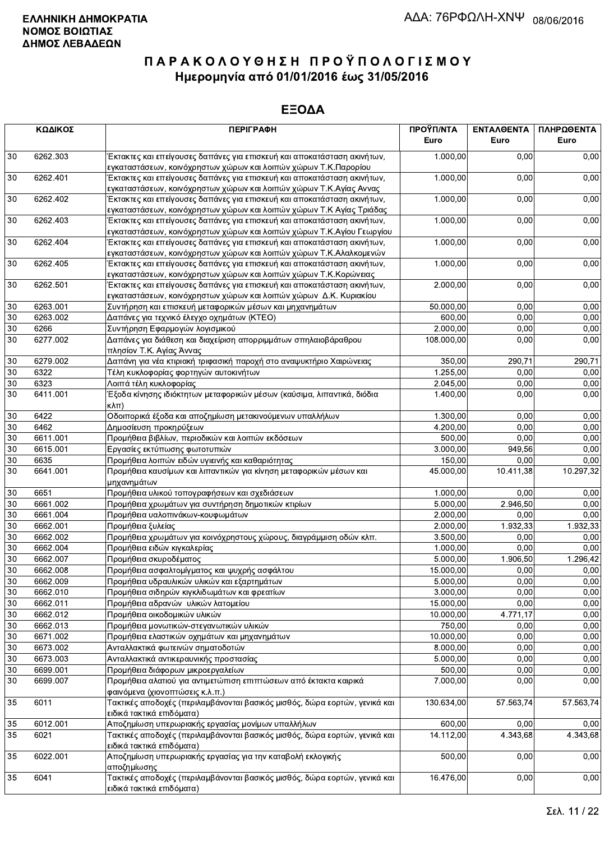|                 | ΚΩΔΙΚΟΣ  | <b>ПЕРІГРАФН</b>                                                                                                                                 | ΠΡΟΫΠ/ΝΤΑ<br>Euro | ΕΝΤΑΛΘΕΝΤΑ<br>Euro | ΠΛΗΡΩΘΕΝΤΑ<br>Euro |
|-----------------|----------|--------------------------------------------------------------------------------------------------------------------------------------------------|-------------------|--------------------|--------------------|
|                 |          |                                                                                                                                                  |                   |                    |                    |
| 30              | 6262.303 | Έκτακτες και επείγουσες δαπάνες για επισκευή και αποκατάσταση ακινήτων,<br>εγκαταστάσεων, κοινόχρηστων χώρων και λοιπών χώρων Τ.Κ.Παρορίου       | 1.000,00          | 0,00               | 0,00               |
| 30              | 6262.401 | Έκτακτες και επείγουσες δαπάνες για επισκευή και αποκατάσταση ακινήτων,<br>εγκαταστάσεων, κοινόχρηστων χώρων και λοιπών χώρων Τ.Κ.Αγίας Αννας    | 1.000,00          | 0,00               | 0,00               |
| 30              | 6262.402 | Έκτακτες και επείγουσες δαπάνες για επισκευή και αποκατάσταση ακινήτων,                                                                          | 1.000,00          | 0,00               | 0,00               |
| 30              | 6262.403 | εγκαταστάσεων, κοινόχρηστων χώρων και λοιπών χώρων Τ.Κ Αγίας Τριάδας<br>Έκτακτες και επείγουσες δαπάνες για επισκευή και αποκατάσταση ακινήτων,  | 1.000,00          | 0,00               | 0,00               |
| 30              | 6262.404 | εγκαταστάσεων, κοινόχρηστων χώρων και λοιπών χώρων Τ.Κ.Αγίου Γεωργίου<br>Έκτακτες και επείγουσες δαπάνες για επισκευή και αποκατάσταση ακινήτων, | 1.000,00          | 0,00               | 0,00               |
|                 |          | εγκαταστάσεων, κοινόχρηστων χώρων και λοιπών χώρων Τ.Κ.Αλαλκομενών                                                                               |                   |                    |                    |
| $30\,$          | 6262.405 | Έκτακτες και επείγουσες δαπάνες για επισκευή και αποκατάσταση ακινήτων,<br>εγκαταστάσεων, κοινόχρηστων χώρων και λοιπών χώρων Τ.Κ.Κορώνειας      | 1.000,00          | 0,00               | 0,00               |
| $30\,$          | 6262.501 | Έκτακτες και επείγουσες δαπάνες για επισκευή και αποκατάσταση ακινήτων,<br>εγκαταστάσεων, κοινόχρηστων χώρων και λοιπών χώρων Δ.Κ. Κυριακίου     | 2.000,00          | 0,00               | 0,00               |
| $30\,$          | 6263.001 | Συντήρηση και επισκευή μεταφορικών μέσων και μηχανημάτων                                                                                         | 50.000,00         | 0.00               | 0,00               |
| 30              | 6263.002 | Δαπάνες για τεχνικό έλεγχο οχημάτων (ΚΤΕΟ)                                                                                                       | 600,00            | 0,00               | 0,00               |
| 30              | 6266     | Συντήρηση Εφαρμογών λογισμικού                                                                                                                   | 2.000,00          | 0,00               | 0,00               |
| 30              | 6277.002 | Δαπάνες για διάθεση και διαχείριση απορριμμάτων σπηλαιοβάραθρου                                                                                  | 108.000.00        | 0,00               | 0,00               |
|                 |          | πλησίον Τ.Κ. Αγίας Άννας                                                                                                                         |                   |                    |                    |
| 30              | 6279.002 | Δαπάνη για νέα κτιριακή τριφασική παροχή στο αναψυκτήριο Χαιρώνειας                                                                              | 350,00            | 290,71             | 290,71             |
| 30              | 6322     | Τέλη κυκλοφορίας φορτηγών αυτοκινήτων                                                                                                            | 1.255,00          | 0,00               | 0,00               |
| $30\,$          | 6323     | Λοιπά τέλη κυκλοφορίας                                                                                                                           | 2.045,00          | 0.00               | 0,00               |
| 30              | 6411.001 | Έξοδα κίνησης ιδιόκτητων μεταφορικών μέσων (καύσιμα, λιπαντικά, διόδια<br>$\kappa\lambda\pi$                                                     | 1.400,00          | 0,00               | 0,00               |
| 30              | 6422     | Οδοιπορικά έξοδα και αποζημίωση μετακινούμενων υπαλλήλων                                                                                         | 1.300,00          | 0,00               | 0,00               |
| 30              | 6462     | Δημοσίευση προκηρύξεων                                                                                                                           | 4.200,00          | 0,00               | 0,00               |
| 30              | 6611.001 | Προμήθεια βιβλίων, περιοδικών και λοιπών εκδόσεων                                                                                                | 500,00            | 0,00               | 0,00               |
| 30              | 6615.001 | Εργασίες εκτύπωσης φωτοτυπιών                                                                                                                    | 3.000,00          | 949,56             | 0,00               |
| 30              | 6635     | Προμήθεια λοιπών ειδών υγιεινής και καθαριότητας                                                                                                 | 150,00            | 0.00               | 0,00               |
| 30              | 6641.001 | Προμήθεια καυσίμων και λιπαντικών για κίνηση μεταφορικών μέσων και<br>μηχανημάτων                                                                | 45.000,00         | 10.411,38          | 10.297,32          |
| 30              | 6651     | Προμήθεια υλικού τοπογραφήσεων και σχεδιάσεων                                                                                                    | 1.000,00          | 0,00               | 0,00               |
| 30              | 6661.002 | Προμήθεια χρωμάτων για συντήρηση δημοτικών κτιρίων                                                                                               | 5.000,00          | 2.946,50           | 0,00               |
| 30              | 6661.004 | Προμήθεια υαλοπινάκων-κουφωμάτων                                                                                                                 | 2.000,00          | 0,00               | 0,00               |
| 30              | 6662.001 | Προμήθεια ξυλείας                                                                                                                                | 2.000,00          | 1.932,33           | 1.932,33           |
| $30\,$          | 6662.002 | Προμήθεια χρωμάτων για κοινόχρηστους χώρους, διαγράμμιση οδών κλπ.                                                                               | 3.500.00          | 0,00               | 0,00               |
| 30              | 6662.004 | Προμήθεια ειδών κιγκαλερίας                                                                                                                      | 1.000.00          | 0,00               | 0,00               |
| 30              | 6662.007 | Προμήθεια σκυροδέματος                                                                                                                           | 5.000,00          | 1.906,50           | 1.296,42           |
| 30              | 6662.008 | Προμήθεια ασφαλτομίγματος και ψυχρής ασφάλτου                                                                                                    | 15.000,00         | 0,00               | 0,00               |
| $\overline{30}$ | 6662.009 | Προμήθεια υδραυλικών υλικών και εξαρτημάτων                                                                                                      | 5.000,00          | 0,00               | 0,00               |
| 30              | 6662.010 | Προμήθεια σιδηρών κιγκλιδωμάτων και φρεατίων                                                                                                     | 3.000,00          | 0,00               | 0,00               |
| 30              | 6662.011 | Προμήθεια αδρανών υλικών λατομείου                                                                                                               | 15.000,00         | 0,00               | 0,00               |
| 30              | 6662.012 | Προμήθεια οικοδομικών υλικών                                                                                                                     | 10.000,00         | 4.771,17           | 0,00               |
| $30\,$          | 6662.013 | Προμήθεια μονωτικών-στεγανωτικών υλικών                                                                                                          | 750,00            | 0,00               | 0,00               |
| 30              | 6671.002 | Προμήθεια ελαστικών οχημάτων και μηχανημάτων                                                                                                     | 10.000,00         | 0,00               | 0,00               |
| 30              | 6673.002 | Ανταλλακτικά φωτεινών σηματοδοτών                                                                                                                | 8.000,00          | 0,00               | 0,00               |
| $30\,$          | 6673.003 | Ανταλλακτικά αντικεραυνικής προστασίας                                                                                                           | 5.000,00          | 0,00               | 0,00               |
| 30              | 6699.001 | Προμήθεια διάφορων μικροεργαλείων                                                                                                                | 500,00            | 0,00               | 0,00               |
| 30              | 6699.007 | Προμήθεια αλατιού για αντιμετώπιση επιπτώσεων από έκτακτα καιρικά                                                                                | 7.000,00          | 0,00               | 0,00               |
| 35              | 6011     | φαινόμενα (χιονοπτώσεις κ.λ.π.)<br>Τακτικές αποδοχές (περιλαμβάνονται βασικός μισθός, δώρα εορτών, γενικά και                                    | 130.634,00        | 57.563,74          | 57.563,74          |
|                 |          | ειδικά τακτικά επιδόματα)                                                                                                                        |                   |                    |                    |
| 35              | 6012.001 | Αποζημίωση υπερωριακής εργασίας μονίμων υπαλλήλων                                                                                                | 600,00            | 0,00               | 0,00               |
| 35              | 6021     | Τακτικές αποδοχές (περιλαμβάνονται βασικός μισθός, δώρα εορτών, γενικά και                                                                       | 14.112,00         | 4.343,68           | 4.343,68           |
|                 |          | ειδικά τακτικά επιδόματα)                                                                                                                        |                   |                    |                    |
| 35              | 6022.001 | Αποζημίωση υπερωριακής εργασίας για την καταβολή εκλογικής<br>αποζημίωσης                                                                        | 500,00            | 0,00               | 0,00               |
| 35              | 6041     | Τακτικές αποδοχές (περιλαμβάνονται βασικός μισθός, δώρα εορτών, γενικά και<br>ειδικά τακτικά επιδόματα)                                          | 16.476,00         | 0,00               | 0,00               |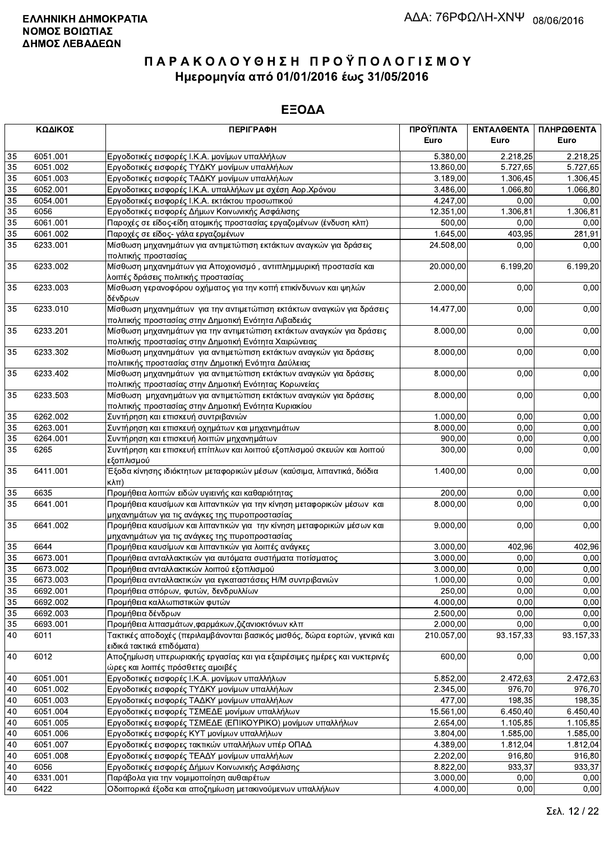|                 | ΚΩΔΙΚΟΣ<br><b>ПЕРІГРАФН</b> |                                                                                                                                | ΠΡΟΫΠ/ΝΤΑ<br>Euro | ΕΝΤΑΛΘΕΝΤΑ<br>Euro | ΠΛΗΡΩΘΕΝΤΑ<br>Euro |
|-----------------|-----------------------------|--------------------------------------------------------------------------------------------------------------------------------|-------------------|--------------------|--------------------|
| 35              | 6051.001                    | Εργοδοτικές εισφορές Ι.Κ.Α. μονίμων υπαλλήλων                                                                                  | 5.380,00          | 2.218,25           | 2.218,25           |
| 35              | 6051.002                    | Εργοδοτικές εισφορές ΤΥΔΚΥ μονίμων υπαλλήλων                                                                                   | 13.860,00         | 5.727,65           | 5.727,65           |
| 35              | 6051.003                    | Εργοδοτικές εισφορές ΤΑΔΚΥ μονίμων υπαλλήλων                                                                                   | 3.189,00          | 1.306,45           | 1.306,45           |
| 35              | 6052.001                    | Εργοδοτικες εισφορές Ι.Κ.Α. υπαλλήλων με σχέση Αορ.Χρόνου                                                                      | 3.486,00          | 1.066,80           | 1.066,80           |
| 35              | 6054.001                    | Εργοδοτικές εισφορές Ι.Κ.Α. εκτάκτου προσωπικού                                                                                | 4.247,00          | 0,00               | 0,00               |
| 35              | 6056                        | Εργοδοτικές εισφορές Δήμων Κοινωνικής Ασφάλισης                                                                                | 12.351,00         | 1.306,81           | 1.306,81           |
| 35              | 6061.001                    | Παροχές σε είδος-είδη ατομικής προστασίας εργαζομένων (ένδυση κλπ)                                                             | 500,00            | 0,00               | 0,00               |
| 35              | 6061.002                    | Παροχές σε είδος- γάλα εργαζομένων                                                                                             | 1.645,00          | 403,95             | 281,91             |
| $\overline{35}$ | 6233.001                    | Μίσθωση μηχανημάτων για αντιμετώπιση εκτάκτων αναγκών για δράσεις<br>πολιτικής προστασίας                                      | 24.508,00         | 0,00               | 0,00               |
| 35              | 6233.002                    | Μίσθωση μηχανημάτων για Αποχιονισμό, αντιπλημμυρική προστασία και<br>λοιπές δράσεις πολιτικής προστασίας                       | 20.000,00         | 6.199,20           | 6.199,20           |
| 35              | 6233.003                    | Μίσθωση γερανοφόρου οχήματος για την κοπή επικίνδυνων και ψηλών<br>δένδρων                                                     | 2.000,00          | 0,00               | 0,00               |
| 35              | 6233.010                    | Μίσθωση μηχανημάτων για την αντιμετώπιση εκτάκτων αναγκών για δράσεις<br>πολιτικής προστασίας στην Δημοτική Ενότητα Λιβαδειάς  | 14.477,00         | 0,00               | 0,00               |
| 35              | 6233.201                    | Μίσθωση μηχανημάτων για την αντιμετώπιση εκτάκτων αναγκών για δράσεις<br>πολιτικής προστασίας στην Δημοτική Ενότητα Χαιρώνειας | 8.000,00          | 0,00               | 0,00               |
| 35              | 6233.302                    | Μίσθωση μηχανημάτων για αντιμετώπιση εκτάκτων αναγκών για δράσεις<br>πολιτιικής προστασίας στην Δημοτική Ενότητα Δαύλειας      | 8.000,00          | 0,00               | 0,00               |
| 35              | 6233.402                    | Μίσθωση μηχανημάτων για αντιμετώπιση εκτάκτων αναγκών για δράσεις<br>πολιτικής προστασίας στην Δημοτική Ενότητας Κορωνείας     | 8.000,00          | 0,00               | 0,00               |
| 35              | 6233.503                    | Μίσθωση μηχανημάτων για αντιμετώπιση εκτάκτων αναγκών για δράσεις<br>πολιτικής προστασίας στην Δημοτική Ενότητα Κυριακίου      | 8.000,00          | 0,00               | 0,00               |
| 35              | 6262.002                    | Συντήρηση και επισκευή συντριβανιών                                                                                            | 1.000,00          | 0,00               | 0,00               |
| 35              | 6263.001                    | Συντήρηση και επισκευή οχημάτων και μηχανημάτων                                                                                | 8.000,00          | 0,00               | 0,00               |
| 35              | 6264.001                    | Συντήρηση και επισκευή λοιπών μηχανημάτων                                                                                      | 900,00            | 0,00               | 0,00               |
| 35              | 6265                        | Συντήρηση και επισκευή επίπλων και λοιπού εξοπλισμού σκευών και λοιπού<br>εξοπλισμού                                           | 300,00            | 0,00               | 0,00               |
| 35              | 6411.001                    | Έξοδα κίνησης ιδιόκτητων μεταφορικών μέσων (καύσιμα, λιπαντικά, διόδια<br>$\kappa\lambda\pi$ )                                 | 1.400,00          | 0,00               | 0,00               |
| 35              | 6635                        | Προμήθεια λοιπών ειδών υγιεινής και καθαριότητας                                                                               | 200,00            | 0,00               | 0,00               |
| 35              | 6641.001                    | Προμήθεια καυσίμων και λιπαντικών για την κίνηση μεταφορικών μέσων και<br>μηχανημάτων για τις ανάγκες της πυροπροστασίας       | 8.000,00          | 0,00               | 0,00               |
| 35              | 6641.002                    | Προμήθεια καυσίμων και λιπαντικών για την κίνηση μεταφορικών μέσων και<br>μηχανημάτων για τις ανάγκες της πυροπροστασίας       | 9.000,00          | 0,00               | 0,00               |
| 35              | 6644                        | Προμήθεια καυσίμων και λιπαντικών για λοιπές ανάγκες                                                                           | 3.000,00          | 402,96             | 402,96             |
| $\overline{35}$ | 6673.001                    | Προμήθεια ανταλλακτικών για αυτόματα συστήματα ποτίσματος                                                                      | 3.000,00          | 0,00               | 0,00               |
| 35              | 6673.002                    | Προμήθεια ανταλλακτικών λοιπού εξοπλισμού                                                                                      | 3.000,00          | 0,00               | 0,00               |
| 35              | 6673.003                    | Προμήθεια ανταλλακτικών για εγκαταστάσεις Η/Μ συντριβανιών                                                                     | 1.000,00          | 0,00               | 0,00               |
| 35              | 6692.001                    | Προμήθεια σπόρων, φυτών, δενδρυλλίων                                                                                           | 250,00            | 0,00               | 0,00               |
| 35              | 6692.002                    | Προμήθεια καλλωπιστικών φυτών                                                                                                  | 4.000,00          | 0,00               | 0,00               |
| 35              | 6692.003                    | Προμήθεια δένδρων                                                                                                              | 2.500,00          | 0,00               | 0,00               |
| 35              | 6693.001                    | Προμήθεια λιπασμάτων, φαρμάκων, ζιζανιοκτόνων κλπ                                                                              | 2.000,00          | 0,00               | 0,00               |
| 40              | 6011                        | Τακτικές αποδοχές (περιλαμβάνονται βασικός μισθός, δώρα εορτών, γενικά και<br>ειδικά τακτικά επιδόματα)                        | 210.057,00        | 93.157,33          | 93.157,33          |
| 40              | 6012                        | Αποζημίωση υπερωριακής εργασίας και για εξαιρέσιμες ημέρες και νυκτερινές<br>ώρες και λοιπές πρόσθετες αμοιβές                 | 600,00            | 0,00               | 0,00               |
| 40              | 6051.001                    | Εργοδοτικές εισφορές Ι.Κ.Α. μονίμων υπαλλήλων                                                                                  | 5.852,00          | 2.472,63           | 2.472,63           |
| 40              | 6051.002                    | Εργοδοτικές εισφορές ΤΥΔΚΥ μονίμων υπαλλήλων                                                                                   | 2.345,00          | 976,70             | 976,70             |
| 40              | 6051.003                    | Εργοδοτικές εισφορές ΤΑΔΚΥ μονίμων υπαλλήλων                                                                                   | 477,00            | 198,35             | 198,35             |
| $40\,$          | 6051.004                    | Εργοδοτικές εισφορές ΤΣΜΕΔΕ μονίμων υπαλλήλων                                                                                  | 15.561,00         | 6.450,40           | 6.450,40           |
| 40              | 6051.005                    | Εργοδοτικές εισφορές ΤΣΜΕΔΕ (ΕΠΙΚΟΥΡΙΚΟ) μονίμων υπαλλήλων                                                                     | 2.654,00          | 1.105,85           | 1.105,85           |
| 40              | 6051.006                    | Εργοδοτικές εισφορές ΚΥΤ μονίμων υπαλλήλων                                                                                     | 3.804,00          | 1.585,00           | 1.585,00           |
| 40              | 6051.007                    | Εργοδοτικές εισφορες τακτικών υπαλλήλων υπέρ ΟΠΑΔ                                                                              | 4.389,00          | 1.812,04           | 1.812,04           |
| 40              | 6051.008                    | Εργοδοτικές εισφορές ΤΕΑΔΥ μονίμων υπαλλήλων                                                                                   | 2.202,00          | 916,80             | 916,80             |
| 40              | 6056                        | Εργοδοτικές εισφορές Δήμων Κοινωνικής Ασφάλισης                                                                                | 8.822,00          | 933,37             | 933,37             |
| 40              | 6331.001                    | Παράβολα για την νομιμοποίηση αυθαιρέτων                                                                                       | 3.000,00          | 0,00               | 0,00               |
| 40              | 6422                        | Οδοιπορικά έξοδα και αποζημίωση μετακινούμενων υπαλλήλων                                                                       | 4.000,00          | 0,00               | 0,00               |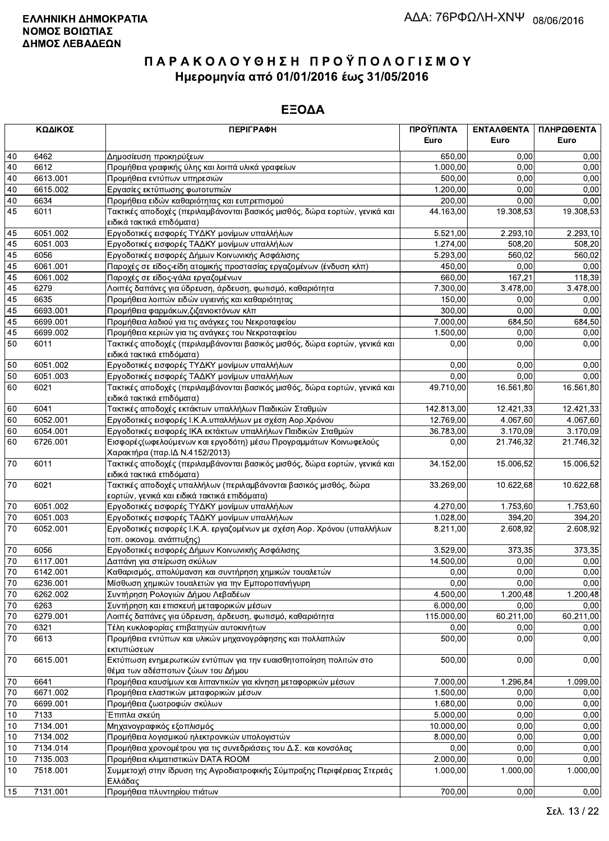|              | ΚΩΔΙΚΟΣ  | <b>ПЕРІГРАФН</b>                                                           | ΠΡΟΫΠ/ΝΤΑ<br>Euro      | ΕΝΤΑΛΘΕΝΤΑ<br>Euro | ΠΛΗΡΩΘΕΝΤΑ<br>Euro |
|--------------|----------|----------------------------------------------------------------------------|------------------------|--------------------|--------------------|
| 40           | 6462     | Δημοσίευση προκηρύξεων                                                     | 650,00                 | 0.00               | 0,00               |
| 40           | 6612     | Προμήθεια γραφικής ύλης και λοιπά υλικά γραφείων                           | 1.000,00               | 0,00               | 0,00               |
| 40           | 6613.001 | Προμήθεια εντύπων υπηρεσιών                                                | 500,00                 | 0,00               | 0,00               |
| 40           | 6615.002 | Εργασίες εκτύπωσης φωτοτυπιών                                              | 1.200,00               | 0,00               | 0,00               |
| 40           | 6634     | Προμήθεια ειδών καθαριότητας και ευπρεπισμού                               | 200,00                 | 0,00               | 0,00               |
| 45           | 6011     | Τακτικές αποδοχές (περιλαμβάνονται βασικός μισθός, δώρα εορτών, γενικά και | 44.163,00              | 19.308,53          | 19.308,53          |
|              |          | ειδικά τακτικά επιδόματα)                                                  |                        |                    |                    |
| 45           | 6051.002 | Εργοδοτικές εισφορές ΤΥΔΚΥ μονίμων υπαλλήλων                               | 5.521,00               | 2.293,10           | 2.293,10           |
| 45           | 6051.003 | Εργοδοτικές εισφορές ΤΑΔΚΥ μονίμων υπαλλήλων                               | $\overline{1}$ .274,00 | 508,20             | 508,20             |
| 45           | 6056     | Εργοδοτικές εισφορές Δήμων Κοινωνικής Ασφάλισης                            | 5.293,00               | 560.02             | 560,02             |
| 45           | 6061.001 | Παροχές σε είδος-είδη ατομικής προστασίας εργαζομένων (ένδυση κλπ)         | 450,00                 | 0,00               | 0,00               |
| 45           | 6061.002 | Παροχές σε είδος-γάλα εργαζομένων                                          | 660,00                 | 167,21             | 118,39             |
| 45           | 6279     | Λοιπές δαπάνες για ύδρευση, άρδευση, φωτισμό, καθαριότητα                  | 7.300,00               | 3.478,00           | 3.478,00           |
| 45           | 6635     | Προμήθεια λοιπών ειδών υγιεινής και καθαριότητας                           | 150,00                 | 0,00               | 0,00               |
| 45           | 6693.001 | Προμήθεια φαρμάκων, ζιζανιοκτόνων κλπ                                      | 300,00                 | 0,00               | 0,00               |
| 45           | 6699.001 | Προμήθεια λαδιού για τις ανάγκες του Νεκροταφείου                          | 7.000,00               | 684,50             | 684,50             |
| 45           | 6699.002 | Προμήθεια κεριών για τις ανάγκες του Νεκροταφείου                          | 1.500,00               | 0,00               | 0,00               |
| 50           | 6011     | Τακτικές αποδοχές (περιλαμβάνονται βασικός μισθός, δώρα εορτών, γενικά και | 0,00                   | 0,00               | 0,00               |
|              |          | ειδικά τακτικά επιδόματα)                                                  |                        |                    |                    |
| 50           | 6051.002 | Εργοδοτικές εισφορές ΤΥΔΚΥ μονίμων υπαλλήλων                               | 0,00                   | 0,00               | 0,00               |
| 50           | 6051.003 | Εργοδοτικές εισφορές ΤΑΔΚΥ μονίμων υπαλλήλων                               | 0,00                   | 0,00               | 0,00               |
| 60           | 6021     | Τακτικές αποδοχές (περιλαμβάνονται βασικός μισθός, δώρα εορτών, γενικά και | 49.710,00              | 16.561,80          | 16.561,80          |
|              |          | ειδικά τακτικά επιδόματα)                                                  |                        |                    |                    |
| 60           | 6041     | Τακτικές αποδοχές εκτάκτων υπαλλήλων Παιδικών Σταθμών                      | 142.813,00             | 12.421,33          | 12.421,33          |
| 60           | 6052.001 | Εργοδοτικές εισφορές Ι.Κ.Α.υπαλλήλων με σχέση Αορ.Χρόνου                   | 12.769,00              | 4.067,60           | 4.067,60           |
| 60           | 6054.001 | Εργοδοτικές εισφορές ΙΚΑ εκτάκτων υπαλλήλων Παιδικών Σταθμών               | 36.783,00              | 3.170,09           | 3.170,09           |
| 60           | 6726.001 | Εισφορές (ωφελούμενων και εργοδότη) μέσω Προγραμμάτων Κοινωφελούς          | 0,00                   | 21.746,32          | 21.746,32          |
|              |          | Χαρακτήρα (παρ. ΙΔ Ν.4152/2013)                                            |                        |                    |                    |
| 70           | 6011     | Τακτικές αποδοχές (περιλαμβάνονται βασικός μισθός, δώρα εορτών, γενικά και | 34.152,00              | 15.006,52          | 15.006,52          |
|              |          | ειδικά τακτικά επιδόματα)                                                  |                        |                    |                    |
| 70           | 6021     | Τακτικές αποδοχές υπαλλήλων (περιλαμβάνονται βασικός μισθός, δώρα          | 33.269,00              | 10.622,68          | 10.622,68          |
|              |          | εορτών, γενικά και ειδικά τακτικά επιδόματα)                               |                        |                    |                    |
| 70           | 6051.002 | Εργοδοτικές εισφορές ΤΥΔΚΥ μονίμων υπαλλήλων                               | 4.270,00               | 1.753,60           | 1.753,60           |
| $70\,$       | 6051.003 | Εργοδοτικές εισφορές ΤΑΔΚΥ μονίμων υπαλλήλων                               | 1.028,00               | 394,20             | 394,20             |
| 70           | 6052.001 | Εργοδοτικές εισφορές Ι.Κ.Α. εργαζομένων με σχέση Αορ. Χρόνου (υπαλλήλων    | 8.211,00               | 2.608,92           | 2.608,92           |
|              |          | τοπ. οικονομ. ανάπτυξης)                                                   |                        |                    |                    |
| 70           | 6056     | Εργοδοτικές εισφορές Δήμων Κοινωνικής Ασφάλισης                            | 3.529,00               | 373,35             | 373,35             |
| $70\,$       | 6117.001 | Δαπάνη για στείρωση σκύλων                                                 | 14.500,00              | 0,00               | 0,00               |
| 70           | 6142.001 | Καθαρισμός, απολύμανση και συντήρηση χημικών τουαλετών                     | 0,00                   | 0,00               | 0,00               |
| $\boxed{70}$ | 6236.001 | Μίσθωση χημικών τουαλετών για την Εμποροπανήγυρη                           | 0,00                   | 0,00               | 0,00               |
| 70           | 6262.002 | Συντήρηση Ρολογιών Δήμου Λεβαδέων                                          | 4.500,00               | 1.200,48           | 1.200,48           |
| 70           | 6263     | Συντήρηση και επισκευή μεταφορικών μέσων                                   | 6.000,00               | 0,00               | 0,00               |
| 70           | 6279.001 | Λοιπές δαπάνες για ύδρευση, άρδευση, φωτισμό, καθαριότητα                  | 115.000,00             | 60.211,00          | 60.211,00          |
| 70           | 6321     | Τέλη κυκλοφορίας επιβατηγών αυτοκινήτων                                    | 0,00                   | 0,00               | 0,00               |
| 70           | 6613     | Προμήθεια εντύπων και υλικών μηχανογράφησης και πολλαπλών                  | 500,00                 | 0,00               | 0,00               |
|              |          | εκτυπώσεων                                                                 |                        |                    |                    |
| 70           | 6615.001 | Εκτύπωση ενημερωτικών εντύπων για την ευαισθητοποίηση πολιτών στο          | 500,00                 | 0,00               | 0,00               |
|              |          | θέμα των αδέσποτων ζώων του Δήμου                                          |                        |                    |                    |
| 70           | 6641     | Προμήθεια καυσίμων και λιπαντικών για κίνηση μεταφορικών μέσων             | 7.000,00               | 1.296,84           | 1.099,00           |
| 70           | 6671.002 | Προμήθεια ελαστικών μεταφορικών μέσων                                      | 1.500,00               | 0,00               | 0,00               |
| 70           | 6699.001 | Προμήθεια ζωοτροφών σκύλων                                                 | 1.680,00               | 0,00               | 0,00               |
| 10           | 7133     | Έπιπλα σκεύη                                                               | 5.000,00               | 0,00               | 0,00               |
| 10           | 7134.001 | Μηχανογραφικός εξοπλισμός                                                  | 10.000,00              | 0,00               | 0,00               |
| 10           | 7134.002 | Προμήθεια λογισμικού ηλεκτρονικών υπολογιστών                              | 8.000,00               | 0,00               | 0,00               |
| 10           | 7134.014 | Προμήθεια χρονομέτρου για τις συνεδριάσεις του Δ.Σ. και κονσόλας           | 0,00                   | 0,00               | 0,00               |
| 10           | 7135.003 | Προμήθεια κλιματιστικών DATA ROOM                                          | 2.000,00               | 0,00               | 0,00               |
| 10           | 7518.001 | Συμμετοχή στην ίδρυση της Αγροδιατροφικής Σύμπραξης Περιφέρειας Στερεάς    | 1.000,00               | 1.000,00           | 1.000,00           |
|              |          | Ελλάδας                                                                    |                        |                    |                    |
| 15           | 7131.001 | Προμήθεια πλυντηρίου πιάτων                                                | 700,00                 | 0.00               | 0.00               |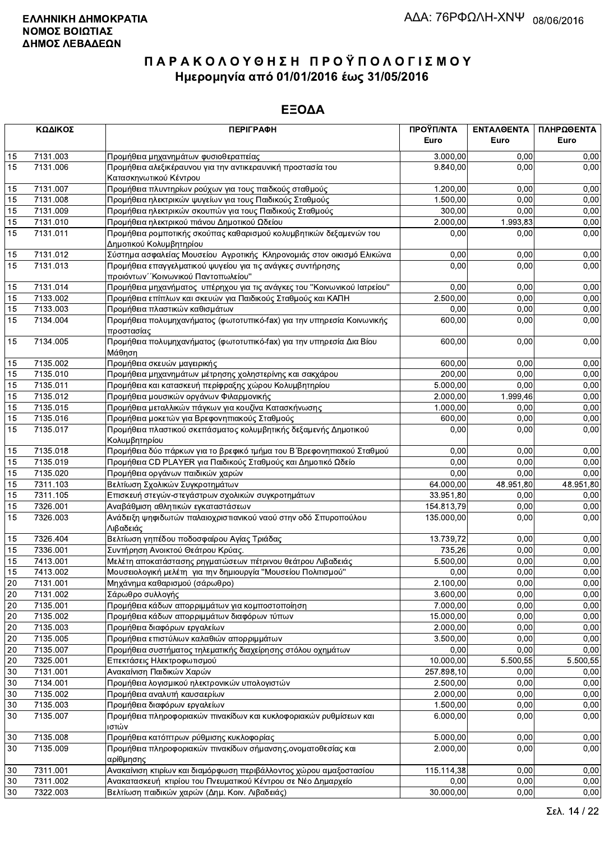| 7131.003<br>0,00<br>15<br>Προμήθεια μηχανημάτων φυσιοθεραπείας<br>3.000,00<br>15<br>7131.006<br>Προμήθεια αλεξικέραυνου για την αντικεραυνική προστασία του<br>9.840,00<br>0.00<br>Κατασκηνωτικού Κέντρου<br>7131.007<br>15<br>Προμήθεια πλυντηρίων ρούχων για τους παιδκούς σταθμούς<br>1.200,00<br>0,00<br>7131.008<br>1.500,00<br>0,00<br>15<br>Προμήθεια ηλεκτρικών ψυγείων για τους Παιδικούς Σταθμούς<br>15<br>7131.009<br>300,00<br>0,00<br>Προμήθεια ηλεκτρικών σκουπών για τους Παιδικούς Σταθμούς<br>15<br>1.993,83<br>7131.010<br>Προμήθεια ηλεκτρικού πιάνου Δημοτικού Ωδείου<br>2.000,00<br>15<br>7131.011<br>Προμήθεια ρομποτικής σκούπας καθαρισμού κολυμβητικών δεξαμενών του<br>0,00<br>0,00<br>Δημοτικού Κολυμβητηρίου<br>Σύστημα ασφαλείας Μουσείου Αγροτικής Κληρονομιάς στον οικισμό Ελικώνα<br>7131.012<br>0.00<br>0,00<br>15<br>15<br>7131.013<br>Προμήθεια επαγγελματικού ψυγείου για τις ανάγκες συντήρησης<br>0,00<br>0,00<br>προιόντων "Κοινωνικού Παντοπωλείου"<br>7131.014<br>0,00<br>0,00<br>15<br>Προμήθεια μηχανήματος υπέρηχου για τις ανάγκες του "Κοινωνικού Ιατρείου"<br>7133.002<br>2.500,00<br>0,00<br>15<br>Προμήθεια επίπλων και σκευών για Παιδικούς Σταθμούς και ΚΑΠΗ<br>Προμήθεια πλαστικών καθισμάτων<br>0,00<br>15<br>7133.003<br>0,00<br>0,00<br>15<br>7134.004<br>Προμήθεια πολυμηχανήματος (φωτοτυπικό-fax) για την υπηρεσία Κοινωνικής<br>600,00<br>0,00<br>προστασίας<br>Προμήθεια πολυμηχανήματος (φωτοτυπικό-fax) για την υπηρεσία Δια Βίου<br>15<br>7134.005<br>600,00<br>0,00<br>Μάθηση<br>0,00<br>7135.002<br>Προμήθεια σκευών μαγειρικής<br>600,00<br>0,00<br>15<br>7135.010<br>200,00<br>0,00<br>15<br>Προμήθεια μηχανημάτων μέτρησης χοληστερίνης και σακχάρου<br>0,00<br>0,00<br>15<br>7135.011<br>0,00<br>Προμήθεια και κατασκευή περίφραξης χώρου Κολυμβητηρίου<br>5.000,00<br>2.000,00<br>1.999,46<br>15<br>7135.012<br>0,00<br>Προμήθεια μουσικών οργάνων Φιλαρμονικής<br>15<br>7135.015<br>Προμήθεια μεταλλικών πάγκων για κουζίνα Κατασκήνωσης<br>1.000,00<br>0,00<br>0,00<br>15<br>7135.016<br>Προμήθεια μοκετών για Βρεφονηπιακούς Σταθμούς<br>600,00<br>0,00<br>0,00<br>15<br>7135.017<br>Προμήθεια πλαστικού σκεπάσματος κολυμβητικής δεξαμενής Δημοτικού<br>0,00<br>0,00<br>Κολυμβητηρίου<br>7135.018<br>Προμήθεια δύο πάρκων για το βρεφικό τμήμα του Β΄ Βρεφονηπιακού Σταθμού<br>0,00<br>0,00<br>0,00<br>15<br>7135.019<br>0,00<br>0,00<br>0,00<br>15<br>Προμήθεια CD PLAYER για Παιδικούς Σταθμούς και Δημοτικό Ωδείο<br>0,00<br>0,00<br>15<br>7135.020<br>Προμήθεια οργάνων παιδικών χαρών<br>0,00<br>15<br>48.951,80<br>48.951,80<br>7311.103<br>Βελτίωση Σχολικών Συγκροτημάτων<br>64.000,00<br>15<br>7311.105<br>Επισκευή στεγών-στεγάστρων σχολικών συγκροτημάτων<br>33.951,80<br>0,00<br>0,00<br>0,00<br>15<br>7326.001<br>Αναβάθμιση αθλητικών εγκαταστάσεων<br>154.813,79<br>0,00<br>15<br>Ανάδειξη ψηφιδωτών παλαιοχριστιανικού ναού στην οδό Σπυροπούλου<br>7326.003<br>135.000,00<br>0,00<br>Λιβαδειάς<br>7326.404<br>Βελτίωση γηπέδου ποδοσφαίρου Αγίας Τριάδας<br>15<br>13.739,72<br>0,00<br>0,00<br>735,26<br>0,00<br>15<br>7336.001<br>Συντήρηση Ανοικτού Θεάτρου Κρύας.<br>0,00<br>5.500,00<br>0,00<br>15<br>7413.001<br>Μελέτη αποκατάστασης ρηγματώσεων πέτρινου θεάτρου Λιβαδειάς<br>0,00<br>15<br>7413.002<br>0,00<br>0,00<br>Μουσειολογική μελέτη για την δημιουργία "Μουσείου Πολιτισμού"<br>0,00<br>20<br>7131.001<br>Μηχάνημα καθαρισμού (σάρωθρο)<br>2.100,00<br>0,00<br>0,00<br>20<br>7131.002<br>3.600,00<br>0,00<br>0,00<br>Σάρωθρο συλλογής<br>7.000,00<br>Προμήθεια κάδων απορριμμάτων για κομποστοποίηση<br>20<br>7135.001<br>0,00<br>0,00<br>0,00<br>20<br>7135.002<br>Προμήθεια κάδων απορριμμάτων διαφόρων τύπων<br>15.000,00<br>0,00<br>7135.003<br>2.000,00<br>0,00<br>20<br>Προμήθεια διαφόρων εργαλείων<br>0,00<br>7135.005<br>Προμήθεια επιστύλιων καλαθιών απορριμμάτων<br>3.500,00<br>0,00<br>20<br>0,00<br>0,00<br>20<br>7135.007<br>Προμήθεια συστήματος τηλεματικής διαχείρησης στόλου οχημάτων<br>0,00<br>0,00<br>10.000,00<br>7325.001<br>Επεκτάσεις Ηλεκτροφωτισμού<br>5.500, 55<br>20<br>5 500,55<br>257.898,10<br>30<br>7131.001<br>Ανακαίνιση Παιδικών Χαρών<br>0,00<br>0,00<br>30<br>7134.001<br>Προμήθεια λογισμικού ηλεκτρονικών υπολογιστών<br>2.500,00<br>0,00<br>0,00<br>7135.002<br>Προμήθεια αναλυτή καυσαερίων<br>2.000,00<br>0,00<br>0,00<br>30<br>30<br>Προμήθεια διαφόρων εργαλείων<br>1.500,00<br>0,00<br>7135.003<br>0,00<br>Προμήθεια πληροφοριακών πινακίδων και κυκλοφοριακών ρυθμίσεων και<br>0,00<br>30<br>7135.007<br>6.000,00<br>ιστών<br>7135.008<br>Προμήθεια κατόπτρων ρύθμισης κυκλοφορίας<br>5.000,00<br>0,00<br>30<br>0,00<br>7135.009<br>Προμήθεια πληροφοριακών πινακίδων σήμανσης,ονοματοθεσίας και<br>2.000,00<br>30<br>0,00<br>αρίθμησης<br>7311.001<br>Ανακαίνιση κτιρίων και διαμόρφωση περιβάλλοντος χώρου αμαξοστασίου<br>115.114,38<br>0,00<br>0,00<br>30<br>30<br>7311.002<br>Ανακατασκευή κτιρίου του Πνευματικού Κέντρου σε Νέο Δημαρχείο<br>0,00<br>0,00<br>7322.003<br>Βελτίωση παιδικών χαρών (Δημ. Κοιν. Λιβαδειάς)<br>0,00<br>30<br>30.000,00 | ΚΩΔΙΚΟΣ | <b>ПЕРІГРАФН</b> | ΠΡΟΫΠ/ΝΤΑ | ΕΝΤΑΛΘΕΝΤΑ | ΠΛΗΡΩΘΕΝΤΑ |
|-----------------------------------------------------------------------------------------------------------------------------------------------------------------------------------------------------------------------------------------------------------------------------------------------------------------------------------------------------------------------------------------------------------------------------------------------------------------------------------------------------------------------------------------------------------------------------------------------------------------------------------------------------------------------------------------------------------------------------------------------------------------------------------------------------------------------------------------------------------------------------------------------------------------------------------------------------------------------------------------------------------------------------------------------------------------------------------------------------------------------------------------------------------------------------------------------------------------------------------------------------------------------------------------------------------------------------------------------------------------------------------------------------------------------------------------------------------------------------------------------------------------------------------------------------------------------------------------------------------------------------------------------------------------------------------------------------------------------------------------------------------------------------------------------------------------------------------------------------------------------------------------------------------------------------------------------------------------------------------------------------------------------------------------------------------------------------------------------------------------------------------------------------------------------------------------------------------------------------------------------------------------------------------------------------------------------------------------------------------------------------------------------------------------------------------------------------------------------------------------------------------------------------------------------------------------------------------------------------------------------------------------------------------------------------------------------------------------------------------------------------------------------------------------------------------------------------------------------------------------------------------------------------------------------------------------------------------------------------------------------------------------------------------------------------------------------------------------------------------------------------------------------------------------------------------------------------------------------------------------------------------------------------------------------------------------------------------------------------------------------------------------------------------------------------------------------------------------------------------------------------------------------------------------------------------------------------------------------------------------------------------------------------------------------------------------------------------------------------------------------------------------------------------------------------------------------------------------------------------------------------------------------------------------------------------------------------------------------------------------------------------------------------------------------------------------------------------------------------------------------------------------------------------------------------------------------------------------------------------------------------------------------------------------------------------------------------------------------------------------------------------------------------------------------------------------------------------------------------------------------------------------------------------------------------------------------------------------------------------------------------------------------------------------------------------------------------------------------------------------------------------------------------------------------------------------------------------------------------------------------------------------------------------------------------------------------------------------------------------------------------------------------------------------------------------------------------------------------------------------------|---------|------------------|-----------|------------|------------|
|                                                                                                                                                                                                                                                                                                                                                                                                                                                                                                                                                                                                                                                                                                                                                                                                                                                                                                                                                                                                                                                                                                                                                                                                                                                                                                                                                                                                                                                                                                                                                                                                                                                                                                                                                                                                                                                                                                                                                                                                                                                                                                                                                                                                                                                                                                                                                                                                                                                                                                                                                                                                                                                                                                                                                                                                                                                                                                                                                                                                                                                                                                                                                                                                                                                                                                                                                                                                                                                                                                                                                                                                                                                                                                                                                                                                                                                                                                                                                                                                                                                                                                                                                                                                                                                                                                                                                                                                                                                                                                                                                                                                                                                                                                                                                                                                                                                                                                                                                                                                                                                                                                                       |         |                  | Euro      | Euro       | Euro       |
|                                                                                                                                                                                                                                                                                                                                                                                                                                                                                                                                                                                                                                                                                                                                                                                                                                                                                                                                                                                                                                                                                                                                                                                                                                                                                                                                                                                                                                                                                                                                                                                                                                                                                                                                                                                                                                                                                                                                                                                                                                                                                                                                                                                                                                                                                                                                                                                                                                                                                                                                                                                                                                                                                                                                                                                                                                                                                                                                                                                                                                                                                                                                                                                                                                                                                                                                                                                                                                                                                                                                                                                                                                                                                                                                                                                                                                                                                                                                                                                                                                                                                                                                                                                                                                                                                                                                                                                                                                                                                                                                                                                                                                                                                                                                                                                                                                                                                                                                                                                                                                                                                                                       |         |                  |           |            | 0,00       |
|                                                                                                                                                                                                                                                                                                                                                                                                                                                                                                                                                                                                                                                                                                                                                                                                                                                                                                                                                                                                                                                                                                                                                                                                                                                                                                                                                                                                                                                                                                                                                                                                                                                                                                                                                                                                                                                                                                                                                                                                                                                                                                                                                                                                                                                                                                                                                                                                                                                                                                                                                                                                                                                                                                                                                                                                                                                                                                                                                                                                                                                                                                                                                                                                                                                                                                                                                                                                                                                                                                                                                                                                                                                                                                                                                                                                                                                                                                                                                                                                                                                                                                                                                                                                                                                                                                                                                                                                                                                                                                                                                                                                                                                                                                                                                                                                                                                                                                                                                                                                                                                                                                                       |         |                  |           |            | 0,00       |
|                                                                                                                                                                                                                                                                                                                                                                                                                                                                                                                                                                                                                                                                                                                                                                                                                                                                                                                                                                                                                                                                                                                                                                                                                                                                                                                                                                                                                                                                                                                                                                                                                                                                                                                                                                                                                                                                                                                                                                                                                                                                                                                                                                                                                                                                                                                                                                                                                                                                                                                                                                                                                                                                                                                                                                                                                                                                                                                                                                                                                                                                                                                                                                                                                                                                                                                                                                                                                                                                                                                                                                                                                                                                                                                                                                                                                                                                                                                                                                                                                                                                                                                                                                                                                                                                                                                                                                                                                                                                                                                                                                                                                                                                                                                                                                                                                                                                                                                                                                                                                                                                                                                       |         |                  |           |            | 0,00       |
|                                                                                                                                                                                                                                                                                                                                                                                                                                                                                                                                                                                                                                                                                                                                                                                                                                                                                                                                                                                                                                                                                                                                                                                                                                                                                                                                                                                                                                                                                                                                                                                                                                                                                                                                                                                                                                                                                                                                                                                                                                                                                                                                                                                                                                                                                                                                                                                                                                                                                                                                                                                                                                                                                                                                                                                                                                                                                                                                                                                                                                                                                                                                                                                                                                                                                                                                                                                                                                                                                                                                                                                                                                                                                                                                                                                                                                                                                                                                                                                                                                                                                                                                                                                                                                                                                                                                                                                                                                                                                                                                                                                                                                                                                                                                                                                                                                                                                                                                                                                                                                                                                                                       |         |                  |           |            | 0,00       |
|                                                                                                                                                                                                                                                                                                                                                                                                                                                                                                                                                                                                                                                                                                                                                                                                                                                                                                                                                                                                                                                                                                                                                                                                                                                                                                                                                                                                                                                                                                                                                                                                                                                                                                                                                                                                                                                                                                                                                                                                                                                                                                                                                                                                                                                                                                                                                                                                                                                                                                                                                                                                                                                                                                                                                                                                                                                                                                                                                                                                                                                                                                                                                                                                                                                                                                                                                                                                                                                                                                                                                                                                                                                                                                                                                                                                                                                                                                                                                                                                                                                                                                                                                                                                                                                                                                                                                                                                                                                                                                                                                                                                                                                                                                                                                                                                                                                                                                                                                                                                                                                                                                                       |         |                  |           |            | 0,00       |
|                                                                                                                                                                                                                                                                                                                                                                                                                                                                                                                                                                                                                                                                                                                                                                                                                                                                                                                                                                                                                                                                                                                                                                                                                                                                                                                                                                                                                                                                                                                                                                                                                                                                                                                                                                                                                                                                                                                                                                                                                                                                                                                                                                                                                                                                                                                                                                                                                                                                                                                                                                                                                                                                                                                                                                                                                                                                                                                                                                                                                                                                                                                                                                                                                                                                                                                                                                                                                                                                                                                                                                                                                                                                                                                                                                                                                                                                                                                                                                                                                                                                                                                                                                                                                                                                                                                                                                                                                                                                                                                                                                                                                                                                                                                                                                                                                                                                                                                                                                                                                                                                                                                       |         |                  |           |            | 0,00       |
|                                                                                                                                                                                                                                                                                                                                                                                                                                                                                                                                                                                                                                                                                                                                                                                                                                                                                                                                                                                                                                                                                                                                                                                                                                                                                                                                                                                                                                                                                                                                                                                                                                                                                                                                                                                                                                                                                                                                                                                                                                                                                                                                                                                                                                                                                                                                                                                                                                                                                                                                                                                                                                                                                                                                                                                                                                                                                                                                                                                                                                                                                                                                                                                                                                                                                                                                                                                                                                                                                                                                                                                                                                                                                                                                                                                                                                                                                                                                                                                                                                                                                                                                                                                                                                                                                                                                                                                                                                                                                                                                                                                                                                                                                                                                                                                                                                                                                                                                                                                                                                                                                                                       |         |                  |           |            | 0,00       |
|                                                                                                                                                                                                                                                                                                                                                                                                                                                                                                                                                                                                                                                                                                                                                                                                                                                                                                                                                                                                                                                                                                                                                                                                                                                                                                                                                                                                                                                                                                                                                                                                                                                                                                                                                                                                                                                                                                                                                                                                                                                                                                                                                                                                                                                                                                                                                                                                                                                                                                                                                                                                                                                                                                                                                                                                                                                                                                                                                                                                                                                                                                                                                                                                                                                                                                                                                                                                                                                                                                                                                                                                                                                                                                                                                                                                                                                                                                                                                                                                                                                                                                                                                                                                                                                                                                                                                                                                                                                                                                                                                                                                                                                                                                                                                                                                                                                                                                                                                                                                                                                                                                                       |         |                  |           |            | 0,00       |
|                                                                                                                                                                                                                                                                                                                                                                                                                                                                                                                                                                                                                                                                                                                                                                                                                                                                                                                                                                                                                                                                                                                                                                                                                                                                                                                                                                                                                                                                                                                                                                                                                                                                                                                                                                                                                                                                                                                                                                                                                                                                                                                                                                                                                                                                                                                                                                                                                                                                                                                                                                                                                                                                                                                                                                                                                                                                                                                                                                                                                                                                                                                                                                                                                                                                                                                                                                                                                                                                                                                                                                                                                                                                                                                                                                                                                                                                                                                                                                                                                                                                                                                                                                                                                                                                                                                                                                                                                                                                                                                                                                                                                                                                                                                                                                                                                                                                                                                                                                                                                                                                                                                       |         |                  |           |            | 0,00       |
|                                                                                                                                                                                                                                                                                                                                                                                                                                                                                                                                                                                                                                                                                                                                                                                                                                                                                                                                                                                                                                                                                                                                                                                                                                                                                                                                                                                                                                                                                                                                                                                                                                                                                                                                                                                                                                                                                                                                                                                                                                                                                                                                                                                                                                                                                                                                                                                                                                                                                                                                                                                                                                                                                                                                                                                                                                                                                                                                                                                                                                                                                                                                                                                                                                                                                                                                                                                                                                                                                                                                                                                                                                                                                                                                                                                                                                                                                                                                                                                                                                                                                                                                                                                                                                                                                                                                                                                                                                                                                                                                                                                                                                                                                                                                                                                                                                                                                                                                                                                                                                                                                                                       |         |                  |           |            | 0,00       |
|                                                                                                                                                                                                                                                                                                                                                                                                                                                                                                                                                                                                                                                                                                                                                                                                                                                                                                                                                                                                                                                                                                                                                                                                                                                                                                                                                                                                                                                                                                                                                                                                                                                                                                                                                                                                                                                                                                                                                                                                                                                                                                                                                                                                                                                                                                                                                                                                                                                                                                                                                                                                                                                                                                                                                                                                                                                                                                                                                                                                                                                                                                                                                                                                                                                                                                                                                                                                                                                                                                                                                                                                                                                                                                                                                                                                                                                                                                                                                                                                                                                                                                                                                                                                                                                                                                                                                                                                                                                                                                                                                                                                                                                                                                                                                                                                                                                                                                                                                                                                                                                                                                                       |         |                  |           |            | 0,00       |
|                                                                                                                                                                                                                                                                                                                                                                                                                                                                                                                                                                                                                                                                                                                                                                                                                                                                                                                                                                                                                                                                                                                                                                                                                                                                                                                                                                                                                                                                                                                                                                                                                                                                                                                                                                                                                                                                                                                                                                                                                                                                                                                                                                                                                                                                                                                                                                                                                                                                                                                                                                                                                                                                                                                                                                                                                                                                                                                                                                                                                                                                                                                                                                                                                                                                                                                                                                                                                                                                                                                                                                                                                                                                                                                                                                                                                                                                                                                                                                                                                                                                                                                                                                                                                                                                                                                                                                                                                                                                                                                                                                                                                                                                                                                                                                                                                                                                                                                                                                                                                                                                                                                       |         |                  |           |            |            |
|                                                                                                                                                                                                                                                                                                                                                                                                                                                                                                                                                                                                                                                                                                                                                                                                                                                                                                                                                                                                                                                                                                                                                                                                                                                                                                                                                                                                                                                                                                                                                                                                                                                                                                                                                                                                                                                                                                                                                                                                                                                                                                                                                                                                                                                                                                                                                                                                                                                                                                                                                                                                                                                                                                                                                                                                                                                                                                                                                                                                                                                                                                                                                                                                                                                                                                                                                                                                                                                                                                                                                                                                                                                                                                                                                                                                                                                                                                                                                                                                                                                                                                                                                                                                                                                                                                                                                                                                                                                                                                                                                                                                                                                                                                                                                                                                                                                                                                                                                                                                                                                                                                                       |         |                  |           |            | 0,00       |
|                                                                                                                                                                                                                                                                                                                                                                                                                                                                                                                                                                                                                                                                                                                                                                                                                                                                                                                                                                                                                                                                                                                                                                                                                                                                                                                                                                                                                                                                                                                                                                                                                                                                                                                                                                                                                                                                                                                                                                                                                                                                                                                                                                                                                                                                                                                                                                                                                                                                                                                                                                                                                                                                                                                                                                                                                                                                                                                                                                                                                                                                                                                                                                                                                                                                                                                                                                                                                                                                                                                                                                                                                                                                                                                                                                                                                                                                                                                                                                                                                                                                                                                                                                                                                                                                                                                                                                                                                                                                                                                                                                                                                                                                                                                                                                                                                                                                                                                                                                                                                                                                                                                       |         |                  |           |            | 0,00       |
|                                                                                                                                                                                                                                                                                                                                                                                                                                                                                                                                                                                                                                                                                                                                                                                                                                                                                                                                                                                                                                                                                                                                                                                                                                                                                                                                                                                                                                                                                                                                                                                                                                                                                                                                                                                                                                                                                                                                                                                                                                                                                                                                                                                                                                                                                                                                                                                                                                                                                                                                                                                                                                                                                                                                                                                                                                                                                                                                                                                                                                                                                                                                                                                                                                                                                                                                                                                                                                                                                                                                                                                                                                                                                                                                                                                                                                                                                                                                                                                                                                                                                                                                                                                                                                                                                                                                                                                                                                                                                                                                                                                                                                                                                                                                                                                                                                                                                                                                                                                                                                                                                                                       |         |                  |           |            |            |
|                                                                                                                                                                                                                                                                                                                                                                                                                                                                                                                                                                                                                                                                                                                                                                                                                                                                                                                                                                                                                                                                                                                                                                                                                                                                                                                                                                                                                                                                                                                                                                                                                                                                                                                                                                                                                                                                                                                                                                                                                                                                                                                                                                                                                                                                                                                                                                                                                                                                                                                                                                                                                                                                                                                                                                                                                                                                                                                                                                                                                                                                                                                                                                                                                                                                                                                                                                                                                                                                                                                                                                                                                                                                                                                                                                                                                                                                                                                                                                                                                                                                                                                                                                                                                                                                                                                                                                                                                                                                                                                                                                                                                                                                                                                                                                                                                                                                                                                                                                                                                                                                                                                       |         |                  |           |            |            |
|                                                                                                                                                                                                                                                                                                                                                                                                                                                                                                                                                                                                                                                                                                                                                                                                                                                                                                                                                                                                                                                                                                                                                                                                                                                                                                                                                                                                                                                                                                                                                                                                                                                                                                                                                                                                                                                                                                                                                                                                                                                                                                                                                                                                                                                                                                                                                                                                                                                                                                                                                                                                                                                                                                                                                                                                                                                                                                                                                                                                                                                                                                                                                                                                                                                                                                                                                                                                                                                                                                                                                                                                                                                                                                                                                                                                                                                                                                                                                                                                                                                                                                                                                                                                                                                                                                                                                                                                                                                                                                                                                                                                                                                                                                                                                                                                                                                                                                                                                                                                                                                                                                                       |         |                  |           |            |            |
|                                                                                                                                                                                                                                                                                                                                                                                                                                                                                                                                                                                                                                                                                                                                                                                                                                                                                                                                                                                                                                                                                                                                                                                                                                                                                                                                                                                                                                                                                                                                                                                                                                                                                                                                                                                                                                                                                                                                                                                                                                                                                                                                                                                                                                                                                                                                                                                                                                                                                                                                                                                                                                                                                                                                                                                                                                                                                                                                                                                                                                                                                                                                                                                                                                                                                                                                                                                                                                                                                                                                                                                                                                                                                                                                                                                                                                                                                                                                                                                                                                                                                                                                                                                                                                                                                                                                                                                                                                                                                                                                                                                                                                                                                                                                                                                                                                                                                                                                                                                                                                                                                                                       |         |                  |           |            |            |
|                                                                                                                                                                                                                                                                                                                                                                                                                                                                                                                                                                                                                                                                                                                                                                                                                                                                                                                                                                                                                                                                                                                                                                                                                                                                                                                                                                                                                                                                                                                                                                                                                                                                                                                                                                                                                                                                                                                                                                                                                                                                                                                                                                                                                                                                                                                                                                                                                                                                                                                                                                                                                                                                                                                                                                                                                                                                                                                                                                                                                                                                                                                                                                                                                                                                                                                                                                                                                                                                                                                                                                                                                                                                                                                                                                                                                                                                                                                                                                                                                                                                                                                                                                                                                                                                                                                                                                                                                                                                                                                                                                                                                                                                                                                                                                                                                                                                                                                                                                                                                                                                                                                       |         |                  |           |            |            |
|                                                                                                                                                                                                                                                                                                                                                                                                                                                                                                                                                                                                                                                                                                                                                                                                                                                                                                                                                                                                                                                                                                                                                                                                                                                                                                                                                                                                                                                                                                                                                                                                                                                                                                                                                                                                                                                                                                                                                                                                                                                                                                                                                                                                                                                                                                                                                                                                                                                                                                                                                                                                                                                                                                                                                                                                                                                                                                                                                                                                                                                                                                                                                                                                                                                                                                                                                                                                                                                                                                                                                                                                                                                                                                                                                                                                                                                                                                                                                                                                                                                                                                                                                                                                                                                                                                                                                                                                                                                                                                                                                                                                                                                                                                                                                                                                                                                                                                                                                                                                                                                                                                                       |         |                  |           |            |            |
|                                                                                                                                                                                                                                                                                                                                                                                                                                                                                                                                                                                                                                                                                                                                                                                                                                                                                                                                                                                                                                                                                                                                                                                                                                                                                                                                                                                                                                                                                                                                                                                                                                                                                                                                                                                                                                                                                                                                                                                                                                                                                                                                                                                                                                                                                                                                                                                                                                                                                                                                                                                                                                                                                                                                                                                                                                                                                                                                                                                                                                                                                                                                                                                                                                                                                                                                                                                                                                                                                                                                                                                                                                                                                                                                                                                                                                                                                                                                                                                                                                                                                                                                                                                                                                                                                                                                                                                                                                                                                                                                                                                                                                                                                                                                                                                                                                                                                                                                                                                                                                                                                                                       |         |                  |           |            | 0,00       |
|                                                                                                                                                                                                                                                                                                                                                                                                                                                                                                                                                                                                                                                                                                                                                                                                                                                                                                                                                                                                                                                                                                                                                                                                                                                                                                                                                                                                                                                                                                                                                                                                                                                                                                                                                                                                                                                                                                                                                                                                                                                                                                                                                                                                                                                                                                                                                                                                                                                                                                                                                                                                                                                                                                                                                                                                                                                                                                                                                                                                                                                                                                                                                                                                                                                                                                                                                                                                                                                                                                                                                                                                                                                                                                                                                                                                                                                                                                                                                                                                                                                                                                                                                                                                                                                                                                                                                                                                                                                                                                                                                                                                                                                                                                                                                                                                                                                                                                                                                                                                                                                                                                                       |         |                  |           |            |            |
|                                                                                                                                                                                                                                                                                                                                                                                                                                                                                                                                                                                                                                                                                                                                                                                                                                                                                                                                                                                                                                                                                                                                                                                                                                                                                                                                                                                                                                                                                                                                                                                                                                                                                                                                                                                                                                                                                                                                                                                                                                                                                                                                                                                                                                                                                                                                                                                                                                                                                                                                                                                                                                                                                                                                                                                                                                                                                                                                                                                                                                                                                                                                                                                                                                                                                                                                                                                                                                                                                                                                                                                                                                                                                                                                                                                                                                                                                                                                                                                                                                                                                                                                                                                                                                                                                                                                                                                                                                                                                                                                                                                                                                                                                                                                                                                                                                                                                                                                                                                                                                                                                                                       |         |                  |           |            |            |
|                                                                                                                                                                                                                                                                                                                                                                                                                                                                                                                                                                                                                                                                                                                                                                                                                                                                                                                                                                                                                                                                                                                                                                                                                                                                                                                                                                                                                                                                                                                                                                                                                                                                                                                                                                                                                                                                                                                                                                                                                                                                                                                                                                                                                                                                                                                                                                                                                                                                                                                                                                                                                                                                                                                                                                                                                                                                                                                                                                                                                                                                                                                                                                                                                                                                                                                                                                                                                                                                                                                                                                                                                                                                                                                                                                                                                                                                                                                                                                                                                                                                                                                                                                                                                                                                                                                                                                                                                                                                                                                                                                                                                                                                                                                                                                                                                                                                                                                                                                                                                                                                                                                       |         |                  |           |            |            |
|                                                                                                                                                                                                                                                                                                                                                                                                                                                                                                                                                                                                                                                                                                                                                                                                                                                                                                                                                                                                                                                                                                                                                                                                                                                                                                                                                                                                                                                                                                                                                                                                                                                                                                                                                                                                                                                                                                                                                                                                                                                                                                                                                                                                                                                                                                                                                                                                                                                                                                                                                                                                                                                                                                                                                                                                                                                                                                                                                                                                                                                                                                                                                                                                                                                                                                                                                                                                                                                                                                                                                                                                                                                                                                                                                                                                                                                                                                                                                                                                                                                                                                                                                                                                                                                                                                                                                                                                                                                                                                                                                                                                                                                                                                                                                                                                                                                                                                                                                                                                                                                                                                                       |         |                  |           |            |            |
|                                                                                                                                                                                                                                                                                                                                                                                                                                                                                                                                                                                                                                                                                                                                                                                                                                                                                                                                                                                                                                                                                                                                                                                                                                                                                                                                                                                                                                                                                                                                                                                                                                                                                                                                                                                                                                                                                                                                                                                                                                                                                                                                                                                                                                                                                                                                                                                                                                                                                                                                                                                                                                                                                                                                                                                                                                                                                                                                                                                                                                                                                                                                                                                                                                                                                                                                                                                                                                                                                                                                                                                                                                                                                                                                                                                                                                                                                                                                                                                                                                                                                                                                                                                                                                                                                                                                                                                                                                                                                                                                                                                                                                                                                                                                                                                                                                                                                                                                                                                                                                                                                                                       |         |                  |           |            |            |
|                                                                                                                                                                                                                                                                                                                                                                                                                                                                                                                                                                                                                                                                                                                                                                                                                                                                                                                                                                                                                                                                                                                                                                                                                                                                                                                                                                                                                                                                                                                                                                                                                                                                                                                                                                                                                                                                                                                                                                                                                                                                                                                                                                                                                                                                                                                                                                                                                                                                                                                                                                                                                                                                                                                                                                                                                                                                                                                                                                                                                                                                                                                                                                                                                                                                                                                                                                                                                                                                                                                                                                                                                                                                                                                                                                                                                                                                                                                                                                                                                                                                                                                                                                                                                                                                                                                                                                                                                                                                                                                                                                                                                                                                                                                                                                                                                                                                                                                                                                                                                                                                                                                       |         |                  |           |            |            |
|                                                                                                                                                                                                                                                                                                                                                                                                                                                                                                                                                                                                                                                                                                                                                                                                                                                                                                                                                                                                                                                                                                                                                                                                                                                                                                                                                                                                                                                                                                                                                                                                                                                                                                                                                                                                                                                                                                                                                                                                                                                                                                                                                                                                                                                                                                                                                                                                                                                                                                                                                                                                                                                                                                                                                                                                                                                                                                                                                                                                                                                                                                                                                                                                                                                                                                                                                                                                                                                                                                                                                                                                                                                                                                                                                                                                                                                                                                                                                                                                                                                                                                                                                                                                                                                                                                                                                                                                                                                                                                                                                                                                                                                                                                                                                                                                                                                                                                                                                                                                                                                                                                                       |         |                  |           |            | 0,00       |
|                                                                                                                                                                                                                                                                                                                                                                                                                                                                                                                                                                                                                                                                                                                                                                                                                                                                                                                                                                                                                                                                                                                                                                                                                                                                                                                                                                                                                                                                                                                                                                                                                                                                                                                                                                                                                                                                                                                                                                                                                                                                                                                                                                                                                                                                                                                                                                                                                                                                                                                                                                                                                                                                                                                                                                                                                                                                                                                                                                                                                                                                                                                                                                                                                                                                                                                                                                                                                                                                                                                                                                                                                                                                                                                                                                                                                                                                                                                                                                                                                                                                                                                                                                                                                                                                                                                                                                                                                                                                                                                                                                                                                                                                                                                                                                                                                                                                                                                                                                                                                                                                                                                       |         |                  |           |            |            |
|                                                                                                                                                                                                                                                                                                                                                                                                                                                                                                                                                                                                                                                                                                                                                                                                                                                                                                                                                                                                                                                                                                                                                                                                                                                                                                                                                                                                                                                                                                                                                                                                                                                                                                                                                                                                                                                                                                                                                                                                                                                                                                                                                                                                                                                                                                                                                                                                                                                                                                                                                                                                                                                                                                                                                                                                                                                                                                                                                                                                                                                                                                                                                                                                                                                                                                                                                                                                                                                                                                                                                                                                                                                                                                                                                                                                                                                                                                                                                                                                                                                                                                                                                                                                                                                                                                                                                                                                                                                                                                                                                                                                                                                                                                                                                                                                                                                                                                                                                                                                                                                                                                                       |         |                  |           |            |            |
|                                                                                                                                                                                                                                                                                                                                                                                                                                                                                                                                                                                                                                                                                                                                                                                                                                                                                                                                                                                                                                                                                                                                                                                                                                                                                                                                                                                                                                                                                                                                                                                                                                                                                                                                                                                                                                                                                                                                                                                                                                                                                                                                                                                                                                                                                                                                                                                                                                                                                                                                                                                                                                                                                                                                                                                                                                                                                                                                                                                                                                                                                                                                                                                                                                                                                                                                                                                                                                                                                                                                                                                                                                                                                                                                                                                                                                                                                                                                                                                                                                                                                                                                                                                                                                                                                                                                                                                                                                                                                                                                                                                                                                                                                                                                                                                                                                                                                                                                                                                                                                                                                                                       |         |                  |           |            |            |
|                                                                                                                                                                                                                                                                                                                                                                                                                                                                                                                                                                                                                                                                                                                                                                                                                                                                                                                                                                                                                                                                                                                                                                                                                                                                                                                                                                                                                                                                                                                                                                                                                                                                                                                                                                                                                                                                                                                                                                                                                                                                                                                                                                                                                                                                                                                                                                                                                                                                                                                                                                                                                                                                                                                                                                                                                                                                                                                                                                                                                                                                                                                                                                                                                                                                                                                                                                                                                                                                                                                                                                                                                                                                                                                                                                                                                                                                                                                                                                                                                                                                                                                                                                                                                                                                                                                                                                                                                                                                                                                                                                                                                                                                                                                                                                                                                                                                                                                                                                                                                                                                                                                       |         |                  |           |            |            |
|                                                                                                                                                                                                                                                                                                                                                                                                                                                                                                                                                                                                                                                                                                                                                                                                                                                                                                                                                                                                                                                                                                                                                                                                                                                                                                                                                                                                                                                                                                                                                                                                                                                                                                                                                                                                                                                                                                                                                                                                                                                                                                                                                                                                                                                                                                                                                                                                                                                                                                                                                                                                                                                                                                                                                                                                                                                                                                                                                                                                                                                                                                                                                                                                                                                                                                                                                                                                                                                                                                                                                                                                                                                                                                                                                                                                                                                                                                                                                                                                                                                                                                                                                                                                                                                                                                                                                                                                                                                                                                                                                                                                                                                                                                                                                                                                                                                                                                                                                                                                                                                                                                                       |         |                  |           |            |            |
|                                                                                                                                                                                                                                                                                                                                                                                                                                                                                                                                                                                                                                                                                                                                                                                                                                                                                                                                                                                                                                                                                                                                                                                                                                                                                                                                                                                                                                                                                                                                                                                                                                                                                                                                                                                                                                                                                                                                                                                                                                                                                                                                                                                                                                                                                                                                                                                                                                                                                                                                                                                                                                                                                                                                                                                                                                                                                                                                                                                                                                                                                                                                                                                                                                                                                                                                                                                                                                                                                                                                                                                                                                                                                                                                                                                                                                                                                                                                                                                                                                                                                                                                                                                                                                                                                                                                                                                                                                                                                                                                                                                                                                                                                                                                                                                                                                                                                                                                                                                                                                                                                                                       |         |                  |           |            |            |
|                                                                                                                                                                                                                                                                                                                                                                                                                                                                                                                                                                                                                                                                                                                                                                                                                                                                                                                                                                                                                                                                                                                                                                                                                                                                                                                                                                                                                                                                                                                                                                                                                                                                                                                                                                                                                                                                                                                                                                                                                                                                                                                                                                                                                                                                                                                                                                                                                                                                                                                                                                                                                                                                                                                                                                                                                                                                                                                                                                                                                                                                                                                                                                                                                                                                                                                                                                                                                                                                                                                                                                                                                                                                                                                                                                                                                                                                                                                                                                                                                                                                                                                                                                                                                                                                                                                                                                                                                                                                                                                                                                                                                                                                                                                                                                                                                                                                                                                                                                                                                                                                                                                       |         |                  |           |            |            |
|                                                                                                                                                                                                                                                                                                                                                                                                                                                                                                                                                                                                                                                                                                                                                                                                                                                                                                                                                                                                                                                                                                                                                                                                                                                                                                                                                                                                                                                                                                                                                                                                                                                                                                                                                                                                                                                                                                                                                                                                                                                                                                                                                                                                                                                                                                                                                                                                                                                                                                                                                                                                                                                                                                                                                                                                                                                                                                                                                                                                                                                                                                                                                                                                                                                                                                                                                                                                                                                                                                                                                                                                                                                                                                                                                                                                                                                                                                                                                                                                                                                                                                                                                                                                                                                                                                                                                                                                                                                                                                                                                                                                                                                                                                                                                                                                                                                                                                                                                                                                                                                                                                                       |         |                  |           |            |            |
|                                                                                                                                                                                                                                                                                                                                                                                                                                                                                                                                                                                                                                                                                                                                                                                                                                                                                                                                                                                                                                                                                                                                                                                                                                                                                                                                                                                                                                                                                                                                                                                                                                                                                                                                                                                                                                                                                                                                                                                                                                                                                                                                                                                                                                                                                                                                                                                                                                                                                                                                                                                                                                                                                                                                                                                                                                                                                                                                                                                                                                                                                                                                                                                                                                                                                                                                                                                                                                                                                                                                                                                                                                                                                                                                                                                                                                                                                                                                                                                                                                                                                                                                                                                                                                                                                                                                                                                                                                                                                                                                                                                                                                                                                                                                                                                                                                                                                                                                                                                                                                                                                                                       |         |                  |           |            |            |
|                                                                                                                                                                                                                                                                                                                                                                                                                                                                                                                                                                                                                                                                                                                                                                                                                                                                                                                                                                                                                                                                                                                                                                                                                                                                                                                                                                                                                                                                                                                                                                                                                                                                                                                                                                                                                                                                                                                                                                                                                                                                                                                                                                                                                                                                                                                                                                                                                                                                                                                                                                                                                                                                                                                                                                                                                                                                                                                                                                                                                                                                                                                                                                                                                                                                                                                                                                                                                                                                                                                                                                                                                                                                                                                                                                                                                                                                                                                                                                                                                                                                                                                                                                                                                                                                                                                                                                                                                                                                                                                                                                                                                                                                                                                                                                                                                                                                                                                                                                                                                                                                                                                       |         |                  |           |            |            |
|                                                                                                                                                                                                                                                                                                                                                                                                                                                                                                                                                                                                                                                                                                                                                                                                                                                                                                                                                                                                                                                                                                                                                                                                                                                                                                                                                                                                                                                                                                                                                                                                                                                                                                                                                                                                                                                                                                                                                                                                                                                                                                                                                                                                                                                                                                                                                                                                                                                                                                                                                                                                                                                                                                                                                                                                                                                                                                                                                                                                                                                                                                                                                                                                                                                                                                                                                                                                                                                                                                                                                                                                                                                                                                                                                                                                                                                                                                                                                                                                                                                                                                                                                                                                                                                                                                                                                                                                                                                                                                                                                                                                                                                                                                                                                                                                                                                                                                                                                                                                                                                                                                                       |         |                  |           |            |            |
|                                                                                                                                                                                                                                                                                                                                                                                                                                                                                                                                                                                                                                                                                                                                                                                                                                                                                                                                                                                                                                                                                                                                                                                                                                                                                                                                                                                                                                                                                                                                                                                                                                                                                                                                                                                                                                                                                                                                                                                                                                                                                                                                                                                                                                                                                                                                                                                                                                                                                                                                                                                                                                                                                                                                                                                                                                                                                                                                                                                                                                                                                                                                                                                                                                                                                                                                                                                                                                                                                                                                                                                                                                                                                                                                                                                                                                                                                                                                                                                                                                                                                                                                                                                                                                                                                                                                                                                                                                                                                                                                                                                                                                                                                                                                                                                                                                                                                                                                                                                                                                                                                                                       |         |                  |           |            |            |
|                                                                                                                                                                                                                                                                                                                                                                                                                                                                                                                                                                                                                                                                                                                                                                                                                                                                                                                                                                                                                                                                                                                                                                                                                                                                                                                                                                                                                                                                                                                                                                                                                                                                                                                                                                                                                                                                                                                                                                                                                                                                                                                                                                                                                                                                                                                                                                                                                                                                                                                                                                                                                                                                                                                                                                                                                                                                                                                                                                                                                                                                                                                                                                                                                                                                                                                                                                                                                                                                                                                                                                                                                                                                                                                                                                                                                                                                                                                                                                                                                                                                                                                                                                                                                                                                                                                                                                                                                                                                                                                                                                                                                                                                                                                                                                                                                                                                                                                                                                                                                                                                                                                       |         |                  |           |            |            |
|                                                                                                                                                                                                                                                                                                                                                                                                                                                                                                                                                                                                                                                                                                                                                                                                                                                                                                                                                                                                                                                                                                                                                                                                                                                                                                                                                                                                                                                                                                                                                                                                                                                                                                                                                                                                                                                                                                                                                                                                                                                                                                                                                                                                                                                                                                                                                                                                                                                                                                                                                                                                                                                                                                                                                                                                                                                                                                                                                                                                                                                                                                                                                                                                                                                                                                                                                                                                                                                                                                                                                                                                                                                                                                                                                                                                                                                                                                                                                                                                                                                                                                                                                                                                                                                                                                                                                                                                                                                                                                                                                                                                                                                                                                                                                                                                                                                                                                                                                                                                                                                                                                                       |         |                  |           |            |            |
|                                                                                                                                                                                                                                                                                                                                                                                                                                                                                                                                                                                                                                                                                                                                                                                                                                                                                                                                                                                                                                                                                                                                                                                                                                                                                                                                                                                                                                                                                                                                                                                                                                                                                                                                                                                                                                                                                                                                                                                                                                                                                                                                                                                                                                                                                                                                                                                                                                                                                                                                                                                                                                                                                                                                                                                                                                                                                                                                                                                                                                                                                                                                                                                                                                                                                                                                                                                                                                                                                                                                                                                                                                                                                                                                                                                                                                                                                                                                                                                                                                                                                                                                                                                                                                                                                                                                                                                                                                                                                                                                                                                                                                                                                                                                                                                                                                                                                                                                                                                                                                                                                                                       |         |                  |           |            |            |
|                                                                                                                                                                                                                                                                                                                                                                                                                                                                                                                                                                                                                                                                                                                                                                                                                                                                                                                                                                                                                                                                                                                                                                                                                                                                                                                                                                                                                                                                                                                                                                                                                                                                                                                                                                                                                                                                                                                                                                                                                                                                                                                                                                                                                                                                                                                                                                                                                                                                                                                                                                                                                                                                                                                                                                                                                                                                                                                                                                                                                                                                                                                                                                                                                                                                                                                                                                                                                                                                                                                                                                                                                                                                                                                                                                                                                                                                                                                                                                                                                                                                                                                                                                                                                                                                                                                                                                                                                                                                                                                                                                                                                                                                                                                                                                                                                                                                                                                                                                                                                                                                                                                       |         |                  |           |            |            |
|                                                                                                                                                                                                                                                                                                                                                                                                                                                                                                                                                                                                                                                                                                                                                                                                                                                                                                                                                                                                                                                                                                                                                                                                                                                                                                                                                                                                                                                                                                                                                                                                                                                                                                                                                                                                                                                                                                                                                                                                                                                                                                                                                                                                                                                                                                                                                                                                                                                                                                                                                                                                                                                                                                                                                                                                                                                                                                                                                                                                                                                                                                                                                                                                                                                                                                                                                                                                                                                                                                                                                                                                                                                                                                                                                                                                                                                                                                                                                                                                                                                                                                                                                                                                                                                                                                                                                                                                                                                                                                                                                                                                                                                                                                                                                                                                                                                                                                                                                                                                                                                                                                                       |         |                  |           |            | 0,00       |
|                                                                                                                                                                                                                                                                                                                                                                                                                                                                                                                                                                                                                                                                                                                                                                                                                                                                                                                                                                                                                                                                                                                                                                                                                                                                                                                                                                                                                                                                                                                                                                                                                                                                                                                                                                                                                                                                                                                                                                                                                                                                                                                                                                                                                                                                                                                                                                                                                                                                                                                                                                                                                                                                                                                                                                                                                                                                                                                                                                                                                                                                                                                                                                                                                                                                                                                                                                                                                                                                                                                                                                                                                                                                                                                                                                                                                                                                                                                                                                                                                                                                                                                                                                                                                                                                                                                                                                                                                                                                                                                                                                                                                                                                                                                                                                                                                                                                                                                                                                                                                                                                                                                       |         |                  |           |            |            |
|                                                                                                                                                                                                                                                                                                                                                                                                                                                                                                                                                                                                                                                                                                                                                                                                                                                                                                                                                                                                                                                                                                                                                                                                                                                                                                                                                                                                                                                                                                                                                                                                                                                                                                                                                                                                                                                                                                                                                                                                                                                                                                                                                                                                                                                                                                                                                                                                                                                                                                                                                                                                                                                                                                                                                                                                                                                                                                                                                                                                                                                                                                                                                                                                                                                                                                                                                                                                                                                                                                                                                                                                                                                                                                                                                                                                                                                                                                                                                                                                                                                                                                                                                                                                                                                                                                                                                                                                                                                                                                                                                                                                                                                                                                                                                                                                                                                                                                                                                                                                                                                                                                                       |         |                  |           |            | 0,00       |
|                                                                                                                                                                                                                                                                                                                                                                                                                                                                                                                                                                                                                                                                                                                                                                                                                                                                                                                                                                                                                                                                                                                                                                                                                                                                                                                                                                                                                                                                                                                                                                                                                                                                                                                                                                                                                                                                                                                                                                                                                                                                                                                                                                                                                                                                                                                                                                                                                                                                                                                                                                                                                                                                                                                                                                                                                                                                                                                                                                                                                                                                                                                                                                                                                                                                                                                                                                                                                                                                                                                                                                                                                                                                                                                                                                                                                                                                                                                                                                                                                                                                                                                                                                                                                                                                                                                                                                                                                                                                                                                                                                                                                                                                                                                                                                                                                                                                                                                                                                                                                                                                                                                       |         |                  |           |            |            |
|                                                                                                                                                                                                                                                                                                                                                                                                                                                                                                                                                                                                                                                                                                                                                                                                                                                                                                                                                                                                                                                                                                                                                                                                                                                                                                                                                                                                                                                                                                                                                                                                                                                                                                                                                                                                                                                                                                                                                                                                                                                                                                                                                                                                                                                                                                                                                                                                                                                                                                                                                                                                                                                                                                                                                                                                                                                                                                                                                                                                                                                                                                                                                                                                                                                                                                                                                                                                                                                                                                                                                                                                                                                                                                                                                                                                                                                                                                                                                                                                                                                                                                                                                                                                                                                                                                                                                                                                                                                                                                                                                                                                                                                                                                                                                                                                                                                                                                                                                                                                                                                                                                                       |         |                  |           |            | 0,00       |
|                                                                                                                                                                                                                                                                                                                                                                                                                                                                                                                                                                                                                                                                                                                                                                                                                                                                                                                                                                                                                                                                                                                                                                                                                                                                                                                                                                                                                                                                                                                                                                                                                                                                                                                                                                                                                                                                                                                                                                                                                                                                                                                                                                                                                                                                                                                                                                                                                                                                                                                                                                                                                                                                                                                                                                                                                                                                                                                                                                                                                                                                                                                                                                                                                                                                                                                                                                                                                                                                                                                                                                                                                                                                                                                                                                                                                                                                                                                                                                                                                                                                                                                                                                                                                                                                                                                                                                                                                                                                                                                                                                                                                                                                                                                                                                                                                                                                                                                                                                                                                                                                                                                       |         |                  |           |            | 0,00       |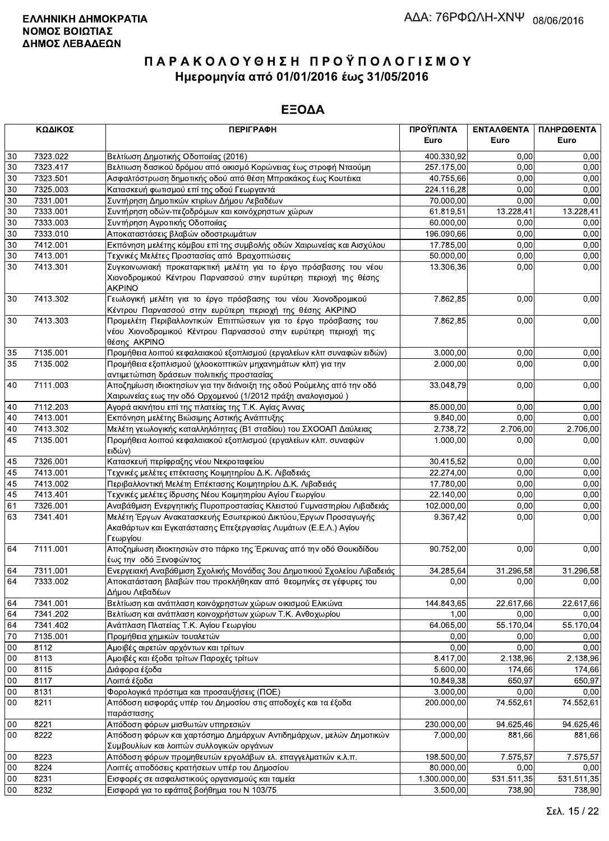|        | ΚΩΔΙΚΟΣ<br><b>ПЕРІГРАФН</b> |                                                                                                                                                       | ΠΡΟΫΠ/ΝΤΑ<br>Euro     | ΕΝΤΑΛΘΕΝΤΑ<br>Euro | ΠΛΗΡΩΘΕΝΤΑ<br>Euro |
|--------|-----------------------------|-------------------------------------------------------------------------------------------------------------------------------------------------------|-----------------------|--------------------|--------------------|
| $30\,$ | 7323.022                    |                                                                                                                                                       | 400.330,92            | 0.00               | 0,00               |
| 30     | 7323.417                    | Βελτίωση Δημοτικής Οδοποιίας (2016)<br>Βελτιωση δασικού δρόμου από οικισμό Κορώνειας έως στροφή Νταούμη                                               | 257.175,00            | 0.00               | 0,00               |
| $30\,$ | 7323.501                    | Ασφαλτόστρωση δημοτικής οδού από θέση Μπρακάκος έως Κουτέικα                                                                                          | 40.755,66             | 0,00               | 0,00               |
| 30     | 7325.003                    | Κατασκευή φωτισμού επί της οδού Γεωργαντά                                                                                                             | 224.116,28            | 0,00               | 0,00               |
| 30     | 7331.001                    | Συντήρηση Δημοτικών κτιρίων Δήμου Λεβαδέων                                                                                                            | 70.000,00             | 0,00               | 0,00               |
| 30     | 7333.001                    | Συντήρηση οδών-πεζοδρόμων και κοινόχρηστων χώρων                                                                                                      | 61.819,51             | 13.228,41          | 13.228,41          |
| $30\,$ | 7333.003                    | Συντήρηση Αγροτικής Οδοποιίας                                                                                                                         | 60.000,00             | 0,00               | 0,00               |
| 30     | 7333.010                    | Αποκαταστάσεις βλαβών οδοστρωμάτων                                                                                                                    | 196.090,66            | 0.00               | 0,00               |
| 30     | 7412.001                    | Εκπόνηση μελέτης κόμβου επί της συμβολής οδών Χαιρωνείας και Αισχύλου                                                                                 | 17.785,00             | 0,00               | 0,00               |
| $30\,$ | 7413.001                    | Τεχνικές Μελέτες Προστασίας από Βραχοπτώσεις                                                                                                          | 50.000,00             | 0,00               | 0,00               |
| 30     | 7413.301                    | Συγκοινωνιακή προκαταρκτική μελέτη για το έργο πρόσβασης του νέου<br>Χιονοδρομικού Κέντρου Παρνασσού στην ευρύτερη περιοχή της θέσης<br><b>AKPINO</b> | 13.306,36             | 0,00               | 0,00               |
| 30     | 7413.302                    | Γεωλογική μελέτη για το έργο πρόσβασης του νέου Χιονοδρομικού<br>Κέντρου Παρνασσού στην ευρύτερη περιοχή της θέσης ΑΚΡΙΝΟ                             | 7.862,85              | 0,00               | 0,00               |
| 30     | 7413.303                    | Προμελέτη Περιβαλλοντικών Επιπτώσεων για το έργο πρόσβασης του<br>νέου Χιονοδρομικού Κέντρου Παρνασσού στην ευρύτερη περιοχή της<br>θέσης AKPINO      | 7.862,85              | 0,00               | 0,00               |
| 35     | 7135.001                    | Προμήθεια λοιπού κεφαλαιακού εξοπλισμού (εργαλείων κλπ συναφών ειδών)                                                                                 | 3.000,00              | 0.00               | 0,00               |
| 35     | 7135.002                    | Προμήθεια εξοπλισμού (χλοοκοπτικών μηχανημάτων κλπ) για την<br>αντιμετώπιση δράσεων πολιτικής προστασίας                                              | 2.000,00<br>33.048,79 | 0,00               | 0,00               |
| 40     | 7111.003                    | Αποζημίωση ιδιοκτησίων για την διάνοιξη της οδού Ρούμελης από την οδό<br>Χαιρωνείας εως την οδό Ορχομενού (1/2012 πράξη αναλογισμού)                  |                       | 0,00               | 0,00               |
| 40     | 7112.203                    | Αγορά ακινήτου επί της πλατείας της Τ.Κ. Αγίας Άννας                                                                                                  | 85.000,00             | 0,00               | 0,00               |
| 40     | 7413.001                    | Εκπόνηση μελέτης Βιώσιμης Αστικής Ανάπτυξης                                                                                                           | 9.840,00              | 0,00               | 0,00               |
| 40     | 7413.302                    | Μελέτη γεωλογικής καταλληλότητας (Β1 σταδίου) του ΣΧΟΟΑΠ Δαύλειας                                                                                     | 2.738,72              | 2.706,00           | 2.706,00           |
| 45     | 7135.001                    | Προμήθεια λοιπού κεφαλαιακού εξοπλισμού (εργαλείων κλπ. συναφών<br>ειδών)                                                                             | 1.000,00              | 0,00               | 0,00               |
| 45     | 7326.001                    | Κατασκευή περίφραξης νέου Νεκροταφείου                                                                                                                | 30.415,52             | 0,00               | 0,00               |
| 45     | 7413.001                    | Τεχνικές μελέτες επέκτασης Κοιμητηρίου Δ.Κ. Λιβαδειάς                                                                                                 | 22.274,00             | 0,00               | 0,00               |
| 45     | 7413.002                    | Περιβαλλοντική Μελέτη Επέκτασης Κοιμητηρίου Δ.Κ. Λιβαδειάς                                                                                            | 17.780,00             | 0,00               | 0,00               |
| 45     | 7413.401                    | Τεχνικές μελέτες ίδρυσης Νέου Κοιμητηρίου Αγίου Γεωργίου                                                                                              | 22.140,00             | 0,00               | 0,00               |
| 61     | 7326.001                    | Αναβάθμιση Ενεργητικής Πυροπροστασίας Κλειστού Γυμναστηρίου Λιβαδειάς                                                                                 | 102.000,00            | 0,00               | 0,00               |
| 63     | 7341.401                    | Μελέτη Έργων Ανακατασκευής Εσωτερικού Δικτύου, Έργων Προσαγωγής<br>Ακαθάρτων και Εγκατάστασης Επεξεργασίας Λυμάτων (Ε.Ε.Λ.) Αγίου<br>Γεωργίου         | 9.367,42              | 0,00               | 0,00               |
| 64     | 7111.001                    | Αποζημίωση ιδιοκτησιών στο πάρκο της Έρκυνας από την οδό Θουκιδίδου<br>έως την οδό Ξενοφώντος                                                         | 90.752,00             | 0,00               | 0,00               |
| 64     | 7311.001                    | Ενεργειακή Αναβάθμιση Σχολικής Μονάδας 3ου Δημοτικιού Σχολείου Λιβαδειάς                                                                              | 34.285,64             | 31.296,58          | 31.296,58          |
| 64     | 7333.002                    | Αποκατάσταση βλαβών που προκλήθηκαν από θεομηνίες σε γέφυρες του<br>Δήμου Λεβαδέων                                                                    | 0,00                  | 0,00               | 0,00               |
| 64     | 7341.001                    | Βελτίωση και ανάπλαση κοινόχρηστων χώρων οικισμού Ελικώνα                                                                                             | 144.843,65            | 22.617,66          | 22.617,66          |
| 64     | 7341.202                    | Βελτίωση και ανάπλαση κοινοχρήστων χώρων Τ.Κ. Ανθοχωρίου                                                                                              | 1,00                  | 0,00               | 0,00               |
| 64     | 7341.402                    | Ανάπλαση Πλατείας Τ.Κ. Αγίου Γεωργίου                                                                                                                 | 64.065,00             | 55.170,04          | 55.170,04          |
| 70     | 7135.001                    | Προμήθεια χημικών τουαλετών                                                                                                                           | 0,00                  | 0,00               | 0,00               |
| $00\,$ | 8112                        | Αμοιβές αιρετών αρχόντων και τρίτων                                                                                                                   | 0,00                  | 0,00               | 0.00               |
| $00\,$ | 8113                        | Αμοιβές και έξοδα τρίτων Παροχές τρίτων                                                                                                               | 8.417,00              | 2.138,96           | 2.138,96           |
| 00     | 8115                        | Διάφορα έξοδα                                                                                                                                         | 5.600,00              | 174,66             | 174,66             |
| 00     | 8117                        | Λοιπά έξοδα                                                                                                                                           | 10.849,38             | 650,97             | 650,97             |
| 00     | 8131                        | Φορολογικά πρόστιμα και προσαυξήσεις (ΠΟΕ)                                                                                                            | 3.000,00              | 0,00               | 0,00               |
| 00     | 8211                        | Απόδοση εισφοράς υπέρ του Δημοσίου στις αποδοχές και τα έξοδα<br>παράστασης                                                                           | 200.000,00            | 74.552,61          | 74.552,61          |
| $00\,$ | 8221                        | Απόδοση φόρων μισθωτών υπηρεσιών                                                                                                                      | 230.000,00            | 94.625,46          | 94.625,46          |
| $00\,$ | 8222                        | Απόδοση φόρων και χαρτόσημο Δημάρχων Αντιδημάρχων, μελών Δημοτικών<br>Συμβουλίων και λοιπών συλλογικών οργάνων                                        | 7.000,00              | 881,66             | 881,66             |
| $00\,$ | 8223                        | Απόδοση φόρων προμηθευτών εργολάβων ελ. επαγγελματιών κ.λ.π.                                                                                          | 198.500,00            | 7.575,57           | 7.575,57           |
| $00\,$ | 8224                        | Λοιπές αποδόσεις κρατήσεων υπέρ του Δημοσίου                                                                                                          | 80.000,00             | 0,00               | 0,00               |
| $00\,$ | 8231                        | Εισφορές σε ασφαλιστικούς οργανισμούς και ταμεία                                                                                                      | 1.300.000,00          | 531.511,35         | 531.511,35         |
| 00     | 8232                        | Εισφορά για το εφάπαξ βοήθημα του Ν 103/75                                                                                                            | 3.500,00              | 738,90             | 738,90             |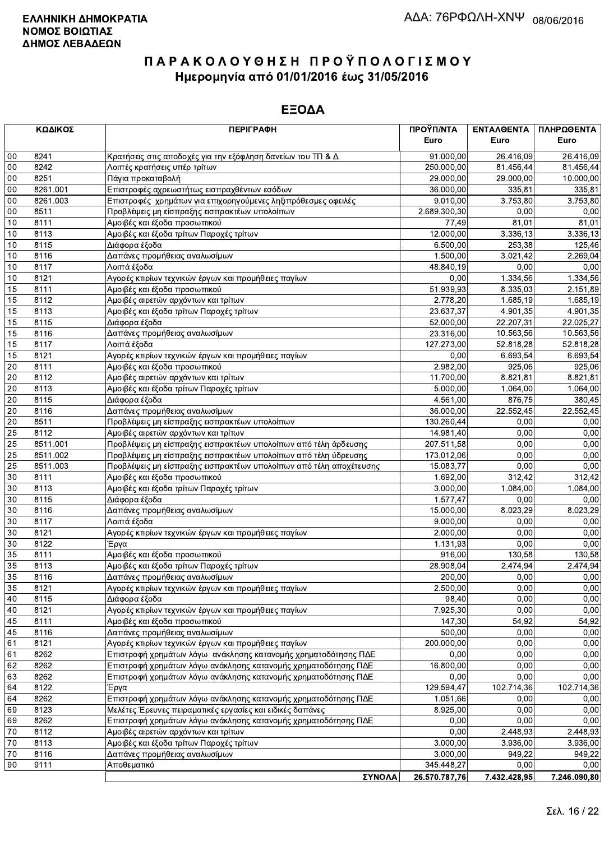|          | ΚΩΔΙΚΟΣ      | <b>ПЕРІГРАФН</b>                                                   | ΠΡΟΫΠ/ΝΤΑ<br>Euro       | ΕΝΤΑΛΘΕΝΤΑ<br>Euro  | ΠΛΗΡΩΘΕΝΤΑ<br>Euro |
|----------|--------------|--------------------------------------------------------------------|-------------------------|---------------------|--------------------|
|          |              |                                                                    |                         |                     |                    |
| 00       | 8241         | Κρατήσεις στις αποδοχές για την εξόφληση δανείων του ΤΠ & Δ        | 91.000,00               | 26.416,09           | 26.416,09          |
| 00<br>00 | 8242<br>8251 | Λοιπές κρατήσεις υπέρ τρίτων                                       | 250.000,00<br>29.000,00 | 81.456,44           | 81.456,44          |
| 00       | 8261.001     | Πάγια προκαταβολή<br>Επιστροφές αχρεωστήτως εισπραχθέντων εσόδων   | 36.000,00               | 29.000,00<br>335,81 | 10.000,00          |
| 00       | 8261.003     | Επιστροφές χρημάτων για επιχορηγούμενες ληξιπρόθεσμες οφειλές      | 9.010,00                | 3.753,80            | 335,81<br>3.753,80 |
| $00\,$   | 8511         | Προβλέψεις μη είσπραξης εισπρακτέων υπολοίπων                      | 2.689.300,30            | 0,00                | 0,00               |
| 10       | 8111         | Αμοιβές και έξοδα προσωπικού                                       | 77,49                   | 81,01               | 81,01              |
| 10       | 8113         | Αμοιβές και έξοδα τρίτων Παροχές τρίτων                            | 12.000,00               | 3.336,13            | 3.336,13           |
| 10       | 8115         | Διάφορα έξοδα                                                      | 6.500,00                | 253,38              | 125,46             |
| 10       | 8116         | Δαπάνες προμήθειας αναλωσίμων                                      | 1.500,00                | 3.021,42            | 2.269,04           |
| 10       | 8117         | Λοιπά έξοδα                                                        | 48.840,19               | 0,00                | 0,00               |
| 10       | 8121         | Αγορές κτιρίων τεχνικών έργων και προμήθειες παγίων                | 0,00                    | 1.334,56            | 1.334,56           |
| 15       | 8111         | Αμοιβές και έξοδα προσωπικού                                       | 51.939,93               | 8.335,03            | 2.151,89           |
| 15       | 8112         | Αμοιβές αιρετών αρχόντων και τρίτων                                | 2.778,20                | 1.685,19            | 1.685,19           |
| 15       | 8113         | Αμοιβές και έξοδα τρίτων Παροχές τρίτων                            | 23.637,37               | 4.901,35            | 4.901,35           |
| 15       | 8115         | Διάφορα έξοδα                                                      | 52.000,00               | 22.207,31           | 22.025,27          |
| 15       | 8116         | Δαπάνες προμήθειας αναλωσίμων                                      | 23.316,00               | 10.563,56           | 10.563,56          |
| 15       | 8117         | Λοιπά έξοδα                                                        | 127.273,00              | 52.818,28           | 52.818,28          |
| 15       | 8121         | Αγορές κτιρίων τεχνικών έργων και προμήθειες παγίων                | 0,00                    | 6.693,54            | 6.693,54           |
| 20       | 8111         | Αμοιβές και έξοδα προσωπικού                                       | 2.982,00                | 925,06              | 925,06             |
| 20       | 8112         | Αμοιβές αιρετών αρχόντων και τρίτων                                | 11.700,00               | 8.821,81            | 8.821,81           |
| 20       | 8113         | Αμοιβές και έξοδα τρίτων Παροχές τρίτων                            | 5.000,00                | 1.064,00            | 1.064,00           |
| 20       | 8115         | Διάφορα έξοδα                                                      | 4.561,00                | 876,75              | 380,45             |
| 20       | 8116         | Δαπάνες προμήθειας αναλωσίμων                                      | 36.000,00               | 22.552,45           | 22.552,45          |
| 20       | 8511         | Προβλέψεις μη είσπραξης εισπρακτέων υπολοίπων                      | 130.260,44              | 0,00                | 0,00               |
| 25       | 8112         | Αμοιβές αιρετών αρχόντων και τρίτων                                | 14.981,40               | 0,00                | 0,00               |
| 25       | 8511.001     | Προβλέψεις μη είσπραξης εισπρακτέων υπολοίπων από τέλη άρδευσης    | 207.511,58              | 0,00                | 0,00               |
| 25       | 8511.002     | Προβλέψεις μη είσπραξης εισπρακτέων υπολοίπων από τέλη ύδρευσης    | 173.012,06              | 0.00                | 0,00               |
| 25       | 8511.003     | Προβλέψεις μη είσπραξης εισπρακτέων υπολοίπων από τέλη αποχέτευσης | 15.083,77               | 0,00                | 0,00               |
| 30       | 8111         | Αμοιβές και έξοδα προσωπικού                                       | 1.692,00                | 312,42              | 312,42             |
| 30       | 8113         | Αμοιβές και έξοδα τρίτων Παροχές τρίτων                            | 3.000,00                | 1.084,00            | 1.084,00           |
| 30       | 8115         | Διάφορα έξοδα                                                      | 1.577,47                | 0,00                | 0,00               |
| 30       | 8116         | Δαπάνες προμήθειας αναλωσίμων                                      | 15.000,00               | 8.023,29            | 8.023,29           |
| 30       | 8117         | Λοιπά έξοδα                                                        | 9.000,00                | 0,00                | 0,00               |
| 30       | 8121         | Αγορές κτιρίων τεχνικών έργων και προμήθειες παγίων                | 2.000,00                | 0,00                | 0,00               |
| 30       | 8122         | Έργα                                                               | 1.131,93                | 0,00                | 0,00               |
| 35       | 8111         | Αμοιβές και έξοδα προσωπικού                                       | 916,00                  | 130,58              | 130,58             |
| 35       | 8113         | Αμοιβές και έξοδα τρίτων Παροχές τρίτων                            | 28.908,04               | 2.474,94            | 2.474,94           |
| 35       | 8116         | Δαπάνες προμήθειας αναλωσίμων                                      | 200,00                  | 0,00                | 0,00               |
| 35       | 8121         | Αγορές κτιρίων τεχνικών έργων και προμήθειες παγίων                | 2.500,00                | 0,00                | 0,00               |
| 40       | 8115         | Διάφορα έξοδα                                                      | 98,40                   | 0,00                | 0,00               |
| 40       | 8121         | Αγορές κτιρίων τεχνικών έργων και προμήθειες παγίων                | 7.925,30                | 0,00                | 0,00               |
| 45       | 8111         | Αμοιβές και έξοδα προσωπικού                                       | 147,30                  | 54,92               | 54,92              |
| 45       | 8116         | Δαπάνες προμήθειας αναλωσίμων                                      | 500,00                  | 0,00                | 0,00               |
| 61       | 8121         | Αγορές κτιρίων τεχνικών έργων και προμήθειες παγίων                | 200.000,00              | 0,00                | 0,00               |
| 61       | 8262         | Επιστροφή χρημάτων λόγω ανάκλησης κατανομής χρηματοδότησης ΠΔΕ     | 0,00                    | 0,00                | 0,00               |
| 62       | 8262         | Επιστροφή χρημάτων λόγω ανάκλησης κατανομής χρηματοδότησης ΠΔΕ     | 16.800,00               | 0,00                | 0,00               |
| 63       | 8262         | Επιστροφή χρημάτων λόγω ανάκλησης κατανομής χρηματοδότησης ΠΔΕ     | 0,00                    | 0,00                | 0,00               |
| 64       | 8122         | Έργα                                                               | 129.594,47              | 102.714,36          | 102.714,36         |
| 64       | 8262         | Επιστροφή χρημάτων λόγω ανάκλησης κατανομής χρηματοδότησης ΠΔΕ     | 1.051,66                | 0,00                | 0,00               |
| 69       | 8123         | Μελέτες Έρευνες πειραματικές εργασίες και ειδικές δαπάνες          | 8.925,00                | 0,00                | 0,00               |
| 69       | 8262         | Επιστροφή χρημάτων λόγω ανάκλησης κατανομής χρηματοδότησης ΠΔΕ     | 0,00                    | 0,00                | 0,00               |
| 70       | 8112         | Αμοιβές αιρετών αρχόντων και τρίτων                                | 0,00                    | 2.448,93            | 2.448,93           |
| 70       | 8113         | Αμοιβές και έξοδα τρίτων Παροχές τρίτων                            | 3.000,00                | 3.936,00            | 3.936,00           |
| 70       | 8116         | Δαπάνες προμήθειας αναλωσίμων                                      | 3.000,00                | 949,22              | 949,22             |
| 90       | 9111         | Αποθεματικό                                                        | 345.448,27              | 0,00                | 0,00               |
|          |              | ΣΥΝΟΛΑ                                                             | 26 570 787 76           | 7 432 428 95        | 7 246 090 80       |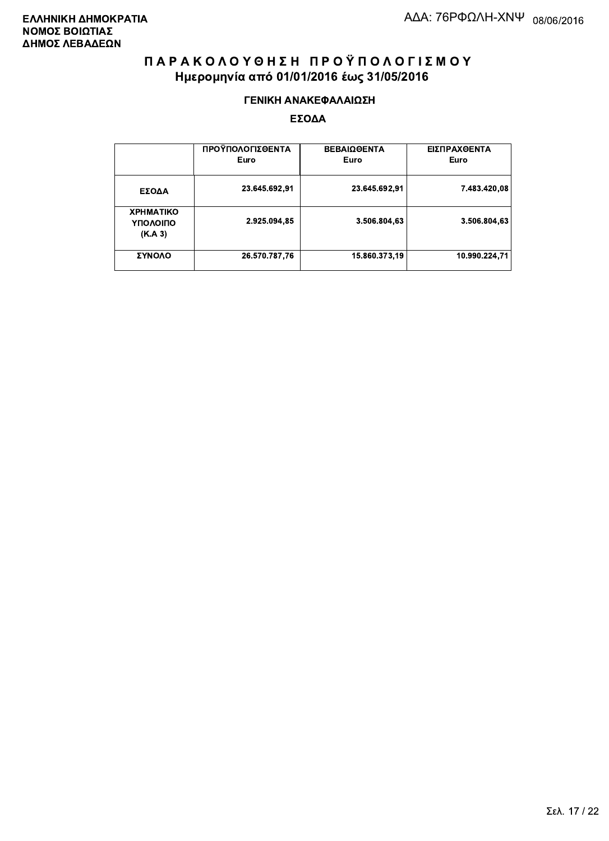#### ΓΕΝΙΚΗ ΑΝΑΚΕΦΑΛΑΙΩΣΗ

|                                         | ΠΡΟΫΠΟΛΟΓΙΣΘΕΝΤΑ<br>Euro | <b>ΒΕΒΑΙΩΘΕΝΤΑ</b><br>Euro | ΕΙΣΠΡΑΧΘΕΝΤΑ<br>Euro |
|-----------------------------------------|--------------------------|----------------------------|----------------------|
| ΕΣΟΔΑ                                   | 23.645.692,91            | 23.645.692,91              | 7.483.420,08         |
| <b>XPHMATIKO</b><br>ΥΠΟΛΟΙΠΟ<br>(K.A.3) | 2.925.094,85             | 3.506.804,63               | 3.506.804,63         |
| ΣΥΝΟΛΟ                                  | 26.570.787,76            | 15.860.373,19              | 10.990.224.71        |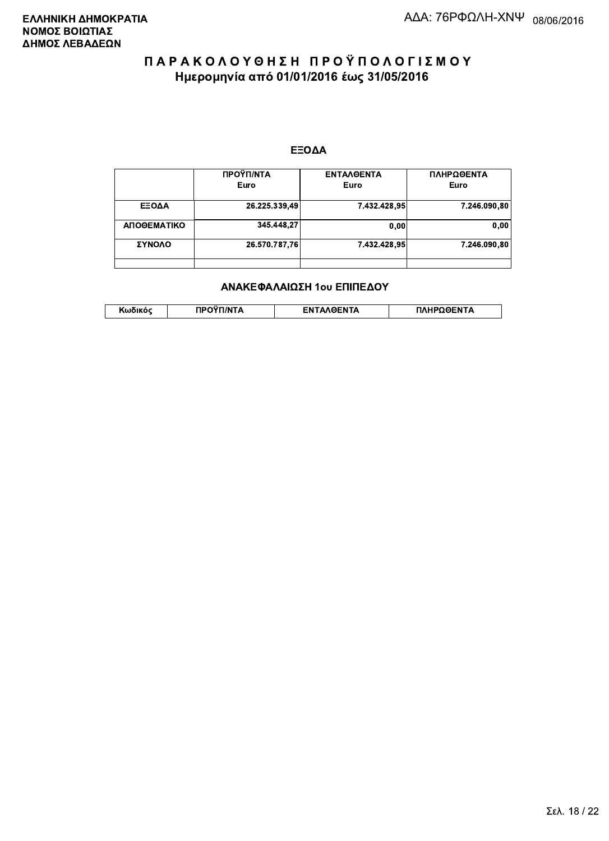#### ΕΞΟΔΑ

|             | ΠΡΟΫΠ/ΝΤΑ<br>Euro | <b>ENTAAGENTA</b><br>Euro | ΠΛΗΡΩΘΕΝΤΑ<br>Euro |
|-------------|-------------------|---------------------------|--------------------|
|             |                   |                           |                    |
| ΕΞΟΔΑ       | 26.225.339,49     | 7.432.428.95              | 7.246.090,80       |
| ΑΠΟΘΕΜΑΤΙΚΟ | 345.448.27        | 0,00                      | 0,00               |
| ΣΥΝΟΛΟ      | 26.570.787,76     | 7.432.428.95              | 7.246.090.80       |
|             |                   |                           |                    |

#### ΑΝΑΚΕΦΑΛΑΙΩΣΗ 1ου ΕΠΙΠΕΔΟΥ

|  | . | <b>TINTA</b> | ົ° PENTA | ΗΡΩΘΕΝΤΔ |
|--|---|--------------|----------|----------|
|--|---|--------------|----------|----------|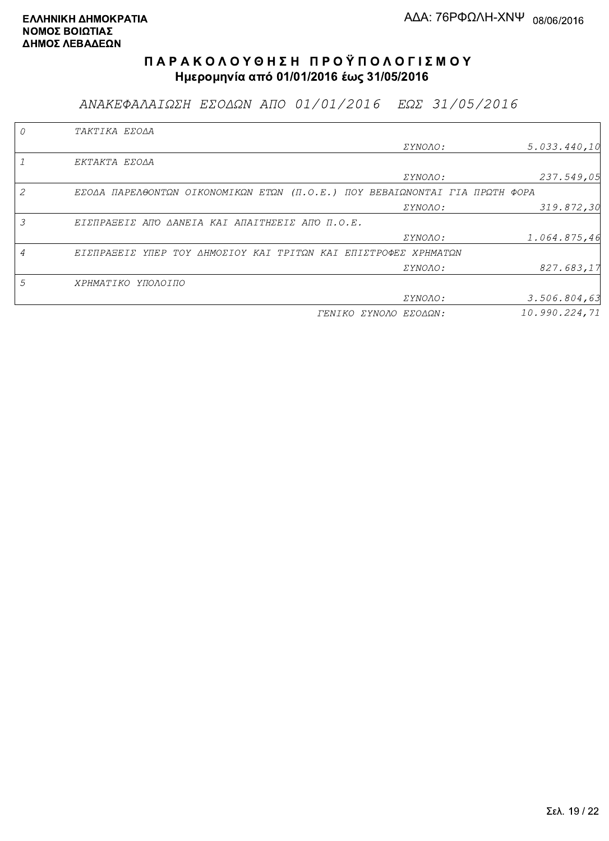ΑΝΑΚΕΦΑΛΑΙΩΣΗ ΕΣΟΔΩΝ ΑΠΟ 01/01/2016 ΕΩΣ 31/05/2016

|   | TAKTIKA EZOAA                                                               |                       |               |
|---|-----------------------------------------------------------------------------|-----------------------|---------------|
|   |                                                                             | ΣΥΝΟΛΟ:               | 5.033.440,10  |
|   | EKTAKTA EZOAA                                                               |                       |               |
|   |                                                                             | ΣΥΝΟΛΟ:               | 237.549,05    |
| 2 | ΕΣΟΔΑ ΠΑΡΕΛΘΟΝΤΩΝ ΟΙΚΟΝΟΜΙΚΩΝ ΕΤΩΝ (Π.Ο.Ε.) ΠΟΥ ΒΕΒΑΙΩΝΟΝΤΑΙ ΓΙΑ ΠΡΩΤΗ ΦΟΡΑ |                       |               |
|   |                                                                             | <i>EYNOAO:</i>        | 319.872,30    |
| 3 | ΕΙΣΠΡΑΞΕΙΣ ΑΠΌ ΔΑΝΕΙΑ ΚΑΙ ΑΠΑΙΤΗΣΕΙΣ ΑΠΌ Π.Ο.Ε.                             |                       |               |
|   |                                                                             | <i>EYNOAO:</i>        | 1.064.875,46  |
|   | ΕΙΣΠΡΑΞΕΙΣ ΥΠΕΡ ΤΟΥ ΔΗΜΟΣΙΟΥ ΚΑΙ ΤΡΙΤΩΝ ΚΑΙ ΕΠΙΣΤΡΟΦΕΣ ΧΡΗΜΑΤΩΝ             |                       |               |
|   |                                                                             | ΣΥΝΟΛΟ:               | 827.683,17    |
| 5 | ΧΡΗΜΑΤΙΚΟ ΥΠΟΛΟΙΠΟ                                                          |                       |               |
|   |                                                                             | <i>EYNOAO:</i>        | 3.506.804,63  |
|   |                                                                             | ΓΕΝΙΚΟ ΣΥΝΟΛΟ ΕΣΟΔΩΝ: | 10.990.224,71 |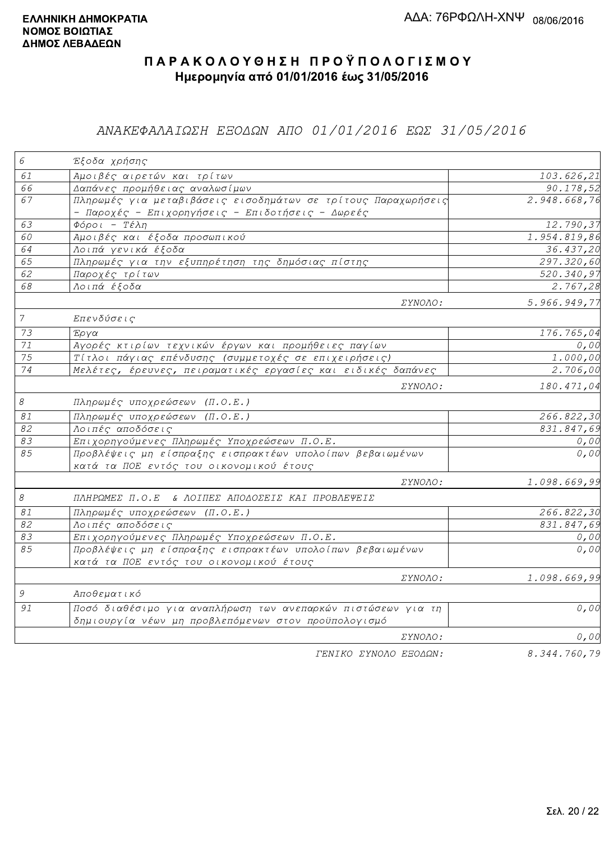## ΑΝΑΚΕΦΑΛΑΙΩΣΗ ΕΞΟΔΩΝ ΑΠΟ 01/01/2016 ΕΩΣ 31/05/2016

| $\epsilon$                 | Έξοδα χρήσης                                                  |                         |
|----------------------------|---------------------------------------------------------------|-------------------------|
| 61                         | Αμοιβές αιρετών και τρίτων                                    | 103.626,21              |
| 66                         | Δαπάνες προμήθειας αναλωσίμων                                 | 90.178,52               |
| 67                         | Πληρωμές για μεταβιβάσεις εισοδημάτων σε τρίτους Παραχωρήσεις | 2.948.668,76            |
|                            | - Παροχές - Επιχορηγήσεις - Επιδοτήσεις - Δωρεές              |                         |
| 63                         | $\Phi$ όροι - Τέλη                                            | 12.790,37               |
| 60                         | Αμοιβές και έξοδα προσωπικού                                  | 1.954.819,86            |
| 64                         | Λοιπά γενικά έξοδα                                            | 36.437,20               |
| 65                         | Πληρωμές για την εξυπηρέτηση της δημόσιας πίστης              | 297.320,60              |
| 62                         | Παροχές τρίτων                                                | $\overline{520.340,97}$ |
| 68                         | Λοιπά έξοδα                                                   | 2.767,28                |
|                            | ΣΥΝΟΛΟ:                                                       | 5.966.949,77            |
| $\overline{7}$             | Επενδύσεις                                                    |                         |
| 73                         | Έργα                                                          | 176.765,04              |
| $71\,$                     | Αγορές κτιρίων τεχνικών έργων και προμήθειες παγίων           | 0,00                    |
| 75                         | Τίτλοι πάγιας επένδυσης (συμμετοχές σε επιχειρήσεις)          | 1.000,00                |
| 74                         | Μελέτες, έρευνες, πειραματικές εργασίες και ειδικές δαπάνες   | 2.706,00                |
|                            | ΣΥΝΟΛΟ:                                                       | 180.471,04              |
| $\mathcal S$               | Πληρωμές υποχρεώσεων (Π.Ο.Ε.)                                 |                         |
| 81                         | Πληρωμές υποχρεώσεων (Π.Ο.Ε.)                                 | 266.822,30              |
| 82                         | Λοιπές αποδόσεις                                              | 831.847,69              |
| 83                         | Επιχορηγούμενες Πληρωμές Υποχρεώσεων Π.Ο.Ε.                   | 0,00                    |
| 85                         | Προβλέψεις μη είσπραξης εισπρακτέων υπολοίπων βεβαιωμένων     | 0,00                    |
|                            | κατά τα ΠΟΕ εντός του οικονομικού έτους                       |                         |
|                            | ΣΥΝΟΛΟ:                                                       | 1.098.669,99            |
| $\boldsymbol{\mathcal{S}}$ | ΠΛΗΡΩΜΕΣ Π.Ο.Ε & ΛΟΙΠΕΣ ΑΠΟΔΟΣΕΙΣ ΚΑΙ ΠΡΟΒΛΕΨΕΙΣ              |                         |
| 81                         | Πληρωμές υποχρεώσεων (Π.Ο.Ε.)                                 | 266.822,30              |
| 82                         | Λοιπές αποδόσεις                                              | 831.847,69              |
| 83                         | Επιχορηγούμενες Πληρωμές Υποχρεώσεων Π.Ο.Ε.                   | 0,00                    |
| 85                         | Προβλέψεις μη είσπραξης εισπρακτέων υπολοίπων βεβαιωμένων     | 0,00                    |
|                            | κατά τα ΠΟΕ εντός του οικονομικού έτους                       |                         |
|                            | ΣΥΝΟΛΟ:                                                       | 1.098.669,99            |
| $\mathcal G$               | Αποθεματικό                                                   |                         |
| 91                         | Ποσό διαθέσιμο για αναπλήρωση των ανεπαρκών πιστώσεων για τη  | 0,00                    |
|                            | δημιουργία νέων μη προβλεπόμενων στον προϋπολογισμό           |                         |
|                            | <i>EYNOAO:</i>                                                | 0,00                    |
|                            | FENIKO XYNOAO ESOAON:                                         | 8.344.760.79            |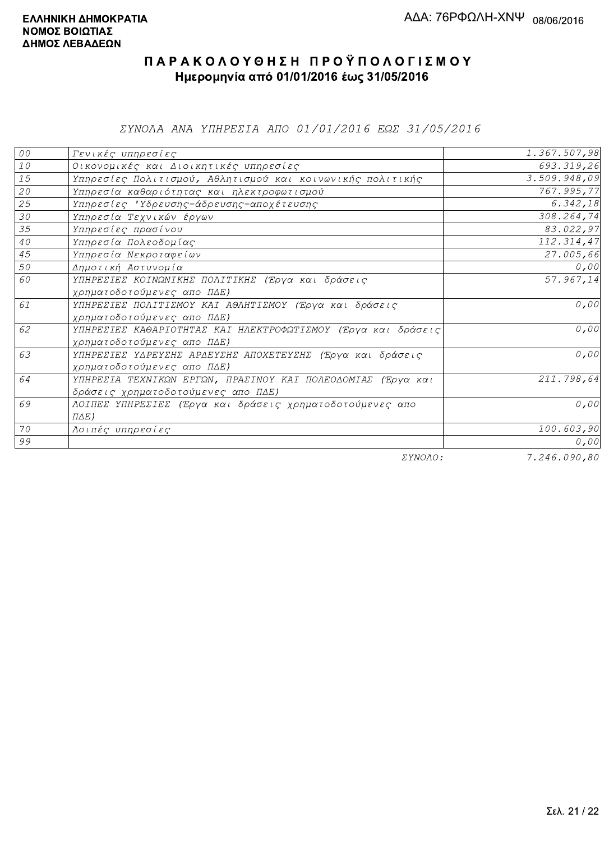ΣΥΝΟΛΑ ΑΝΑ ΥΠΗΡΕΣΙΑ ΑΠΟ 01/01/2016 ΕΩΣ 31/05/2016

| ${\cal O} \, {\cal O}$ | Γενικές υπηρεσίες                                             | 1.367.507,98                                         |
|------------------------|---------------------------------------------------------------|------------------------------------------------------|
| $1\,0$                 | Οικονομικές και Διοικητικές υπηρεσίες                         | 693.319,26                                           |
| 15                     | Υπηρεσίες Πολιτισμού, Αθλητισμού και κοινωνικής πολιτικής     | 3.509.948,09                                         |
| 20                     | Υπηρεσία καθαριότητας και ηλεκτροφωτισμού                     | 767.995,77                                           |
| 25                     | Υπηρεσίες 'Υδρευσης-άδρευσης-αποχέτευσης                      | 6.342, 18                                            |
| 30                     | Υπηρεσία Τεχνικών έργων                                       | 308.264,74                                           |
| 35                     | Υπηρεσίες πρασίνου                                            | 83.022,97                                            |
| $4\,0$                 | Υπηρεσία Πολεοδομίας                                          | 112.314,47                                           |
| 45                     | Υπηρεσία Νεκροταφείων                                         | 27.005,66                                            |
| 50                     | Δημοτική Αστυνομία                                            | 0,00                                                 |
| 60                     | ΥΠΗΡΕΣΙΕΣ ΚΟΙΝΩΝΙΚΗΣ ΠΟΛΙΤΙΚΗΣ (Έργα και δράσεις              | 57.967,14                                            |
|                        | χρηματοδοτούμενες απο ΠΔΕ)                                    |                                                      |
| 61                     | ΥΠΗΡΕΣΙΕΣ ΠΟΛΙΤΙΣΜΟΥ ΚΑΙ ΑΘΛΗΤΙΣΜΟΥ (Έργα και δράσεις         | 0,00                                                 |
|                        | χρηματοδοτούμενες απο ΠΔΕ)                                    |                                                      |
| 62                     | ΥΠΗΡΕΣΙΕΣ ΚΑΘΑΡΙΟΤΗΤΑΣ ΚΑΙ ΗΛΕΚΤΡΟΦΩΤΙΣΜΟΥ (Έργα και δράσεις) | 0,00                                                 |
|                        | χρηματοδοτούμενες απο ΠΔΕ)                                    |                                                      |
| 63                     | ΥΠΗΡΕΣΙΕΣ ΥΔΡΕΥΣΗΣ ΑΡΔΕΥΣΗΣ ΑΠΟΧΕΤΕΥΣΗΣ (Έργα και δράσεις     | 0,00                                                 |
|                        | χρηματοδοτούμενες απο ΠΔΕ)                                    |                                                      |
| 64                     | ΥΠΗΡΕΣΙΑ ΤΕΧΝΙΚΩΝ ΕΡΓΩΝ, ΠΡΑΣΙΝΟΥ ΚΑΙ ΠΟΛΕΟΔΟΜΙΑΣ (Έργα και   | 211.798,64                                           |
|                        | δράσεις χρηματοδοτούμενες απο ΠΔΕ)                            |                                                      |
| 69                     | ΛΟΙΠΕΣ ΥΠΗΡΕΣΙΕΣ (Έργα και δράσεις χρηματοδοτούμενες απο      | 0,00                                                 |
|                        | $\Pi\Delta E$ )                                               |                                                      |
| 70                     | Λοιπές υπηρεσίες                                              | 100.603,90                                           |
| 99                     |                                                               | 0,00                                                 |
|                        | $    -$                                                       | $\overline{a}$ and $\overline{a}$ and $\overline{a}$ |

ΣΥΝΟΛΟ:

7.246.090,80